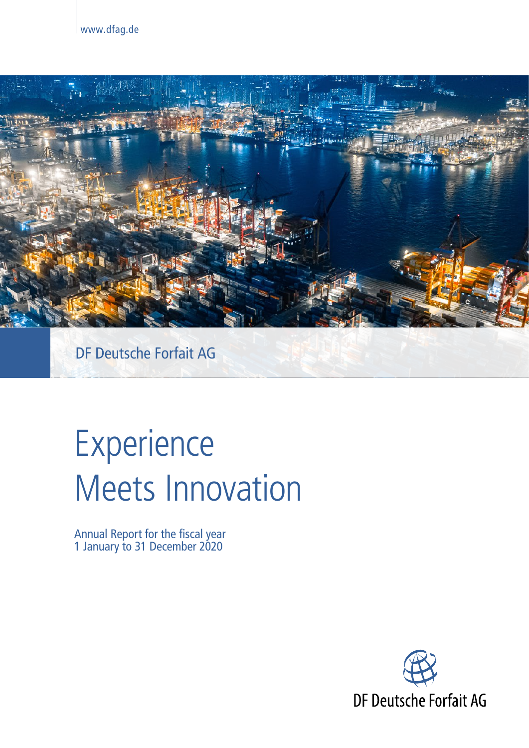

# Experience Meets Innovation

Annual Report for the fiscal year 1 January to 31 December 2020

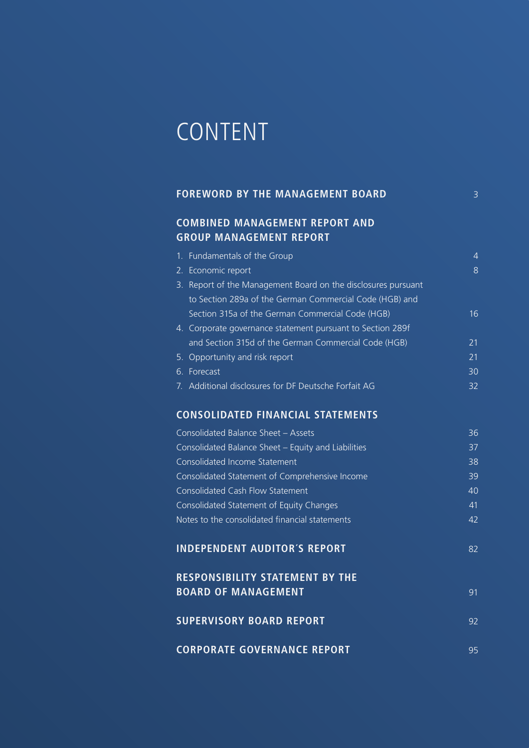## CONTENT

| <b>FOREWORD BY THE MANAGEMENT BOARD.</b> |  |
|------------------------------------------|--|
|                                          |  |

## **COMBINED MANAGEMENT REPORT AND GROUP MANAGEMENT REPORT**

| 1. Fundamentals of the Group                                  |    |
|---------------------------------------------------------------|----|
| 2. Economic report                                            | 8  |
| 3. Report of the Management Board on the disclosures pursuant |    |
| to Section 289a of the German Commercial Code (HGB) and       |    |
| Section 315a of the German Commercial Code (HGB)              | 16 |
| 4. Corporate governance statement pursuant to Section 289f    |    |
| and Section 315d of the German Commercial Code (HGB)          | 21 |
| 5. Opportunity and risk report                                | 21 |
| 6. Forecast                                                   | 30 |
| 7. Additional disclosures for DF Deutsche Forfait AG          | 32 |

### **CONSOLIDATED FINANCIAL STATEMENTS**

| Consolidated Balance Sheet - Assets                                           | 36 |
|-------------------------------------------------------------------------------|----|
| Consolidated Balance Sheet - Equity and Liabilities                           | 37 |
| Consolidated Income Statement                                                 | 38 |
| Consolidated Statement of Comprehensive Income                                | 39 |
| <b>Consolidated Cash Flow Statement</b>                                       | 40 |
| Consolidated Statement of Equity Changes                                      | 41 |
| Notes to the consolidated financial statements                                | 42 |
| <b>INDEPENDENT AUDITOR'S REPORT</b><br><b>RESPONSIBILITY STATEMENT BY THE</b> | 82 |
| <b>BOARD OF MANAGEMENT</b>                                                    | 91 |
| <b>SUPERVISORY BOARD REPORT</b>                                               | 92 |
| <b>CORPORATE GOVERNANCE REPORT</b>                                            | 95 |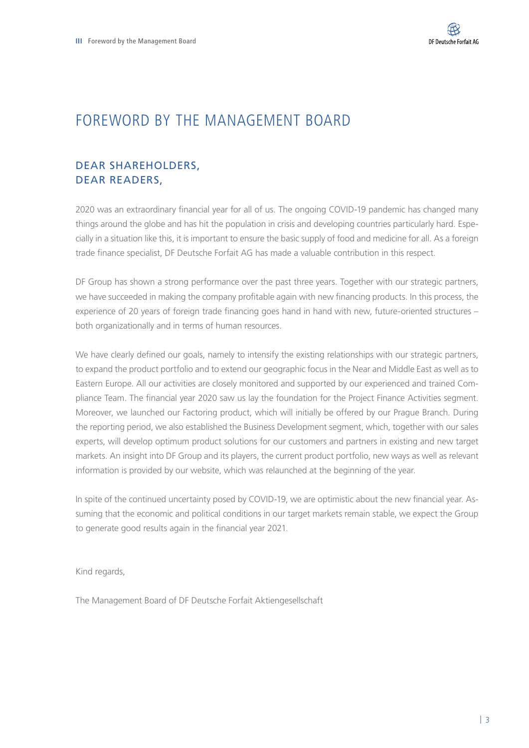## FOREWORD BY THE MANAGEMENT BOARD

## DEAR SHAREHOLDERS, DEAR READERS,

2020 was an extraordinary financial year for all of us. The ongoing COVID-19 pandemic has changed many things around the globe and has hit the population in crisis and developing countries particularly hard. Especially in a situation like this, it is important to ensure the basic supply of food and medicine for all. As a foreign trade finance specialist, DF Deutsche Forfait AG has made a valuable contribution in this respect.

DF Group has shown a strong performance over the past three years. Together with our strategic partners, we have succeeded in making the company profitable again with new financing products. In this process, the experience of 20 years of foreign trade financing goes hand in hand with new, future-oriented structures – both organizationally and in terms of human resources.

We have clearly defined our goals, namely to intensify the existing relationships with our strategic partners, to expand the product portfolio and to extend our geographic focus in the Near and Middle East as well as to Eastern Europe. All our activities are closely monitored and supported by our experienced and trained Compliance Team. The financial year 2020 saw us lay the foundation for the Project Finance Activities segment. Moreover, we launched our Factoring product, which will initially be offered by our Prague Branch. During the reporting period, we also established the Business Development segment, which, together with our sales experts, will develop optimum product solutions for our customers and partners in existing and new target markets. An insight into DF Group and its players, the current product portfolio, new ways as well as relevant information is provided by our website, which was relaunched at the beginning of the year.

In spite of the continued uncertainty posed by COVID-19, we are optimistic about the new financial year. Assuming that the economic and political conditions in our target markets remain stable, we expect the Group to generate good results again in the financial year 2021.

Kind regards,

The Management Board of DF Deutsche Forfait Aktiengesellschaft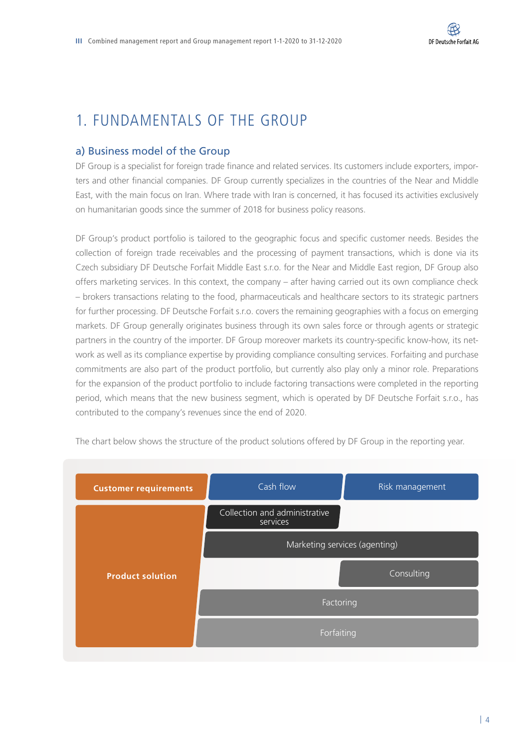## 1. FUNDAMENTALS OF THE GROUP

#### a) Business model of the Group

DF Group is a specialist for foreign trade finance and related services. Its customers include exporters, importers and other financial companies. DF Group currently specializes in the countries of the Near and Middle East, with the main focus on Iran. Where trade with Iran is concerned, it has focused its activities exclusively on humanitarian goods since the summer of 2018 for business policy reasons.

DF Group's product portfolio is tailored to the geographic focus and specific customer needs. Besides the collection of foreign trade receivables and the processing of payment transactions, which is done via its Czech subsidiary DF Deutsche Forfait Middle East s.r.o. for the Near and Middle East region, DF Group also offers marketing services. In this context, the company – after having carried out its own compliance check – brokers transactions relating to the food, pharmaceuticals and healthcare sectors to its strategic partners for further processing. DF Deutsche Forfait s.r.o. covers the remaining geographies with a focus on emerging markets. DF Group generally originates business through its own sales force or through agents or strategic partners in the country of the importer. DF Group moreover markets its country-specific know-how, its network as well as its compliance expertise by providing compliance consulting services. Forfaiting and purchase commitments are also part of the product portfolio, but currently also play only a minor role. Preparations for the expansion of the product portfolio to include factoring transactions were completed in the reporting period, which means that the new business segment, which is operated by DF Deutsche Forfait s.r.o., has contributed to the company's revenues since the end of 2020.



The chart below shows the structure of the product solutions offered by DF Group in the reporting year.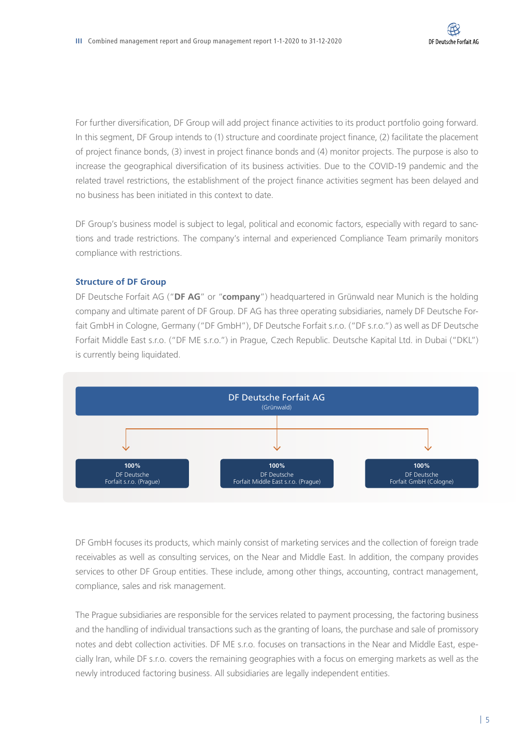For further diversification, DF Group will add project finance activities to its product portfolio going forward. In this segment, DF Group intends to (1) structure and coordinate project finance, (2) facilitate the placement of project finance bonds, (3) invest in project finance bonds and (4) monitor projects. The purpose is also to increase the geographical diversification of its business activities. Due to the COVID-19 pandemic and the related travel restrictions, the establishment of the project finance activities segment has been delayed and no business has been initiated in this context to date.

DF Group's business model is subject to legal, political and economic factors, especially with regard to sanctions and trade restrictions. The company's internal and experienced Compliance Team primarily monitors compliance with restrictions.

#### **Structure of DF Group**

DF Deutsche Forfait AG ("**DF AG**" or "**company**") headquartered in Grünwald near Munich is the holding company and ultimate parent of DF Group. DF AG has three operating subsidiaries, namely DF Deutsche Forfait GmbH in Cologne, Germany ("DF GmbH"), DF Deutsche Forfait s.r.o. ("DF s.r.o.") as well as DF Deutsche Forfait Middle East s.r.o. ("DF ME s.r.o.") in Prague, Czech Republic. Deutsche Kapital Ltd. in Dubai ("DKL") is currently being liquidated.



DF GmbH focuses its products, which mainly consist of marketing services and the collection of foreign trade receivables as well as consulting services, on the Near and Middle East. In addition, the company provides services to other DF Group entities. These include, among other things, accounting, contract management, compliance, sales and risk management.

The Prague subsidiaries are responsible for the services related to payment processing, the factoring business and the handling of individual transactions such as the granting of loans, the purchase and sale of promissory notes and debt collection activities. DF ME s.r.o. focuses on transactions in the Near and Middle East, especially Iran, while DF s.r.o. covers the remaining geographies with a focus on emerging markets as well as the newly introduced factoring business. All subsidiaries are legally independent entities.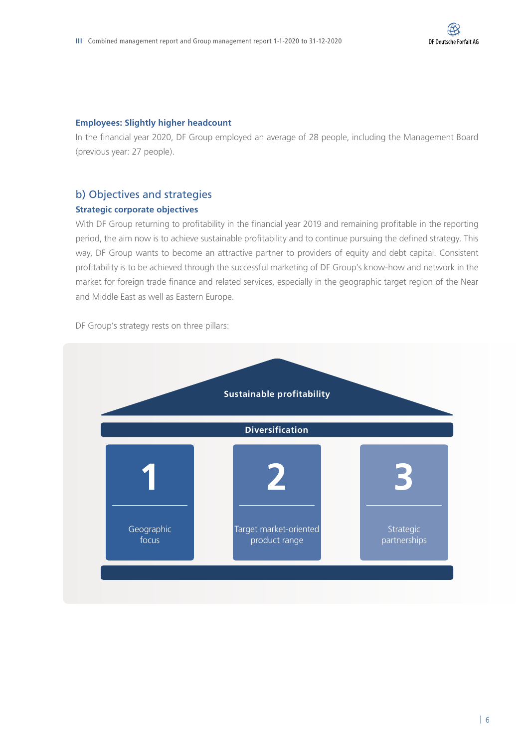#### **Employees: Slightly higher headcount**

In the financial year 2020, DF Group employed an average of 28 people, including the Management Board (previous year: 27 people).

#### b) Objectives and strategies

#### **Strategic corporate objectives**

With DF Group returning to profitability in the financial year 2019 and remaining profitable in the reporting period, the aim now is to achieve sustainable profitability and to continue pursuing the defined strategy. This way, DF Group wants to become an attractive partner to providers of equity and debt capital. Consistent profitability is to be achieved through the successful marketing of DF Group's know-how and network in the market for foreign trade finance and related services, especially in the geographic target region of the Near and Middle East as well as Eastern Europe.

DF Group's strategy rests on three pillars:

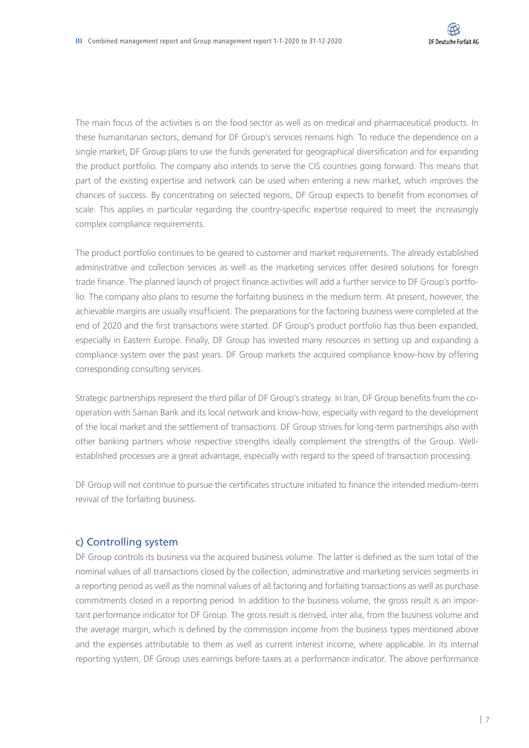The main focus of the activities is on the food sector as well as on medical and pharmaceutical products. In these humanitarian sectors, demand for DF Group's services remains high. To reduce the dependence on a single market, DF Group plans to use the funds generated for geographical diversification and for expanding the product portfolio. The company also intends to serve the CIS countries going forward. This means that part of the existing expertise and network can be used when entering a new market, which improves the chances of success. By concentrating on selected regions, DF Group expects to benefit from economies of scale. This applies in particular regarding the country-specific expertise required to meet the increasingly complex compliance requirements.

The product portfolio continues to be geared to customer and market requirements. The already established administrative and collection services as well as the marketing services offer desired solutions for foreign trade finance. The planned launch of project finance activities will add a further service to DF Group's portfolio. The company also plans to resume the forfaiting business in the medium term. At present, however, the achievable margins are usually insufficient. The preparations for the factoring business were completed at the end of 2020 and the first transactions were started. DF Group's product portfolio has thus been expanded, especially in Eastern Europe. Finally, DF Group has invested many resources in setting up and expanding a compliance system over the past years. DF Group markets the acquired compliance know-how by offering corresponding consulting services.

Strategic partnerships represent the third pillar of DF Group's strategy. In Iran, DF Group benefits from the cooperation with Saman Bank and its local network and know-how, especially with regard to the development of the local market and the settlement of transactions. DF Group strives for long-term partnerships also with other banking partners whose respective strengths ideally complement the strengths of the Group. Wellestablished processes are a great advantage, especially with regard to the speed of transaction processing.

DF Group will not continue to pursue the certificates structure initiated to finance the intended medium-term revival of the forfaiting business.

#### c) Controlling system

DF Group controls its business via the acquired business volume. The latter is defined as the sum total of the nominal values of all transactions closed by the collection, administrative and marketing services segments in a reporting period as well as the nominal values of all factoring and forfaiting transactions as well as purchase commitments closed in a reporting period. In addition to the business volume, the gross result is an important performance indicator for DF Group. The gross result is derived, inter alia, from the business volume and the average margin, which is defined by the commission income from the business types mentioned above and the expenses attributable to them as well as current interest income, where applicable. In its internal reporting system, DF Group uses earnings before taxes as a performance indicator. The above performance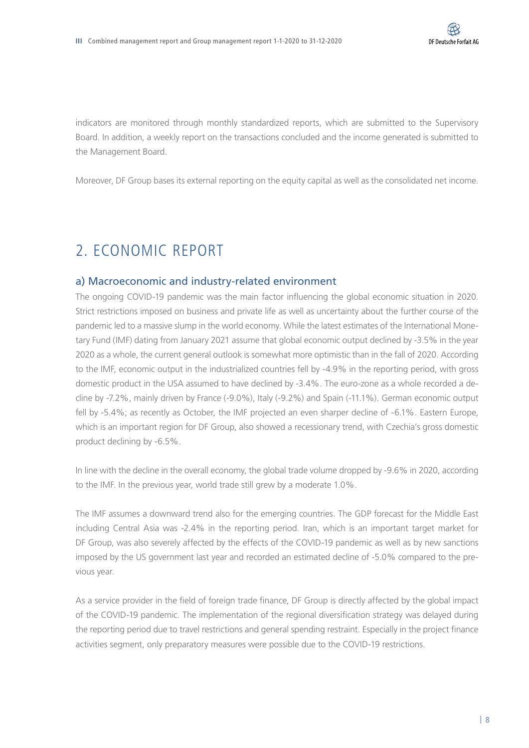indicators are monitored through monthly standardized reports, which are submitted to the Supervisory Board. In addition, a weekly report on the transactions concluded and the income generated is submitted to the Management Board.

Moreover, DF Group bases its external reporting on the equity capital as well as the consolidated net income.

## 2. ECONOMIC REPORT

#### a) Macroeconomic and industry-related environment

The ongoing COVID-19 pandemic was the main factor influencing the global economic situation in 2020. Strict restrictions imposed on business and private life as well as uncertainty about the further course of the pandemic led to a massive slump in the world economy. While the latest estimates of the International Monetary Fund (IMF) dating from January 2021 assume that global economic output declined by -3.5% in the year 2020 as a whole, the current general outlook is somewhat more optimistic than in the fall of 2020. According to the IMF, economic output in the industrialized countries fell by -4.9% in the reporting period, with gross domestic product in the USA assumed to have declined by -3.4%. The euro-zone as a whole recorded a decline by -7.2%, mainly driven by France (-9.0%), Italy (-9.2%) and Spain (-11.1%). German economic output fell by -5.4%; as recently as October, the IMF projected an even sharper decline of -6.1%. Eastern Europe, which is an important region for DF Group, also showed a recessionary trend, with Czechia's gross domestic product declining by -6.5%.

In line with the decline in the overall economy, the global trade volume dropped by -9.6% in 2020, according to the IMF. In the previous year, world trade still grew by a moderate 1.0%.

The IMF assumes a downward trend also for the emerging countries. The GDP forecast for the Middle East including Central Asia was -2.4% in the reporting period. Iran, which is an important target market for DF Group, was also severely affected by the effects of the COVID-19 pandemic as well as by new sanctions imposed by the US government last year and recorded an estimated decline of -5.0% compared to the previous year.

As a service provider in the field of foreign trade finance, DF Group is directly affected by the global impact of the COVID-19 pandemic. The implementation of the regional diversification strategy was delayed during the reporting period due to travel restrictions and general spending restraint. Especially in the project finance activities segment, only preparatory measures were possible due to the COVID-19 restrictions.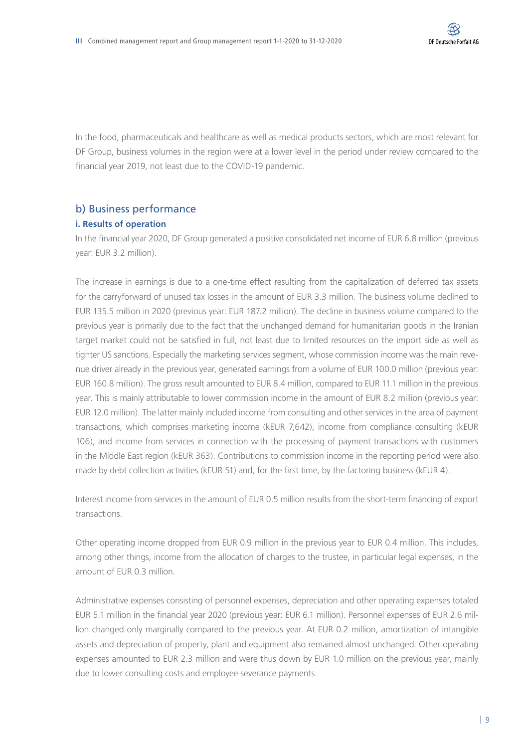In the food, pharmaceuticals and healthcare as well as medical products sectors, which are most relevant for DF Group, business volumes in the region were at a lower level in the period under review compared to the financial year 2019, not least due to the COVID-19 pandemic.

## b) Business performance

#### **i. Results of operation**

In the financial year 2020, DF Group generated a positive consolidated net income of EUR 6.8 million (previous year: EUR 3.2 million).

The increase in earnings is due to a one-time effect resulting from the capitalization of deferred tax assets for the carryforward of unused tax losses in the amount of EUR 3.3 million. The business volume declined to EUR 135.5 million in 2020 (previous year: EUR 187.2 million). The decline in business volume compared to the previous year is primarily due to the fact that the unchanged demand for humanitarian goods in the Iranian target market could not be satisfied in full, not least due to limited resources on the import side as well as tighter US sanctions. Especially the marketing services segment, whose commission income was the main revenue driver already in the previous year, generated earnings from a volume of EUR 100.0 million (previous year: EUR 160.8 million). The gross result amounted to EUR 8.4 million, compared to EUR 11.1 million in the previous year. This is mainly attributable to lower commission income in the amount of EUR 8.2 million (previous year: EUR 12.0 million). The latter mainly included income from consulting and other services in the area of payment transactions, which comprises marketing income (kEUR 7,642), income from compliance consulting (kEUR 106), and income from services in connection with the processing of payment transactions with customers in the Middle East region (kEUR 363). Contributions to commission income in the reporting period were also made by debt collection activities (kEUR 51) and, for the first time, by the factoring business (kEUR 4).

Interest income from services in the amount of EUR 0.5 million results from the short-term financing of export transactions.

Other operating income dropped from EUR 0.9 million in the previous year to EUR 0.4 million. This includes, among other things, income from the allocation of charges to the trustee, in particular legal expenses, in the amount of EUR 0.3 million.

Administrative expenses consisting of personnel expenses, depreciation and other operating expenses totaled EUR 5.1 million in the financial year 2020 (previous year: EUR 6.1 million). Personnel expenses of EUR 2.6 million changed only marginally compared to the previous year. At EUR 0.2 million, amortization of intangible assets and depreciation of property, plant and equipment also remained almost unchanged. Other operating expenses amounted to EUR 2.3 million and were thus down by EUR 1.0 million on the previous year, mainly due to lower consulting costs and employee severance payments.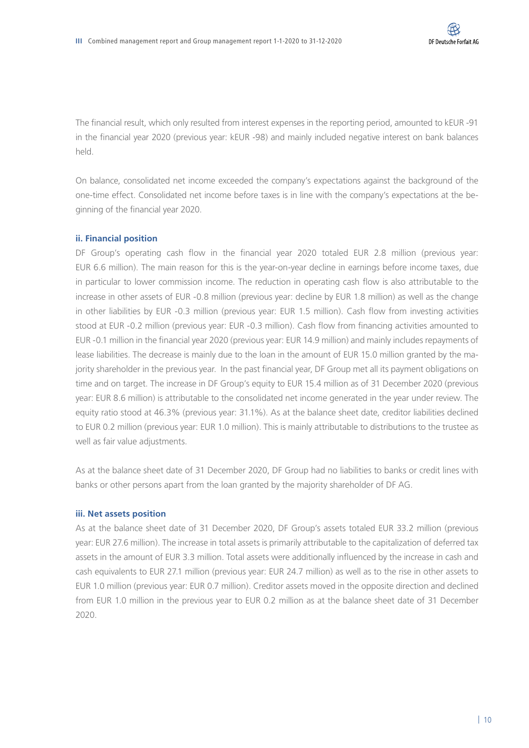The financial result, which only resulted from interest expenses in the reporting period, amounted to kEUR -91 in the financial year 2020 (previous year: kEUR -98) and mainly included negative interest on bank balances held.

On balance, consolidated net income exceeded the company's expectations against the background of the one-time effect. Consolidated net income before taxes is in line with the company's expectations at the beginning of the financial year 2020.

#### **ii. Financial position**

DF Group's operating cash flow in the financial year 2020 totaled EUR 2.8 million (previous year: EUR 6.6 million). The main reason for this is the year-on-year decline in earnings before income taxes, due in particular to lower commission income. The reduction in operating cash flow is also attributable to the increase in other assets of EUR -0.8 million (previous year: decline by EUR 1.8 million) as well as the change in other liabilities by EUR -0.3 million (previous year: EUR 1.5 million). Cash flow from investing activities stood at EUR -0.2 million (previous year: EUR -0.3 million). Cash flow from financing activities amounted to EUR -0.1 million in the financial year 2020 (previous year: EUR 14.9 million) and mainly includes repayments of lease liabilities. The decrease is mainly due to the loan in the amount of EUR 15.0 million granted by the majority shareholder in the previous year. In the past financial year, DF Group met all its payment obligations on time and on target. The increase in DF Group's equity to EUR 15.4 million as of 31 December 2020 (previous year: EUR 8.6 million) is attributable to the consolidated net income generated in the year under review. The equity ratio stood at 46.3% (previous year: 31.1%). As at the balance sheet date, creditor liabilities declined to EUR 0.2 million (previous year: EUR 1.0 million). This is mainly attributable to distributions to the trustee as well as fair value adjustments.

As at the balance sheet date of 31 December 2020, DF Group had no liabilities to banks or credit lines with banks or other persons apart from the loan granted by the majority shareholder of DF AG.

#### **iii. Net assets position**

As at the balance sheet date of 31 December 2020, DF Group's assets totaled EUR 33.2 million (previous year: EUR 27.6 million). The increase in total assets is primarily attributable to the capitalization of deferred tax assets in the amount of EUR 3.3 million. Total assets were additionally influenced by the increase in cash and cash equivalents to EUR 27.1 million (previous year: EUR 24.7 million) as well as to the rise in other assets to EUR 1.0 million (previous year: EUR 0.7 million). Creditor assets moved in the opposite direction and declined from EUR 1.0 million in the previous year to EUR 0.2 million as at the balance sheet date of 31 December 2020.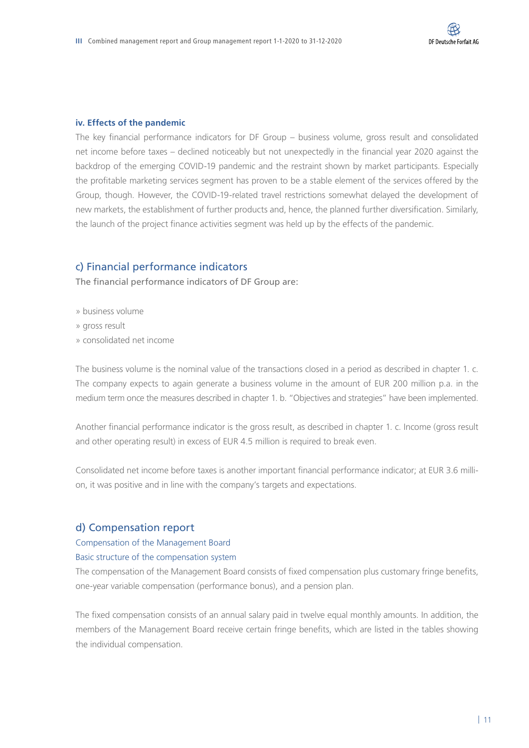#### **iv. Effects of the pandemic**

The key financial performance indicators for DF Group – business volume, gross result and consolidated net income before taxes – declined noticeably but not unexpectedly in the financial year 2020 against the backdrop of the emerging COVID-19 pandemic and the restraint shown by market participants. Especially the profitable marketing services segment has proven to be a stable element of the services offered by the Group, though. However, the COVID-19-related travel restrictions somewhat delayed the development of new markets, the establishment of further products and, hence, the planned further diversification. Similarly, the launch of the project finance activities segment was held up by the effects of the pandemic.

#### c) Financial performance indicators

The financial performance indicators of DF Group are:

- » business volume
- » gross result
- » consolidated net income

The business volume is the nominal value of the transactions closed in a period as described in chapter 1. c. The company expects to again generate a business volume in the amount of EUR 200 million p.a. in the medium term once the measures described in chapter 1. b. "Objectives and strategies" have been implemented.

Another financial performance indicator is the gross result, as described in chapter 1. c. Income (gross result and other operating result) in excess of EUR 4.5 million is required to break even.

Consolidated net income before taxes is another important financial performance indicator; at EUR 3.6 million, it was positive and in line with the company's targets and expectations.

#### d) Compensation report

#### Compensation of the Management Board

#### Basic structure of the compensation system

The compensation of the Management Board consists of fixed compensation plus customary fringe benefits, one-year variable compensation (performance bonus), and a pension plan.

The fixed compensation consists of an annual salary paid in twelve equal monthly amounts. In addition, the members of the Management Board receive certain fringe benefits, which are listed in the tables showing the individual compensation.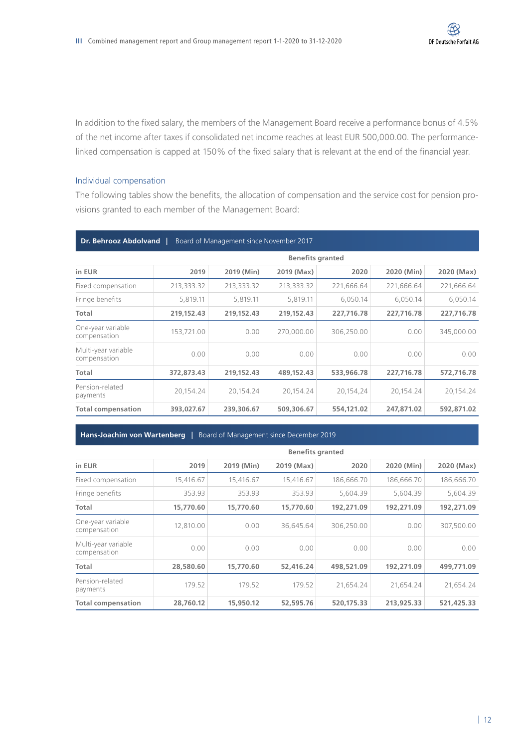In addition to the fixed salary, the members of the Management Board receive a performance bonus of 4.5% of the net income after taxes if consolidated net income reaches at least EUR 500,000.00. The performancelinked compensation is capped at 150% of the fixed salary that is relevant at the end of the financial year.

#### Individual compensation

The following tables show the benefits, the allocation of compensation and the service cost for pension provisions granted to each member of the Management Board:

| Dr. Behrooz Abdolvand  <br>Board of Management since November 2017 |                         |            |            |            |            |            |  |  |
|--------------------------------------------------------------------|-------------------------|------------|------------|------------|------------|------------|--|--|
|                                                                    | <b>Benefits granted</b> |            |            |            |            |            |  |  |
| in EUR                                                             | 2019                    | 2019 (Min) | 2019 (Max) | 2020       | 2020 (Min) | 2020 (Max) |  |  |
| Fixed compensation                                                 | 213,333.32              | 213,333.32 | 213,333.32 | 221,666.64 | 221,666.64 | 221,666.64 |  |  |
| Fringe benefits                                                    | 5,819.11                | 5,819.11   | 5.819.11   | 6.050.14   | 6.050.14   | 6,050.14   |  |  |
| Total                                                              | 219,152.43              | 219,152.43 | 219,152.43 | 227,716.78 | 227,716.78 | 227,716.78 |  |  |
| One-year variable<br>compensation                                  | 153,721.00              | 0.00       | 270,000.00 | 306,250.00 | 0.00       | 345,000.00 |  |  |
| Multi-year variable<br>compensation                                | 0.00                    | 0.00       | 0.00       | 0.00       | 0.00       | 0.00       |  |  |
| Total                                                              | 372,873.43              | 219,152.43 | 489,152.43 | 533,966.78 | 227,716.78 | 572,716.78 |  |  |
| Pension-related<br>payments                                        | 20,154.24               | 20,154.24  | 20,154.24  | 20,154,24  | 20,154.24  | 20,154.24  |  |  |
| <b>Total compensation</b>                                          | 393,027.67              | 239,306.67 | 509,306.67 | 554,121.02 | 247,871.02 | 592,871.02 |  |  |

#### **Hans-Joachim von Wartenberg |** Board of Management since December 2019

|                                     | <b>Benefits granted</b> |            |            |            |            |            |
|-------------------------------------|-------------------------|------------|------------|------------|------------|------------|
| in EUR                              | 2019                    | 2019 (Min) | 2019 (Max) | 2020       | 2020 (Min) | 2020 (Max) |
| Fixed compensation                  | 15,416.67               | 15,416.67  | 15,416.67  | 186,666.70 | 186,666.70 | 186,666.70 |
| Fringe benefits                     | 353.93                  | 353.93     | 353.93     | 5.604.39   | 5.604.39   | 5,604.39   |
| Total                               | 15,770.60               | 15,770.60  | 15,770.60  | 192,271.09 | 192,271.09 | 192,271.09 |
| One-year variable<br>compensation   | 12,810.00               | 0.00       | 36.645.64  | 306.250.00 | 0.00       | 307.500.00 |
| Multi-year variable<br>compensation | 0.00                    | 0.00       | 0.00       | 0.00       | 0.00       | 0.00       |
| Total                               | 28,580.60               | 15,770.60  | 52,416.24  | 498,521.09 | 192,271.09 | 499,771.09 |
| Pension-related<br>payments         | 179.52                  | 179.52     | 179.52     | 21,654.24  | 21,654.24  | 21,654.24  |
| <b>Total compensation</b>           | 28,760.12               | 15,950.12  | 52,595.76  | 520.175.33 | 213,925.33 | 521,425.33 |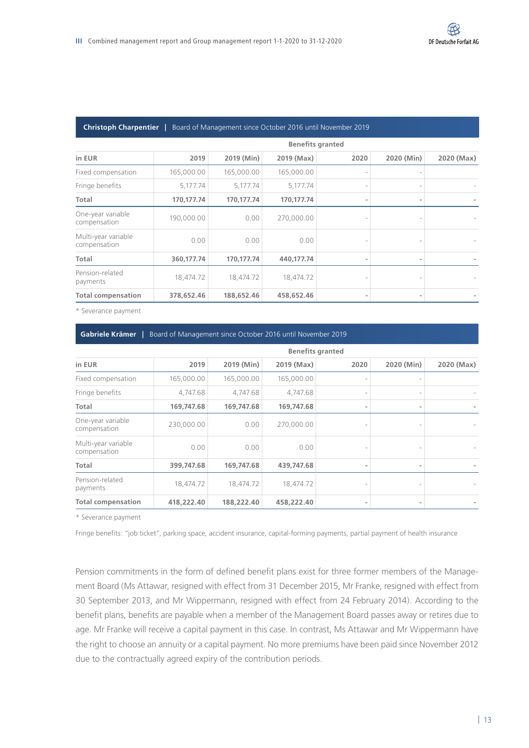#### **Christoph Charpentier |** Board of Management since October 2016 until November 2019

| <b>Benefits granted</b> |            |            |      |            |            |
|-------------------------|------------|------------|------|------------|------------|
| 2019                    | 2019 (Min) | 2019 (Max) | 2020 | 2020 (Min) | 2020 (Max) |
| 165,000.00              | 165,000.00 | 165,000.00 |      |            |            |
| 5,177.74                | 5,177.74   | 5,177.74   |      |            |            |
| 170,177.74              | 170,177.74 | 170,177.74 |      |            |            |
| 190,000.00              | 0.00       | 270,000.00 |      |            |            |
| 0.00                    | 0.00       | 0.00       |      |            |            |
| 360,177.74              | 170.177.74 | 440.177.74 |      |            |            |
| 18,474.72               | 18,474.72  | 18,474.72  |      |            |            |
| 378,652.46              | 188,652.46 | 458,652.46 |      |            |            |
|                         |            |            |      |            |            |

\* Severance payment

#### **Gabriele Krämer |** Board of Management since October 2016 until November 2019

| <b>Benefits granted</b>             |            |            |            |      |            |            |
|-------------------------------------|------------|------------|------------|------|------------|------------|
| in EUR                              | 2019       | 2019 (Min) | 2019 (Max) | 2020 | 2020 (Min) | 2020 (Max) |
| Fixed compensation                  | 165,000.00 | 165,000.00 | 165,000.00 |      |            |            |
| Fringe benefits                     | 4,747.68   | 4,747.68   | 4,747.68   |      |            |            |
| Total                               | 169,747.68 | 169,747.68 | 169,747.68 |      |            |            |
| One-year variable<br>compensation   | 230,000.00 | 0.00       | 270,000.00 |      |            |            |
| Multi-year variable<br>compensation | 0.00       | 0.00       | 0.00       |      |            |            |
| Total                               | 399,747.68 | 169,747.68 | 439,747.68 |      |            |            |
| Pension-related<br>payments         | 18,474.72  | 18,474.72  | 18,474.72  |      |            |            |
| <b>Total compensation</b>           | 418,222.40 | 188,222.40 | 458,222.40 |      |            |            |

\* Severance payment

Fringe benefits: "job ticket", parking space, accident insurance, capital-forming payments, partial payment of health insurance

Pension commitments in the form of defined benefit plans exist for three former members of the Management Board (Ms Attawar, resigned with effect from 31 December 2015, Mr Franke, resigned with effect from 30 September 2013, and Mr Wippermann, resigned with effect from 24 February 2014). According to the benefit plans, benefits are payable when a member of the Management Board passes away or retires due to age. Mr Franke will receive a capital payment in this case. In contrast, Ms Attawar and Mr Wippermann have the right to choose an annuity or a capital payment. No more premiums have been paid since November 2012 due to the contractually agreed expiry of the contribution periods.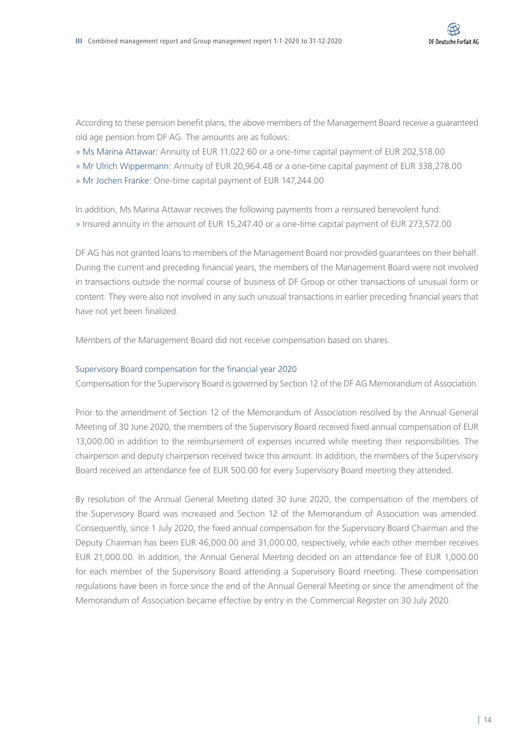According to these pension benefit plans, the above members of the Management Board receive a guaranteed old age pension from DF AG. The amounts are as follows:

- » Ms Marina Attawar: Annuity of EUR 11,022.60 or a one-time capital payment of EUR 202,518.00
- » Mr Ulrich Wippermann: Annuity of EUR 20,964.48 or a one-time capital payment of EUR 338,278.00
- » Mr Jochen Franke: One-time capital payment of EUR 147,244.00

In addition, Ms Marina Attawar receives the following payments from a reinsured benevolent fund: » Insured annuity in the amount of EUR 15,247.40 or a one-time capital payment of EUR 273,572.00

DF AG has not granted loans to members of the Management Board nor provided guarantees on their behalf. During the current and preceding financial years, the members of the Management Board were not involved in transactions outside the normal course of business of DF Group or other transactions of unusual form or content. They were also not involved in any such unusual transactions in earlier preceding financial years that have not yet been finalized.

Members of the Management Board did not receive compensation based on shares.

#### Supervisory Board compensation for the financial year 2020

Compensation for the Supervisory Board is governed by Section 12 of the DF AG Memorandum of Association.

Prior to the amendment of Section 12 of the Memorandum of Association resolved by the Annual General Meeting of 30 June 2020, the members of the Supervisory Board received fixed annual compensation of EUR 13,000.00 in addition to the reimbursement of expenses incurred while meeting their responsibilities. The chairperson and deputy chairperson received twice this amount. In addition, the members of the Supervisory Board received an attendance fee of EUR 500.00 for every Supervisory Board meeting they attended.

By resolution of the Annual General Meeting dated 30 June 2020, the compensation of the members of the Supervisory Board was increased and Section 12 of the Memorandum of Association was amended. Consequently, since 1 July 2020, the fixed annual compensation for the Supervisory Board Chairman and the Deputy Chairman has been EUR 46,000.00 and 31,000.00, respectively, while each other member receives EUR 21,000.00. In addition, the Annual General Meeting decided on an attendance fee of EUR 1,000.00 for each member of the Supervisory Board attending a Supervisory Board meeting. These compensation regulations have been in force since the end of the Annual General Meeting or since the amendment of the Memorandum of Association became effective by entry in the Commercial Register on 30 July 2020.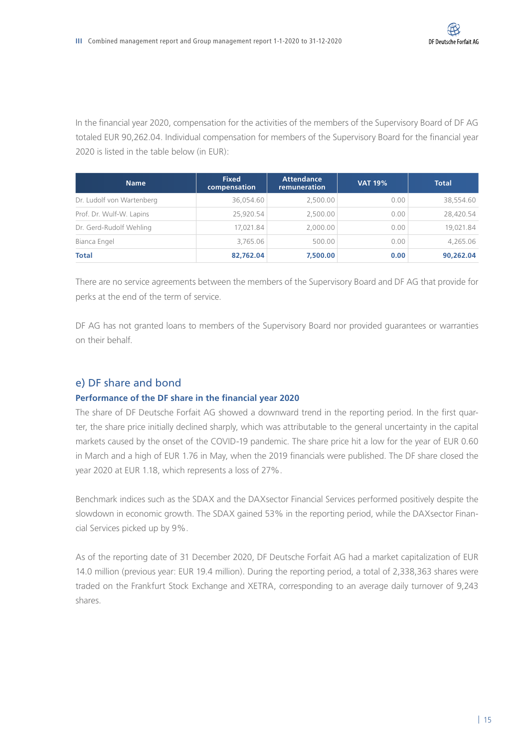In the financial year 2020, compensation for the activities of the members of the Supervisory Board of DF AG totaled EUR 90,262.04. Individual compensation for members of the Supervisory Board for the financial year 2020 is listed in the table below (in EUR):

| <b>Name</b>               | <b>Fixed</b><br>compensation | <b>Attendance</b><br>remuneration | <b>VAT 19%</b> | <b>Total</b> |
|---------------------------|------------------------------|-----------------------------------|----------------|--------------|
| Dr. Ludolf von Wartenberg | 36,054.60                    | 2,500.00                          | 0.00           | 38,554.60    |
| Prof. Dr. Wulf-W. Lapins  | 25.920.54                    | 2,500.00                          | 0.00           | 28,420.54    |
| Dr. Gerd-Rudolf Wehling   | 17,021.84                    | 2,000.00                          | 0.00           | 19,021.84    |
| Bianca Engel              | 3,765.06                     | 500.00                            | 0.00           | 4,265.06     |
| <b>Total</b>              | 82,762.04                    | 7,500.00                          | 0.00           | 90,262.04    |

There are no service agreements between the members of the Supervisory Board and DF AG that provide for perks at the end of the term of service.

DF AG has not granted loans to members of the Supervisory Board nor provided guarantees or warranties on their behalf.

#### e) DF share and bond

#### **Performance of the DF share in the financial year 2020**

The share of DF Deutsche Forfait AG showed a downward trend in the reporting period. In the first quarter, the share price initially declined sharply, which was attributable to the general uncertainty in the capital markets caused by the onset of the COVID-19 pandemic. The share price hit a low for the year of EUR 0.60 in March and a high of EUR 1.76 in May, when the 2019 financials were published. The DF share closed the year 2020 at EUR 1.18, which represents a loss of 27%.

Benchmark indices such as the SDAX and the DAXsector Financial Services performed positively despite the slowdown in economic growth. The SDAX gained 53% in the reporting period, while the DAXsector Financial Services picked up by 9%.

As of the reporting date of 31 December 2020, DF Deutsche Forfait AG had a market capitalization of EUR 14.0 million (previous year: EUR 19.4 million). During the reporting period, a total of 2,338,363 shares were traded on the Frankfurt Stock Exchange and XETRA, corresponding to an average daily turnover of 9,243 shares.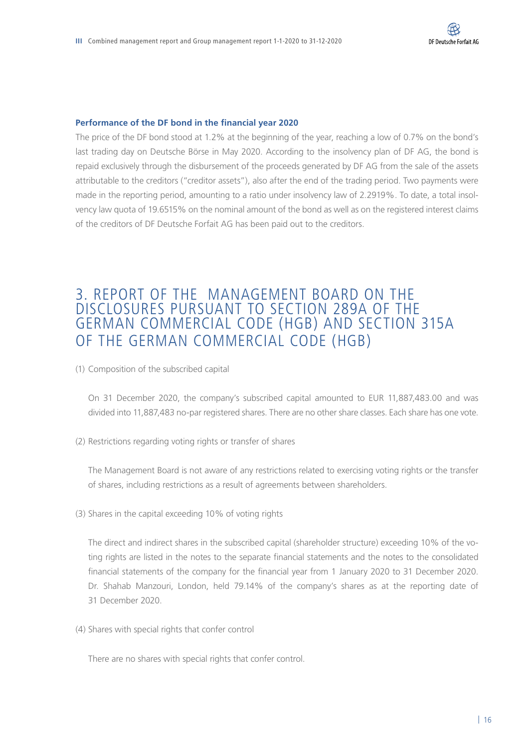#### **Performance of the DF bond in the financial year 2020**

The price of the DF bond stood at 1.2% at the beginning of the year, reaching a low of 0.7% on the bond's last trading day on Deutsche Börse in May 2020. According to the insolvency plan of DF AG, the bond is repaid exclusively through the disbursement of the proceeds generated by DF AG from the sale of the assets attributable to the creditors ("creditor assets"), also after the end of the trading period. Two payments were made in the reporting period, amounting to a ratio under insolvency law of 2.2919%. To date, a total insolvency law quota of 19.6515% on the nominal amount of the bond as well as on the registered interest claims of the creditors of DF Deutsche Forfait AG has been paid out to the creditors.

## 3. REPORT OF THE MANAGEMENT BOARD ON THE DISCLOSURES PURSUANT TO SECTION 289A OF THE GERMAN COMMERCIAL CODE (HGB) AND SECTION 315A OF THE GERMAN COMMERCIAL CODE (HGB)

(1) Composition of the subscribed capital

On 31 December 2020, the company's subscribed capital amounted to EUR 11,887,483.00 and was divided into 11,887,483 no-par registered shares. There are no other share classes. Each share has one vote.

(2) Restrictions regarding voting rights or transfer of shares

The Management Board is not aware of any restrictions related to exercising voting rights or the transfer of shares, including restrictions as a result of agreements between shareholders.

(3) Shares in the capital exceeding 10% of voting rights

The direct and indirect shares in the subscribed capital (shareholder structure) exceeding 10% of the voting rights are listed in the notes to the separate financial statements and the notes to the consolidated financial statements of the company for the financial year from 1 January 2020 to 31 December 2020. Dr. Shahab Manzouri, London, held 79.14% of the company's shares as at the reporting date of 31 December 2020.

(4) Shares with special rights that confer control

There are no shares with special rights that confer control.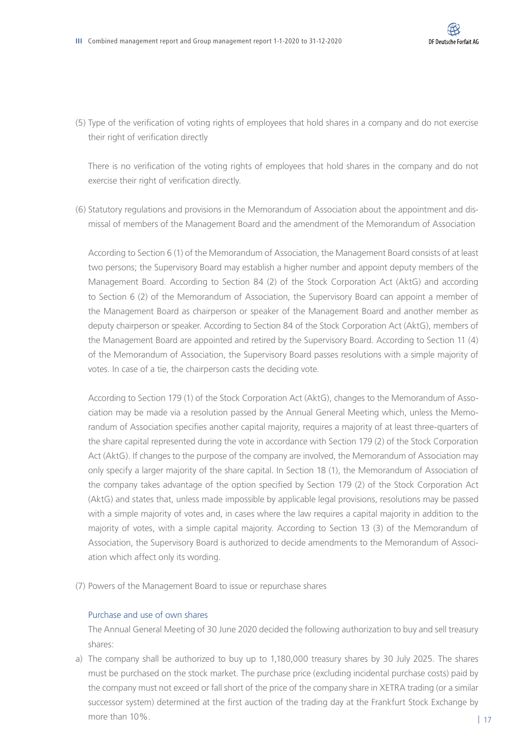(5) Type of the verification of voting rights of employees that hold shares in a company and do not exercise their right of verification directly

There is no verification of the voting rights of employees that hold shares in the company and do not exercise their right of verification directly.

(6) Statutory regulations and provisions in the Memorandum of Association about the appointment and dismissal of members of the Management Board and the amendment of the Memorandum of Association

According to Section 6 (1) of the Memorandum of Association, the Management Board consists of at least two persons; the Supervisory Board may establish a higher number and appoint deputy members of the Management Board. According to Section 84 (2) of the Stock Corporation Act (AktG) and according to Section 6 (2) of the Memorandum of Association, the Supervisory Board can appoint a member of the Management Board as chairperson or speaker of the Management Board and another member as deputy chairperson or speaker. According to Section 84 of the Stock Corporation Act (AktG), members of the Management Board are appointed and retired by the Supervisory Board. According to Section 11 (4) of the Memorandum of Association, the Supervisory Board passes resolutions with a simple majority of votes. In case of a tie, the chairperson casts the deciding vote.

According to Section 179 (1) of the Stock Corporation Act (AktG), changes to the Memorandum of Association may be made via a resolution passed by the Annual General Meeting which, unless the Memorandum of Association specifies another capital majority, requires a majority of at least three-quarters of the share capital represented during the vote in accordance with Section 179 (2) of the Stock Corporation Act (AktG). If changes to the purpose of the company are involved, the Memorandum of Association may only specify a larger majority of the share capital. In Section 18 (1), the Memorandum of Association of the company takes advantage of the option specified by Section 179 (2) of the Stock Corporation Act (AktG) and states that, unless made impossible by applicable legal provisions, resolutions may be passed with a simple majority of votes and, in cases where the law requires a capital majority in addition to the majority of votes, with a simple capital majority. According to Section 13 (3) of the Memorandum of Association, the Supervisory Board is authorized to decide amendments to the Memorandum of Association which affect only its wording.

(7) Powers of the Management Board to issue or repurchase shares

#### Purchase and use of own shares

The Annual General Meeting of 30 June 2020 decided the following authorization to buy and sell treasury shares:

a) The company shall be authorized to buy up to 1,180,000 treasury shares by 30 July 2025. The shares must be purchased on the stock market. The purchase price (excluding incidental purchase costs) paid by the company must not exceed or fall short of the price of the company share in XETRA trading (or a similar successor system) determined at the first auction of the trading day at the Frankfurt Stock Exchange by more than 10%.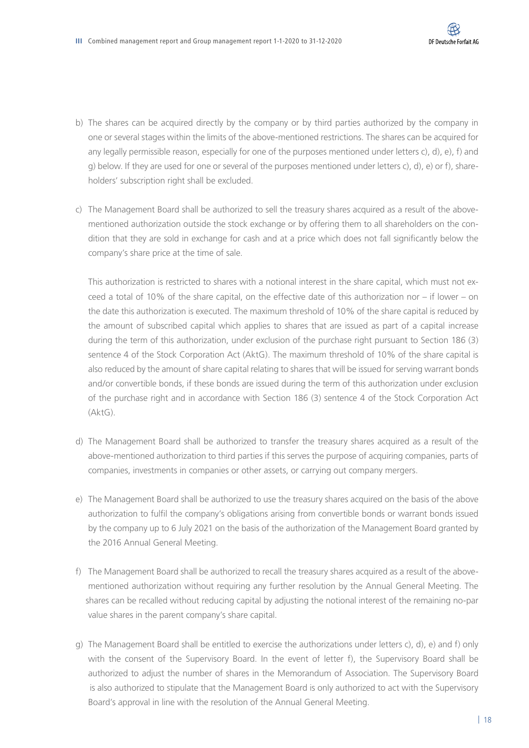- b) The shares can be acquired directly by the company or by third parties authorized by the company in one or several stages within the limits of the above-mentioned restrictions. The shares can be acquired for any legally permissible reason, especially for one of the purposes mentioned under letters c), d), e), f) and g) below. If they are used for one or several of the purposes mentioned under letters c), d), e) or f), shareholders' subscription right shall be excluded.
- c) The Management Board shall be authorized to sell the treasury shares acquired as a result of the abovementioned authorization outside the stock exchange or by offering them to all shareholders on the condition that they are sold in exchange for cash and at a price which does not fall significantly below the company's share price at the time of sale.

This authorization is restricted to shares with a notional interest in the share capital, which must not exceed a total of 10% of the share capital, on the effective date of this authorization nor – if lower – on the date this authorization is executed. The maximum threshold of 10% of the share capital is reduced by the amount of subscribed capital which applies to shares that are issued as part of a capital increase during the term of this authorization, under exclusion of the purchase right pursuant to Section 186 (3) sentence 4 of the Stock Corporation Act (AktG). The maximum threshold of 10% of the share capital is also reduced by the amount of share capital relating to shares that will be issued for serving warrant bonds and/or convertible bonds, if these bonds are issued during the term of this authorization under exclusion of the purchase right and in accordance with Section 186 (3) sentence 4 of the Stock Corporation Act (AktG).

- d) The Management Board shall be authorized to transfer the treasury shares acquired as a result of the above-mentioned authorization to third parties if this serves the purpose of acquiring companies, parts of companies, investments in companies or other assets, or carrying out company mergers.
- e) The Management Board shall be authorized to use the treasury shares acquired on the basis of the above authorization to fulfil the company's obligations arising from convertible bonds or warrant bonds issued by the company up to 6 July 2021 on the basis of the authorization of the Management Board granted by the 2016 Annual General Meeting.
- f) The Management Board shall be authorized to recall the treasury shares acquired as a result of the abovementioned authorization without requiring any further resolution by the Annual General Meeting. The shares can be recalled without reducing capital by adjusting the notional interest of the remaining no-par value shares in the parent company's share capital.
- g) The Management Board shall be entitled to exercise the authorizations under letters c), d), e) and f) only with the consent of the Supervisory Board. In the event of letter f), the Supervisory Board shall be authorized to adjust the number of shares in the Memorandum of Association. The Supervisory Board is also authorized to stipulate that the Management Board is only authorized to act with the Supervisory Board's approval in line with the resolution of the Annual General Meeting.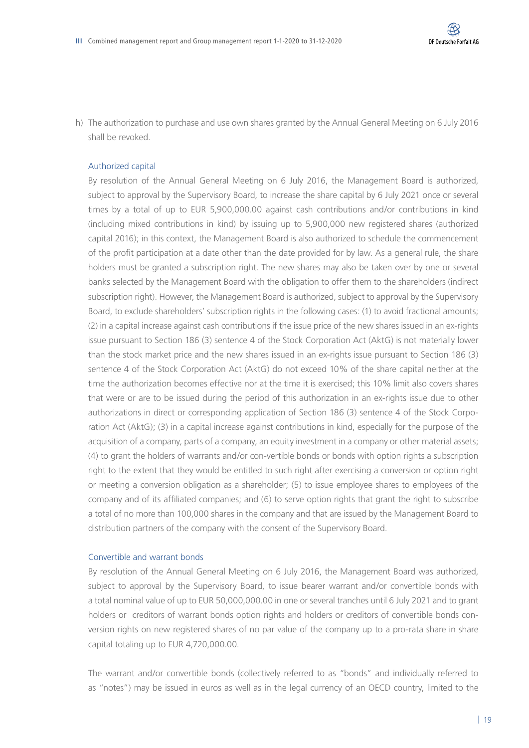h) The authorization to purchase and use own shares granted by the Annual General Meeting on 6 July 2016 shall be revoked.

#### Authorized capital

By resolution of the Annual General Meeting on 6 July 2016, the Management Board is authorized, subject to approval by the Supervisory Board, to increase the share capital by 6 July 2021 once or several times by a total of up to EUR 5,900,000.00 against cash contributions and/or contributions in kind (including mixed contributions in kind) by issuing up to 5,900,000 new registered shares (authorized capital 2016); in this context, the Management Board is also authorized to schedule the commencement of the profit participation at a date other than the date provided for by law. As a general rule, the share holders must be granted a subscription right. The new shares may also be taken over by one or several banks selected by the Management Board with the obligation to offer them to the shareholders (indirect subscription right). However, the Management Board is authorized, subject to approval by the Supervisory Board, to exclude shareholders' subscription rights in the following cases: (1) to avoid fractional amounts; (2) in a capital increase against cash contributions if the issue price of the new shares issued in an ex-rights issue pursuant to Section 186 (3) sentence 4 of the Stock Corporation Act (AktG) is not materially lower than the stock market price and the new shares issued in an ex-rights issue pursuant to Section 186 (3) sentence 4 of the Stock Corporation Act (AktG) do not exceed 10% of the share capital neither at the time the authorization becomes effective nor at the time it is exercised; this 10% limit also covers shares that were or are to be issued during the period of this authorization in an ex-rights issue due to other authorizations in direct or corresponding application of Section 186 (3) sentence 4 of the Stock Corporation Act (AktG); (3) in a capital increase against contributions in kind, especially for the purpose of the acquisition of a company, parts of a company, an equity investment in a company or other material assets; (4) to grant the holders of warrants and/or con-vertible bonds or bonds with option rights a subscription right to the extent that they would be entitled to such right after exercising a conversion or option right or meeting a conversion obligation as a shareholder; (5) to issue employee shares to employees of the company and of its affiliated companies; and (6) to serve option rights that grant the right to subscribe a total of no more than 100,000 shares in the company and that are issued by the Management Board to distribution partners of the company with the consent of the Supervisory Board.

#### Convertible and warrant bonds

By resolution of the Annual General Meeting on 6 July 2016, the Management Board was authorized, subject to approval by the Supervisory Board, to issue bearer warrant and/or convertible bonds with a total nominal value of up to EUR 50,000,000.00 in one or several tranches until 6 July 2021 and to grant holders or creditors of warrant bonds option rights and holders or creditors of convertible bonds conversion rights on new registered shares of no par value of the company up to a pro-rata share in share capital totaling up to EUR 4,720,000.00.

The warrant and/or convertible bonds (collectively referred to as "bonds" and individually referred to as "notes") may be issued in euros as well as in the legal currency of an OECD country, limited to the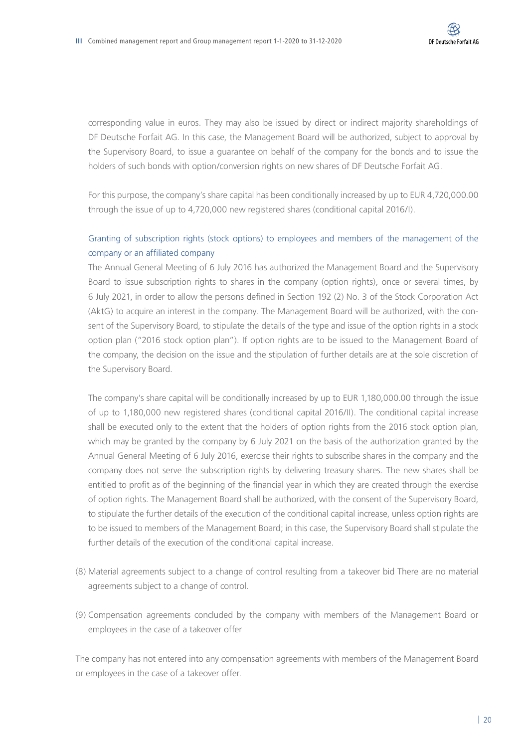corresponding value in euros. They may also be issued by direct or indirect majority shareholdings of DF Deutsche Forfait AG. In this case, the Management Board will be authorized, subject to approval by the Supervisory Board, to issue a guarantee on behalf of the company for the bonds and to issue the holders of such bonds with option/conversion rights on new shares of DF Deutsche Forfait AG.

For this purpose, the company's share capital has been conditionally increased by up to EUR 4,720,000.00 through the issue of up to 4,720,000 new registered shares (conditional capital 2016/I).

#### Granting of subscription rights (stock options) to employees and members of the management of the company or an affiliated company

The Annual General Meeting of 6 July 2016 has authorized the Management Board and the Supervisory Board to issue subscription rights to shares in the company (option rights), once or several times, by 6 July 2021, in order to allow the persons defined in Section 192 (2) No. 3 of the Stock Corporation Act (AktG) to acquire an interest in the company. The Management Board will be authorized, with the consent of the Supervisory Board, to stipulate the details of the type and issue of the option rights in a stock option plan ("2016 stock option plan"). If option rights are to be issued to the Management Board of the company, the decision on the issue and the stipulation of further details are at the sole discretion of the Supervisory Board.

The company's share capital will be conditionally increased by up to EUR 1,180,000.00 through the issue of up to 1,180,000 new registered shares (conditional capital 2016/II). The conditional capital increase shall be executed only to the extent that the holders of option rights from the 2016 stock option plan, which may be granted by the company by 6 July 2021 on the basis of the authorization granted by the Annual General Meeting of 6 July 2016, exercise their rights to subscribe shares in the company and the company does not serve the subscription rights by delivering treasury shares. The new shares shall be entitled to profit as of the beginning of the financial year in which they are created through the exercise of option rights. The Management Board shall be authorized, with the consent of the Supervisory Board, to stipulate the further details of the execution of the conditional capital increase, unless option rights are to be issued to members of the Management Board; in this case, the Supervisory Board shall stipulate the further details of the execution of the conditional capital increase.

- (8) Material agreements subject to a change of control resulting from a takeover bid There are no material agreements subject to a change of control.
- (9) Compensation agreements concluded by the company with members of the Management Board or employees in the case of a takeover offer

The company has not entered into any compensation agreements with members of the Management Board or employees in the case of a takeover offer.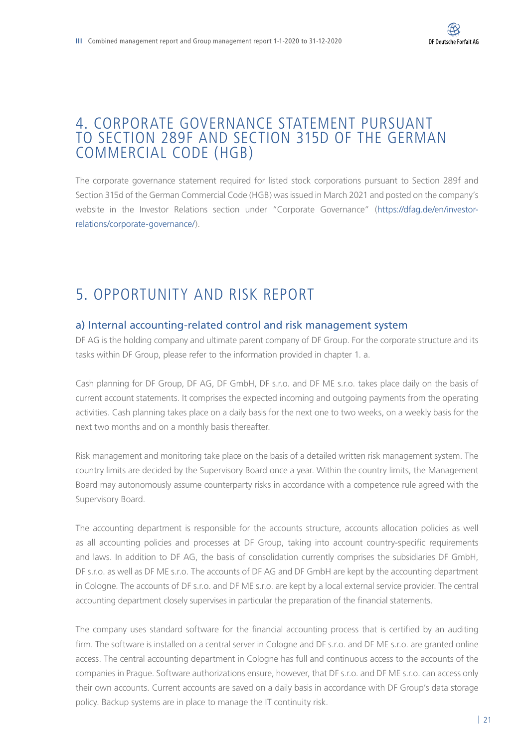## 4. CORPORATE GOVERNANCE STATEMENT PURSUANT TO SECTION 289F AND SECTION 315D OF THE GERMAN COMMERCIAL CODE (HGB)

The corporate governance statement required for listed stock corporations pursuant to Section 289f and Section 315d of the German Commercial Code (HGB) was issued in March 2021 and posted on the company's website in the Investor Relations section under "Corporate Governance" ([https://dfag.de/en/investor](https://dfag.de/en/investor-relations/corporate-governance/)[relations/corporate-governance/](https://dfag.de/en/investor-relations/corporate-governance/)).

## 5. OPPORTUNITY AND RISK REPORT

#### a) Internal accounting-related control and risk management system

DF AG is the holding company and ultimate parent company of DF Group. For the corporate structure and its tasks within DF Group, please refer to the information provided in chapter 1. a.

Cash planning for DF Group, DF AG, DF GmbH, DF s.r.o. and DF ME s.r.o. takes place daily on the basis of current account statements. It comprises the expected incoming and outgoing payments from the operating activities. Cash planning takes place on a daily basis for the next one to two weeks, on a weekly basis for the next two months and on a monthly basis thereafter.

Risk management and monitoring take place on the basis of a detailed written risk management system. The country limits are decided by the Supervisory Board once a year. Within the country limits, the Management Board may autonomously assume counterparty risks in accordance with a competence rule agreed with the Supervisory Board.

The accounting department is responsible for the accounts structure, accounts allocation policies as well as all accounting policies and processes at DF Group, taking into account country-specific requirements and laws. In addition to DF AG, the basis of consolidation currently comprises the subsidiaries DF GmbH, DF s.r.o. as well as DF ME s.r.o. The accounts of DF AG and DF GmbH are kept by the accounting department in Cologne. The accounts of DF s.r.o. and DF ME s.r.o. are kept by a local external service provider. The central accounting department closely supervises in particular the preparation of the financial statements.

The company uses standard software for the financial accounting process that is certified by an auditing firm. The software is installed on a central server in Cologne and DF s.r.o. and DF ME s.r.o. are granted online access. The central accounting department in Cologne has full and continuous access to the accounts of the companies in Prague. Software authorizations ensure, however, that DF s.r.o. and DF ME s.r.o. can access only their own accounts. Current accounts are saved on a daily basis in accordance with DF Group's data storage policy. Backup systems are in place to manage the IT continuity risk.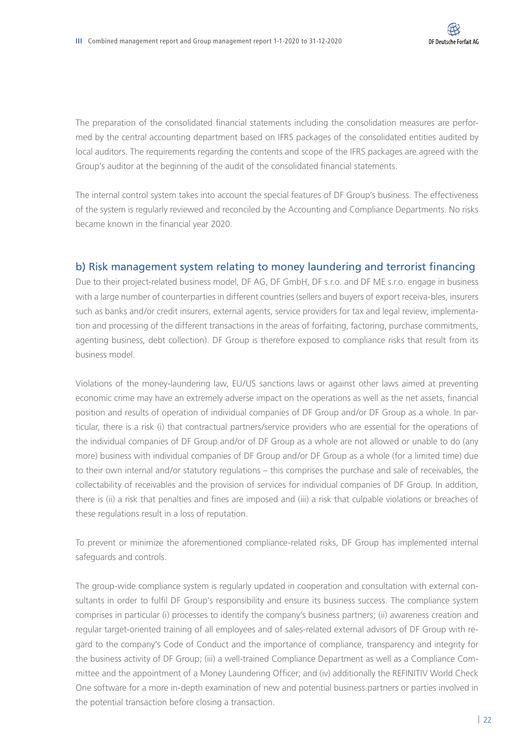The preparation of the consolidated financial statements including the consolidation measures are performed by the central accounting department based on IFRS packages of the consolidated entities audited by local auditors. The requirements regarding the contents and scope of the IFRS packages are agreed with the Group's auditor at the beginning of the audit of the consolidated financial statements.

The internal control system takes into account the special features of DF Group's business. The effectiveness of the system is regularly reviewed and reconciled by the Accounting and Compliance Departments. No risks became known in the financial year 2020.

#### b) Risk management system relating to money laundering and terrorist financing

Due to their project-related business model, DF AG, DF GmbH, DF s.r.o. and DF ME s.r.o. engage in business with a large number of counterparties in different countries (sellers and buyers of export receiva-bles, insurers such as banks and/or credit insurers, external agents, service providers for tax and legal review, implementation and processing of the different transactions in the areas of forfaiting, factoring, purchase commitments, agenting business, debt collection). DF Group is therefore exposed to compliance risks that result from its business model.

Violations of the money-laundering law, EU/US sanctions laws or against other laws aimed at preventing economic crime may have an extremely adverse impact on the operations as well as the net assets, financial position and results of operation of individual companies of DF Group and/or DF Group as a whole. In particular, there is a risk (i) that contractual partners/service providers who are essential for the operations of the individual companies of DF Group and/or of DF Group as a whole are not allowed or unable to do (any more) business with individual companies of DF Group and/or DF Group as a whole (for a limited time) due to their own internal and/or statutory regulations – this comprises the purchase and sale of receivables, the collectability of receivables and the provision of services for individual companies of DF Group. In addition, there is (ii) a risk that penalties and fines are imposed and (iii) a risk that culpable violations or breaches of these regulations result in a loss of reputation.

To prevent or minimize the aforementioned compliance-related risks, DF Group has implemented internal safeguards and controls.

The group-wide compliance system is regularly updated in cooperation and consultation with external consultants in order to fulfil DF Group's responsibility and ensure its business success. The compliance system comprises in particular (i) processes to identify the company's business partners; (ii) awareness creation and regular target-oriented training of all employees and of sales-related external advisors of DF Group with regard to the company's Code of Conduct and the importance of compliance, transparency and integrity for the business activity of DF Group; (iii) a well-trained Compliance Department as well as a Compliance Committee and the appointment of a Money Laundering Officer; and (iv) additionally the REFINITIV World Check One software for a more in-depth examination of new and potential business partners or parties involved in the potential transaction before closing a transaction.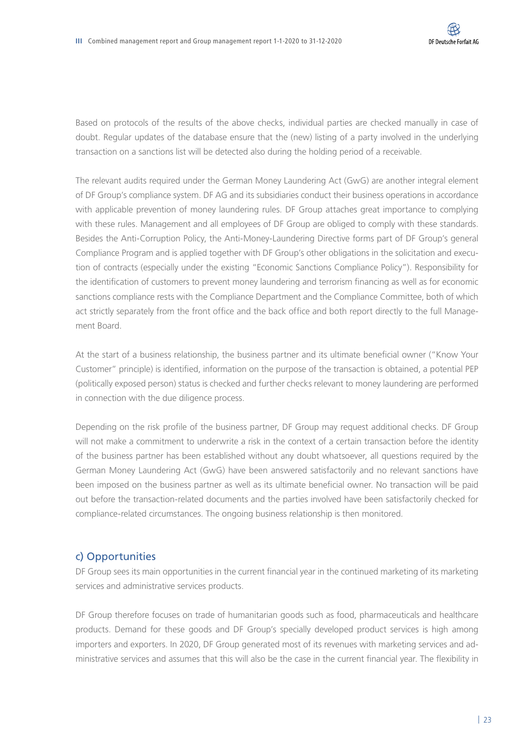Based on protocols of the results of the above checks, individual parties are checked manually in case of doubt. Regular updates of the database ensure that the (new) listing of a party involved in the underlying transaction on a sanctions list will be detected also during the holding period of a receivable.

The relevant audits required under the German Money Laundering Act (GwG) are another integral element of DF Group's compliance system. DF AG and its subsidiaries conduct their business operations in accordance with applicable prevention of money laundering rules. DF Group attaches great importance to complying with these rules. Management and all employees of DF Group are obliged to comply with these standards. Besides the Anti-Corruption Policy, the Anti-Money-Laundering Directive forms part of DF Group's general Compliance Program and is applied together with DF Group's other obligations in the solicitation and execution of contracts (especially under the existing "Economic Sanctions Compliance Policy"). Responsibility for the identification of customers to prevent money laundering and terrorism financing as well as for economic sanctions compliance rests with the Compliance Department and the Compliance Committee, both of which act strictly separately from the front office and the back office and both report directly to the full Management Board.

At the start of a business relationship, the business partner and its ultimate beneficial owner ("Know Your Customer" principle) is identified, information on the purpose of the transaction is obtained, a potential PEP (politically exposed person) status is checked and further checks relevant to money laundering are performed in connection with the due diligence process.

Depending on the risk profile of the business partner, DF Group may request additional checks. DF Group will not make a commitment to underwrite a risk in the context of a certain transaction before the identity of the business partner has been established without any doubt whatsoever, all questions required by the German Money Laundering Act (GwG) have been answered satisfactorily and no relevant sanctions have been imposed on the business partner as well as its ultimate beneficial owner. No transaction will be paid out before the transaction-related documents and the parties involved have been satisfactorily checked for compliance-related circumstances. The ongoing business relationship is then monitored.

#### c) Opportunities

DF Group sees its main opportunities in the current financial year in the continued marketing of its marketing services and administrative services products.

DF Group therefore focuses on trade of humanitarian goods such as food, pharmaceuticals and healthcare products. Demand for these goods and DF Group's specially developed product services is high among importers and exporters. In 2020, DF Group generated most of its revenues with marketing services and administrative services and assumes that this will also be the case in the current financial year. The flexibility in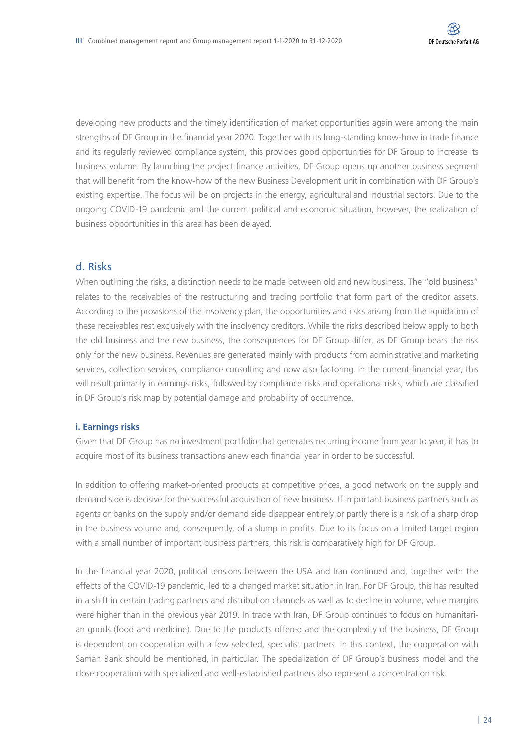developing new products and the timely identification of market opportunities again were among the main strengths of DF Group in the financial year 2020. Together with its long-standing know-how in trade finance and its regularly reviewed compliance system, this provides good opportunities for DF Group to increase its business volume. By launching the project finance activities, DF Group opens up another business segment that will benefit from the know-how of the new Business Development unit in combination with DF Group's existing expertise. The focus will be on projects in the energy, agricultural and industrial sectors. Due to the ongoing COVID-19 pandemic and the current political and economic situation, however, the realization of business opportunities in this area has been delayed.

#### d. Risks

When outlining the risks, a distinction needs to be made between old and new business. The "old business" relates to the receivables of the restructuring and trading portfolio that form part of the creditor assets. According to the provisions of the insolvency plan, the opportunities and risks arising from the liquidation of these receivables rest exclusively with the insolvency creditors. While the risks described below apply to both the old business and the new business, the consequences for DF Group differ, as DF Group bears the risk only for the new business. Revenues are generated mainly with products from administrative and marketing services, collection services, compliance consulting and now also factoring. In the current financial year, this will result primarily in earnings risks, followed by compliance risks and operational risks, which are classified in DF Group's risk map by potential damage and probability of occurrence.

#### **i. Earnings risks**

Given that DF Group has no investment portfolio that generates recurring income from year to year, it has to acquire most of its business transactions anew each financial year in order to be successful.

In addition to offering market-oriented products at competitive prices, a good network on the supply and demand side is decisive for the successful acquisition of new business. If important business partners such as agents or banks on the supply and/or demand side disappear entirely or partly there is a risk of a sharp drop in the business volume and, consequently, of a slump in profits. Due to its focus on a limited target region with a small number of important business partners, this risk is comparatively high for DF Group.

In the financial year 2020, political tensions between the USA and Iran continued and, together with the effects of the COVID-19 pandemic, led to a changed market situation in Iran. For DF Group, this has resulted in a shift in certain trading partners and distribution channels as well as to decline in volume, while margins were higher than in the previous year 2019. In trade with Iran, DF Group continues to focus on humanitarian goods (food and medicine). Due to the products offered and the complexity of the business, DF Group is dependent on cooperation with a few selected, specialist partners. In this context, the cooperation with Saman Bank should be mentioned, in particular. The specialization of DF Group's business model and the close cooperation with specialized and well-established partners also represent a concentration risk.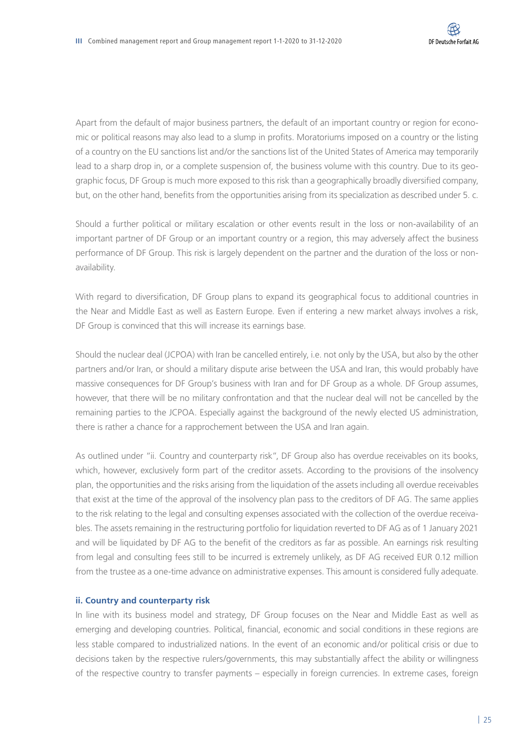Apart from the default of major business partners, the default of an important country or region for economic or political reasons may also lead to a slump in profits. Moratoriums imposed on a country or the listing of a country on the EU sanctions list and/or the sanctions list of the United States of America may temporarily lead to a sharp drop in, or a complete suspension of, the business volume with this country. Due to its geographic focus, DF Group is much more exposed to this risk than a geographically broadly diversified company, but, on the other hand, benefits from the opportunities arising from its specialization as described under 5. c.

Should a further political or military escalation or other events result in the loss or non-availability of an important partner of DF Group or an important country or a region, this may adversely affect the business performance of DF Group. This risk is largely dependent on the partner and the duration of the loss or nonavailability.

With regard to diversification, DF Group plans to expand its geographical focus to additional countries in the Near and Middle East as well as Eastern Europe. Even if entering a new market always involves a risk, DF Group is convinced that this will increase its earnings base.

Should the nuclear deal (JCPOA) with Iran be cancelled entirely, i.e. not only by the USA, but also by the other partners and/or Iran, or should a military dispute arise between the USA and Iran, this would probably have massive consequences for DF Group's business with Iran and for DF Group as a whole. DF Group assumes, however, that there will be no military confrontation and that the nuclear deal will not be cancelled by the remaining parties to the JCPOA. Especially against the background of the newly elected US administration, there is rather a chance for a rapprochement between the USA and Iran again.

As outlined under "ii. Country and counterparty risk", DF Group also has overdue receivables on its books, which, however, exclusively form part of the creditor assets. According to the provisions of the insolvency plan, the opportunities and the risks arising from the liquidation of the assets including all overdue receivables that exist at the time of the approval of the insolvency plan pass to the creditors of DF AG. The same applies to the risk relating to the legal and consulting expenses associated with the collection of the overdue receivables. The assets remaining in the restructuring portfolio for liquidation reverted to DF AG as of 1 January 2021 and will be liquidated by DF AG to the benefit of the creditors as far as possible. An earnings risk resulting from legal and consulting fees still to be incurred is extremely unlikely, as DF AG received EUR 0.12 million from the trustee as a one-time advance on administrative expenses. This amount is considered fully adequate.

#### **ii. Country and counterparty risk**

In line with its business model and strategy, DF Group focuses on the Near and Middle East as well as emerging and developing countries. Political, financial, economic and social conditions in these regions are less stable compared to industrialized nations. In the event of an economic and/or political crisis or due to decisions taken by the respective rulers/governments, this may substantially affect the ability or willingness of the respective country to transfer payments – especially in foreign currencies. In extreme cases, foreign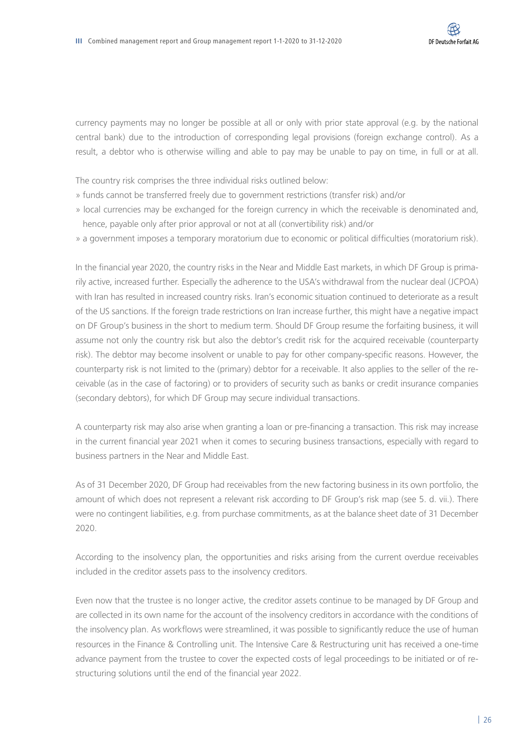currency payments may no longer be possible at all or only with prior state approval (e.g. by the national central bank) due to the introduction of corresponding legal provisions (foreign exchange control). As a result, a debtor who is otherwise willing and able to pay may be unable to pay on time, in full or at all.

The country risk comprises the three individual risks outlined below:

- » funds cannot be transferred freely due to government restrictions (transfer risk) and/or
- » local currencies may be exchanged for the foreign currency in which the receivable is denominated and, hence, payable only after prior approval or not at all (convertibility risk) and/or
- » a government imposes a temporary moratorium due to economic or political difficulties (moratorium risk).

In the financial year 2020, the country risks in the Near and Middle East markets, in which DF Group is primarily active, increased further. Especially the adherence to the USA's withdrawal from the nuclear deal (JCPOA) with Iran has resulted in increased country risks. Iran's economic situation continued to deteriorate as a result of the US sanctions. If the foreign trade restrictions on Iran increase further, this might have a negative impact on DF Group's business in the short to medium term. Should DF Group resume the forfaiting business, it will assume not only the country risk but also the debtor's credit risk for the acquired receivable (counterparty risk). The debtor may become insolvent or unable to pay for other company-specific reasons. However, the counterparty risk is not limited to the (primary) debtor for a receivable. It also applies to the seller of the receivable (as in the case of factoring) or to providers of security such as banks or credit insurance companies (secondary debtors), for which DF Group may secure individual transactions.

A counterparty risk may also arise when granting a loan or pre-financing a transaction. This risk may increase in the current financial year 2021 when it comes to securing business transactions, especially with regard to business partners in the Near and Middle East.

As of 31 December 2020, DF Group had receivables from the new factoring business in its own portfolio, the amount of which does not represent a relevant risk according to DF Group's risk map (see 5. d. vii.). There were no contingent liabilities, e.g. from purchase commitments, as at the balance sheet date of 31 December 2020.

According to the insolvency plan, the opportunities and risks arising from the current overdue receivables included in the creditor assets pass to the insolvency creditors.

Even now that the trustee is no longer active, the creditor assets continue to be managed by DF Group and are collected in its own name for the account of the insolvency creditors in accordance with the conditions of the insolvency plan. As workflows were streamlined, it was possible to significantly reduce the use of human resources in the Finance & Controlling unit. The Intensive Care & Restructuring unit has received a one-time advance payment from the trustee to cover the expected costs of legal proceedings to be initiated or of restructuring solutions until the end of the financial year 2022.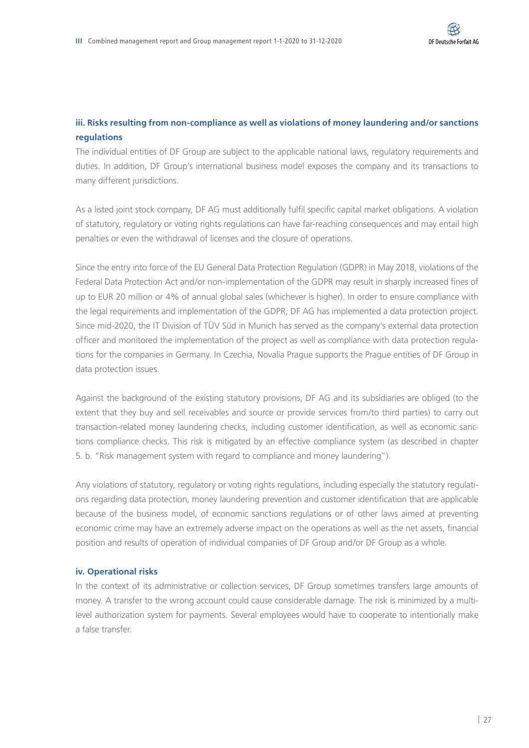#### **iii. Risks resulting from non-compliance as well as violations of money laundering and/or sanctions regulations**

The individual entities of DF Group are subject to the applicable national laws, regulatory requirements and duties. In addition, DF Group's international business model exposes the company and its transactions to many different jurisdictions.

As a listed joint stock company, DF AG must additionally fulfil specific capital market obligations. A violation of statutory, regulatory or voting rights regulations can have far-reaching consequences and may entail high penalties or even the withdrawal of licenses and the closure of operations.

Since the entry into force of the EU General Data Protection Regulation (GDPR) in May 2018, violations of the Federal Data Protection Act and/or non-implementation of the GDPR may result in sharply increased fines of up to EUR 20 million or 4% of annual global sales (whichever is higher). In order to ensure compliance with the legal requirements and implementation of the GDPR, DF AG has implemented a data protection project. Since mid-2020, the IT Division of TÜV Süd in Munich has served as the company's external data protection officer and monitored the implementation of the project as well as compliance with data protection regulations for the companies in Germany. In Czechia, Novalia Prague supports the Prague entities of DF Group in data protection issues.

Against the background of the existing statutory provisions, DF AG and its subsidiaries are obliged (to the extent that they buy and sell receivables and source or provide services from/to third parties) to carry out transaction-related money laundering checks, including customer identification, as well as economic sanctions compliance checks. This risk is mitigated by an effective compliance system (as described in chapter 5. b. "Risk management system with regard to compliance and money laundering").

Any violations of statutory, regulatory or voting rights regulations, including especially the statutory regulations regarding data protection, money laundering prevention and customer identification that are applicable because of the business model, of economic sanctions regulations or of other laws aimed at preventing economic crime may have an extremely adverse impact on the operations as well as the net assets, financial position and results of operation of individual companies of DF Group and/or DF Group as a whole.

#### **iv. Operational risks**

In the context of its administrative or collection services, DF Group sometimes transfers large amounts of money. A transfer to the wrong account could cause considerable damage. The risk is minimized by a multilevel authorization system for payments. Several employees would have to cooperate to intentionally make a false transfer.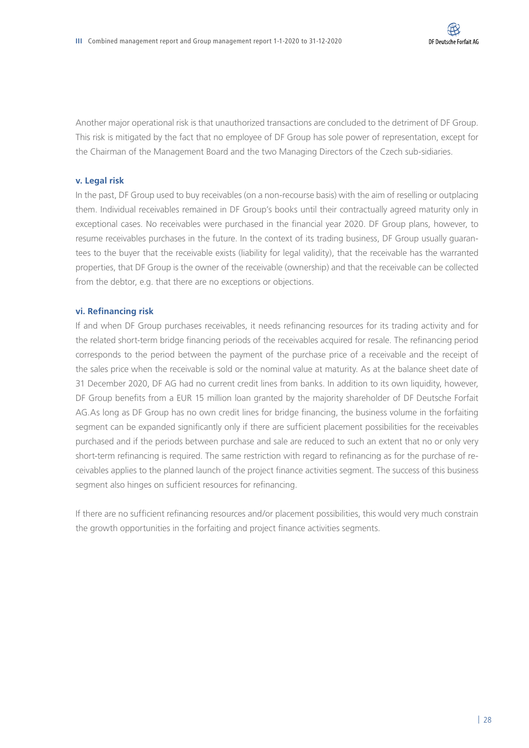Another major operational risk is that unauthorized transactions are concluded to the detriment of DF Group. This risk is mitigated by the fact that no employee of DF Group has sole power of representation, except for the Chairman of the Management Board and the two Managing Directors of the Czech sub-sidiaries.

#### **v. Legal risk**

In the past, DF Group used to buy receivables (on a non-recourse basis) with the aim of reselling or outplacing them. Individual receivables remained in DF Group's books until their contractually agreed maturity only in exceptional cases. No receivables were purchased in the financial year 2020. DF Group plans, however, to resume receivables purchases in the future. In the context of its trading business, DF Group usually guarantees to the buyer that the receivable exists (liability for legal validity), that the receivable has the warranted properties, that DF Group is the owner of the receivable (ownership) and that the receivable can be collected from the debtor, e.g. that there are no exceptions or objections.

#### **vi. Refinancing risk**

If and when DF Group purchases receivables, it needs refinancing resources for its trading activity and for the related short-term bridge financing periods of the receivables acquired for resale. The refinancing period corresponds to the period between the payment of the purchase price of a receivable and the receipt of the sales price when the receivable is sold or the nominal value at maturity. As at the balance sheet date of 31 December 2020, DF AG had no current credit lines from banks. In addition to its own liquidity, however, DF Group benefits from a EUR 15 million loan granted by the majority shareholder of DF Deutsche Forfait AG.As long as DF Group has no own credit lines for bridge financing, the business volume in the forfaiting segment can be expanded significantly only if there are sufficient placement possibilities for the receivables purchased and if the periods between purchase and sale are reduced to such an extent that no or only very short-term refinancing is required. The same restriction with regard to refinancing as for the purchase of receivables applies to the planned launch of the project finance activities segment. The success of this business segment also hinges on sufficient resources for refinancing.

If there are no sufficient refinancing resources and/or placement possibilities, this would very much constrain the growth opportunities in the forfaiting and project finance activities segments.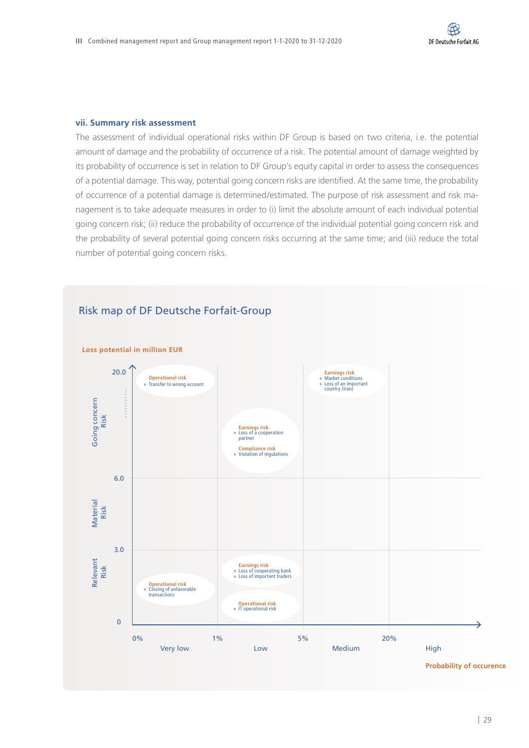#### **vii. Summary risk assessment**

The assessment of individual operational risks within DF Group is based on two criteria, i.e. the potential amount of damage and the probability of occurrence of a risk. The potential amount of damage weighted by its probability of occurrence is set in relation to DF Group's equity capital in order to assess the consequences of a potential damage. This way, potential going concern risks are identified. At the same time, the probability of occurrence of a potential damage is determined/estimated. The purpose of risk assessment and risk management is to take adequate measures in order to (i) limit the absolute amount of each individual potential going concern risk; (ii) reduce the probability of occurrence of the individual potential going concern risk and the probability of several potential going concern risks occurring at the same time; and (iii) reduce the total number of potential going concern risks.



#### Risk map of DF Deutsche Forfait-Group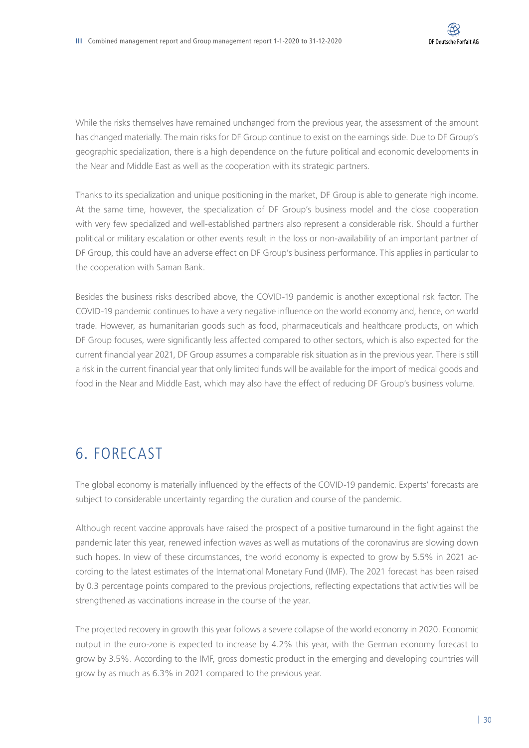While the risks themselves have remained unchanged from the previous year, the assessment of the amount has changed materially. The main risks for DF Group continue to exist on the earnings side. Due to DF Group's geographic specialization, there is a high dependence on the future political and economic developments in the Near and Middle East as well as the cooperation with its strategic partners.

Thanks to its specialization and unique positioning in the market, DF Group is able to generate high income. At the same time, however, the specialization of DF Group's business model and the close cooperation with very few specialized and well-established partners also represent a considerable risk. Should a further political or military escalation or other events result in the loss or non-availability of an important partner of DF Group, this could have an adverse effect on DF Group's business performance. This applies in particular to the cooperation with Saman Bank.

Besides the business risks described above, the COVID-19 pandemic is another exceptional risk factor. The COVID-19 pandemic continues to have a very negative influence on the world economy and, hence, on world trade. However, as humanitarian goods such as food, pharmaceuticals and healthcare products, on which DF Group focuses, were significantly less affected compared to other sectors, which is also expected for the current financial year 2021, DF Group assumes a comparable risk situation as in the previous year. There is still a risk in the current financial year that only limited funds will be available for the import of medical goods and food in the Near and Middle East, which may also have the effect of reducing DF Group's business volume.

## 6. FORECAST

The global economy is materially influenced by the effects of the COVID-19 pandemic. Experts' forecasts are subject to considerable uncertainty regarding the duration and course of the pandemic.

Although recent vaccine approvals have raised the prospect of a positive turnaround in the fight against the pandemic later this year, renewed infection waves as well as mutations of the coronavirus are slowing down such hopes. In view of these circumstances, the world economy is expected to grow by 5.5% in 2021 according to the latest estimates of the International Monetary Fund (IMF). The 2021 forecast has been raised by 0.3 percentage points compared to the previous projections, reflecting expectations that activities will be strengthened as vaccinations increase in the course of the year.

The projected recovery in growth this year follows a severe collapse of the world economy in 2020. Economic output in the euro-zone is expected to increase by 4.2% this year, with the German economy forecast to grow by 3.5%. According to the IMF, gross domestic product in the emerging and developing countries will grow by as much as 6.3% in 2021 compared to the previous year.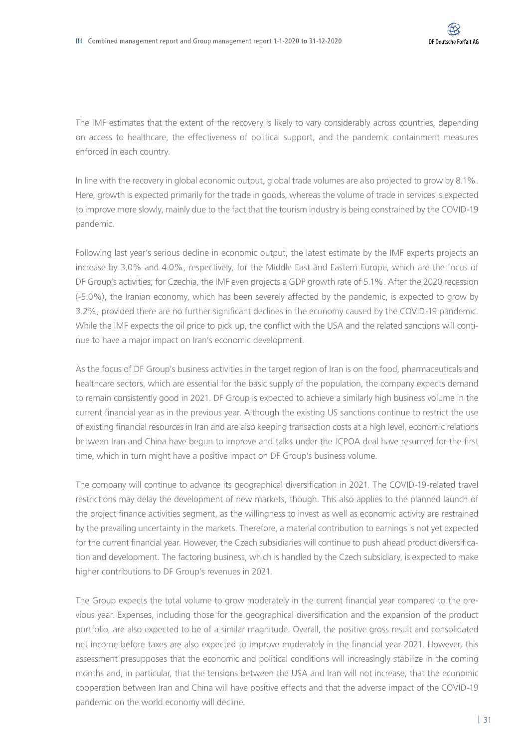The IMF estimates that the extent of the recovery is likely to vary considerably across countries, depending on access to healthcare, the effectiveness of political support, and the pandemic containment measures enforced in each country.

In line with the recovery in global economic output, global trade volumes are also projected to grow by 8.1%. Here, growth is expected primarily for the trade in goods, whereas the volume of trade in services is expected to improve more slowly, mainly due to the fact that the tourism industry is being constrained by the COVID-19 pandemic.

Following last year's serious decline in economic output, the latest estimate by the IMF experts projects an increase by 3.0% and 4.0%, respectively, for the Middle East and Eastern Europe, which are the focus of DF Group's activities; for Czechia, the IMF even projects a GDP growth rate of 5.1%. After the 2020 recession (-5.0%), the Iranian economy, which has been severely affected by the pandemic, is expected to grow by 3.2%, provided there are no further significant declines in the economy caused by the COVID-19 pandemic. While the IMF expects the oil price to pick up, the conflict with the USA and the related sanctions will continue to have a major impact on Iran's economic development.

As the focus of DF Group's business activities in the target region of Iran is on the food, pharmaceuticals and healthcare sectors, which are essential for the basic supply of the population, the company expects demand to remain consistently good in 2021. DF Group is expected to achieve a similarly high business volume in the current financial year as in the previous year. Although the existing US sanctions continue to restrict the use of existing financial resources in Iran and are also keeping transaction costs at a high level, economic relations between Iran and China have begun to improve and talks under the JCPOA deal have resumed for the first time, which in turn might have a positive impact on DF Group's business volume.

The company will continue to advance its geographical diversification in 2021. The COVID-19-related travel restrictions may delay the development of new markets, though. This also applies to the planned launch of the project finance activities segment, as the willingness to invest as well as economic activity are restrained by the prevailing uncertainty in the markets. Therefore, a material contribution to earnings is not yet expected for the current financial year. However, the Czech subsidiaries will continue to push ahead product diversification and development. The factoring business, which is handled by the Czech subsidiary, is expected to make higher contributions to DF Group's revenues in 2021.

The Group expects the total volume to grow moderately in the current financial year compared to the previous year. Expenses, including those for the geographical diversification and the expansion of the product portfolio, are also expected to be of a similar magnitude. Overall, the positive gross result and consolidated net income before taxes are also expected to improve moderately in the financial year 2021. However, this assessment presupposes that the economic and political conditions will increasingly stabilize in the coming months and, in particular, that the tensions between the USA and Iran will not increase, that the economic cooperation between Iran and China will have positive effects and that the adverse impact of the COVID-19 pandemic on the world economy will decline.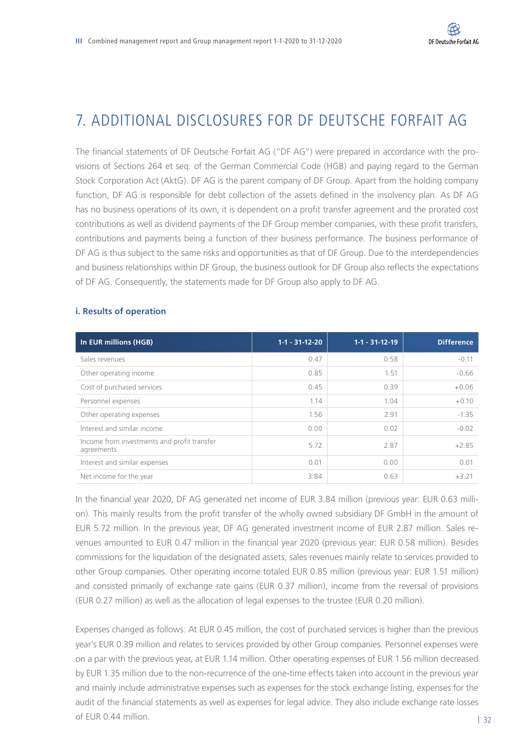## 7. ADDITIONAL DISCLOSURES FOR DE DEUTSCHE FORFAIT AG

The financial statements of DF Deutsche Forfait AG ("DF AG") were prepared in accordance with the provisions of Sections 264 et seq. of the German Commercial Code (HGB) and paying regard to the German Stock Corporation Act (AktG). DF AG is the parent company of DF Group. Apart from the holding company function, DF AG is responsible for debt collection of the assets defined in the insolvency plan. As DF AG has no business operations of its own, it is dependent on a profit transfer agreement and the prorated cost contributions as well as dividend payments of the DF Group member companies, with these profit transfers, contributions and payments being a function of their business performance. The business performance of DF AG is thus subject to the same risks and opportunities as that of DF Group. Due to the interdependencies and business relationships within DF Group, the business outlook for DF Group also reflects the expectations of DF AG. Consequently, the statements made for DF Group also apply to DF AG.

| In EUR millions (HGB)                                     | $1-1 - 31-12-20$ | $1 - 1 - 31 - 12 - 19$ | <b>Difference</b> |
|-----------------------------------------------------------|------------------|------------------------|-------------------|
| Sales revenues                                            | 0.47             | 0.58                   | $-0.11$           |
| Other operating income                                    | 0.85             | 1.51                   | $-0,66$           |
| Cost of purchased services                                | 0.45             | 0.39                   | $+0.06$           |
| Personnel expenses                                        | 1.14             | 1.04                   | $+0.10$           |
| Other operating expenses                                  | 1.56             | 2.91                   | $-1.35$           |
| Interest and similar income                               | 0.00             | 0.02                   | $-0.02$           |
| Income from investments and profit transfer<br>agreements | 5.72             | 2.87                   | $+2.85$           |
| Interest and similar expenses                             | 0.01             | 0.00                   | 0.01              |
| Net income for the year                                   | 3.84             | 0.63                   | $+3.21$           |

#### **i. Results of operation**

In the financial year 2020, DF AG generated net income of EUR 3.84 million (previous year: EUR 0.63 million). This mainly results from the profit transfer of the wholly owned subsidiary DF GmbH in the amount of EUR 5.72 million. In the previous year, DF AG generated investment income of EUR 2.87 million. Sales revenues amounted to EUR 0.47 million in the financial year 2020 (previous year: EUR 0.58 million). Besides commissions for the liquidation of the designated assets, sales revenues mainly relate to services provided to other Group companies. Other operating income totaled EUR 0.85 million (previous year: EUR 1.51 million) and consisted primarily of exchange rate gains (EUR 0.37 million), income from the reversal of provisions (EUR 0.27 million) as well as the allocation of legal expenses to the trustee (EUR 0.20 million).

Expenses changed as follows: At EUR 0.45 million, the cost of purchased services is higher than the previous year's EUR 0.39 million and relates to services provided by other Group companies. Personnel expenses were on a par with the previous year, at EUR 1.14 million. Other operating expenses of EUR 1.56 million decreased by EUR 1.35 million due to the non-recurrence of the one-time effects taken into account in the previous year and mainly include administrative expenses such as expenses for the stock exchange listing, expenses for the audit of the financial statements as well as expenses for legal advice. They also include exchange rate losses of EUR 0.44 million.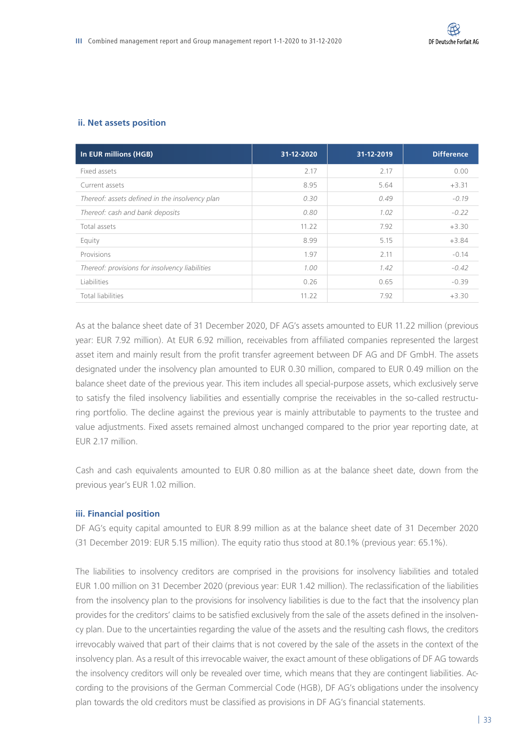#### **ii. Net assets position**

| In EUR millions (HGB)                          | 31-12-2020 | 31-12-2019 | <b>Difference</b> |
|------------------------------------------------|------------|------------|-------------------|
| Fixed assets                                   | 2.17       | 2.17       | 0.00              |
| Current assets                                 | 8.95       | 5.64       | $+3.31$           |
| Thereof: assets defined in the insolvency plan | 0.30       | 0.49       | $-0.19$           |
| Thereof: cash and bank deposits                | 0.80       | 1.02       | $-0.22$           |
| Total assets                                   | 11.22      | 7.92       | $+3.30$           |
| Equity                                         | 8.99       | 5.15       | $+3.84$           |
| Provisions                                     | 1.97       | 2.11       | $-0.14$           |
| Thereof: provisions for insolvency liabilities | 1.00       | 1.42       | $-0.42$           |
| Liabilities                                    | 0.26       | 0.65       | $-0.39$           |
| <b>Total liabilities</b>                       | 11.22      | 7.92       | $+3.30$           |

As at the balance sheet date of 31 December 2020, DF AG's assets amounted to EUR 11.22 million (previous year: EUR 7.92 million). At EUR 6.92 million, receivables from affiliated companies represented the largest asset item and mainly result from the profit transfer agreement between DF AG and DF GmbH. The assets designated under the insolvency plan amounted to EUR 0.30 million, compared to EUR 0.49 million on the balance sheet date of the previous year. This item includes all special-purpose assets, which exclusively serve to satisfy the filed insolvency liabilities and essentially comprise the receivables in the so-called restructuring portfolio. The decline against the previous year is mainly attributable to payments to the trustee and value adjustments. Fixed assets remained almost unchanged compared to the prior year reporting date, at EUR 2.17 million.

Cash and cash equivalents amounted to EUR 0.80 million as at the balance sheet date, down from the previous year's EUR 1.02 million.

#### **iii. Financial position**

DF AG's equity capital amounted to EUR 8.99 million as at the balance sheet date of 31 December 2020 (31 December 2019: EUR 5.15 million). The equity ratio thus stood at 80.1% (previous year: 65.1%).

The liabilities to insolvency creditors are comprised in the provisions for insolvency liabilities and totaled EUR 1.00 million on 31 December 2020 (previous year: EUR 1.42 million). The reclassification of the liabilities from the insolvency plan to the provisions for insolvency liabilities is due to the fact that the insolvency plan provides for the creditors' claims to be satisfied exclusively from the sale of the assets defined in the insolvency plan. Due to the uncertainties regarding the value of the assets and the resulting cash flows, the creditors irrevocably waived that part of their claims that is not covered by the sale of the assets in the context of the insolvency plan. As a result of this irrevocable waiver, the exact amount of these obligations of DF AG towards the insolvency creditors will only be revealed over time, which means that they are contingent liabilities. According to the provisions of the German Commercial Code (HGB), DF AG's obligations under the insolvency plan towards the old creditors must be classified as provisions in DF AG's financial statements.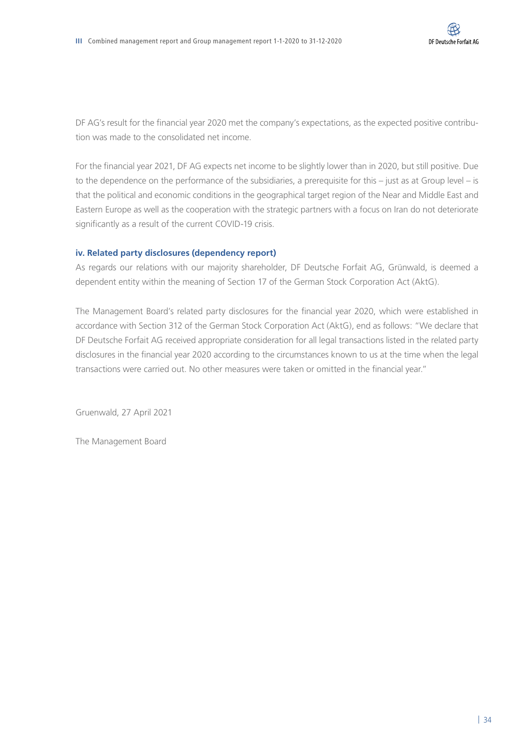DF AG's result for the financial year 2020 met the company's expectations, as the expected positive contribution was made to the consolidated net income.

For the financial year 2021, DF AG expects net income to be slightly lower than in 2020, but still positive. Due to the dependence on the performance of the subsidiaries, a prerequisite for this – just as at Group level – is that the political and economic conditions in the geographical target region of the Near and Middle East and Eastern Europe as well as the cooperation with the strategic partners with a focus on Iran do not deteriorate significantly as a result of the current COVID-19 crisis.

#### **iv. Related party disclosures (dependency report)**

As regards our relations with our majority shareholder, DF Deutsche Forfait AG, Grünwald, is deemed a dependent entity within the meaning of Section 17 of the German Stock Corporation Act (AktG).

The Management Board's related party disclosures for the financial year 2020, which were established in accordance with Section 312 of the German Stock Corporation Act (AktG), end as follows: "We declare that DF Deutsche Forfait AG received appropriate consideration for all legal transactions listed in the related party disclosures in the financial year 2020 according to the circumstances known to us at the time when the legal transactions were carried out. No other measures were taken or omitted in the financial year."

Gruenwald, 27 April 2021

The Management Board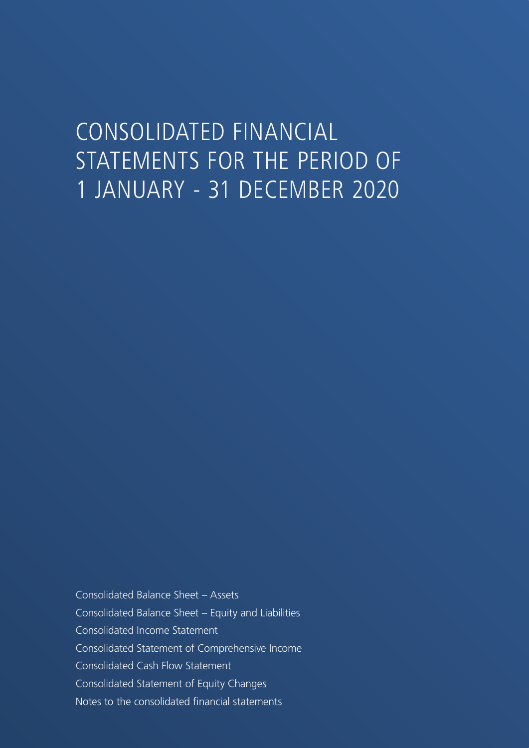## CONSOLIDATED FINANCIAL STATEMENTS FOR THE PERIOD OF 1 JANUARY - 31 DECEMBER 2020

Consolidated Balance Sheet – Assets Consolidated Balance Sheet – Equity and Liabilities Consolidated Income Statement Consolidated Statement of Comprehensive Income Consolidated Cash Flow Statement Consolidated Statement of Equity Changes Notes to the consolidated financial statements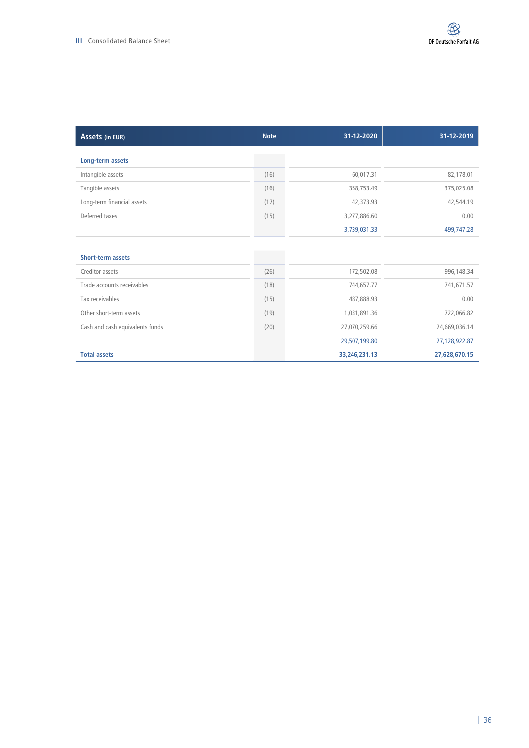| Assets (in EUR)                 | <b>Note</b> | 31-12-2020    | 31-12-2019    |
|---------------------------------|-------------|---------------|---------------|
| Long-term assets                |             |               |               |
| Intangible assets               | (16)        | 60,017.31     | 82,178.01     |
| Tangible assets                 | (16)        | 358,753.49    | 375,025.08    |
| Long-term financial assets      | (17)        | 42,373.93     | 42,544.19     |
| Deferred taxes                  | (15)        | 3,277,886.60  | 0.00          |
|                                 |             | 3,739,031.33  | 499,747.28    |
|                                 |             |               |               |
| <b>Short-term assets</b>        |             |               |               |
| Creditor assets                 | (26)        | 172,502.08    | 996,148.34    |
| Trade accounts receivables      | (18)        | 744,657.77    | 741,671.57    |
| Tax receivables                 | (15)        | 487,888.93    | 0.00          |
| Other short-term assets         | (19)        | 1,031,891.36  | 722,066.82    |
| Cash and cash equivalents funds | (20)        | 27,070,259.66 | 24,669,036.14 |
|                                 |             | 29,507,199.80 | 27,128,922.87 |
| <b>Total assets</b>             |             | 33,246,231.13 | 27,628,670.15 |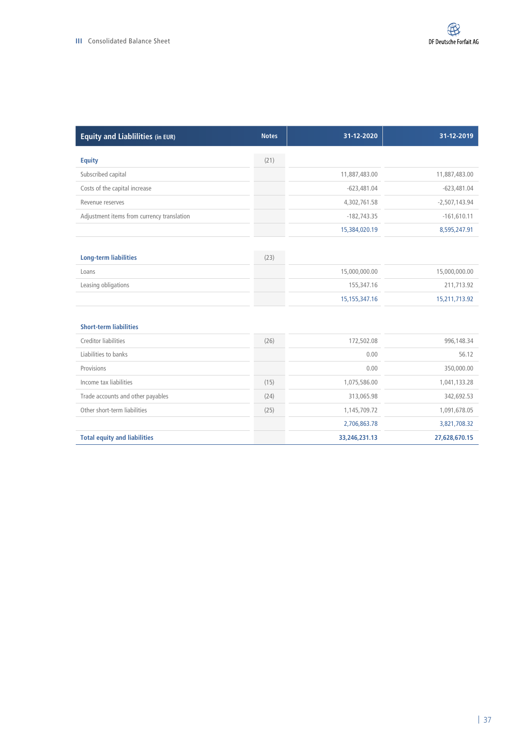| <b>Equity and Liablilities (in EUR)</b>    | <b>Notes</b> | 31-12-2020       | 31-12-2019      |
|--------------------------------------------|--------------|------------------|-----------------|
| <b>Equity</b>                              | (21)         |                  |                 |
| Subscribed capital                         |              | 11,887,483.00    | 11,887,483.00   |
| Costs of the capital increase              |              | $-623,481.04$    | $-623,481.04$   |
| Revenue reserves                           |              | 4,302,761.58     | $-2,507,143.94$ |
| Adjustment items from currency translation |              | $-182,743.35$    | $-161,610.11$   |
|                                            |              | 15,384,020.19    | 8,595,247.91    |
|                                            |              |                  |                 |
| <b>Long-term liabilities</b>               | (23)         |                  |                 |
| Loans                                      |              | 15,000,000.00    | 15,000,000.00   |
| Leasing obligations                        |              | 155,347.16       | 211,713.92      |
|                                            |              | 15, 155, 347. 16 | 15,211,713.92   |
| <b>Short-term liabilities</b>              |              |                  |                 |
| Creditor liabilities                       | (26)         | 172,502.08       | 996,148.34      |
| Liabilities to banks                       |              | 0.00             | 56.12           |
| Provisions                                 |              | 0.00             | 350,000.00      |
| Income tax liabilities                     | (15)         | 1,075,586.00     | 1,041,133.28    |
| Trade accounts and other payables          | (24)         | 313,065.98       | 342,692.53      |
| Other short-term liabilities               | (25)         | 1,145,709.72     | 1,091,678.05    |
|                                            |              | 2,706,863.78     | 3,821,708.32    |
| <b>Total equity and liabilities</b>        |              | 33,246,231.13    | 27,628,670.15   |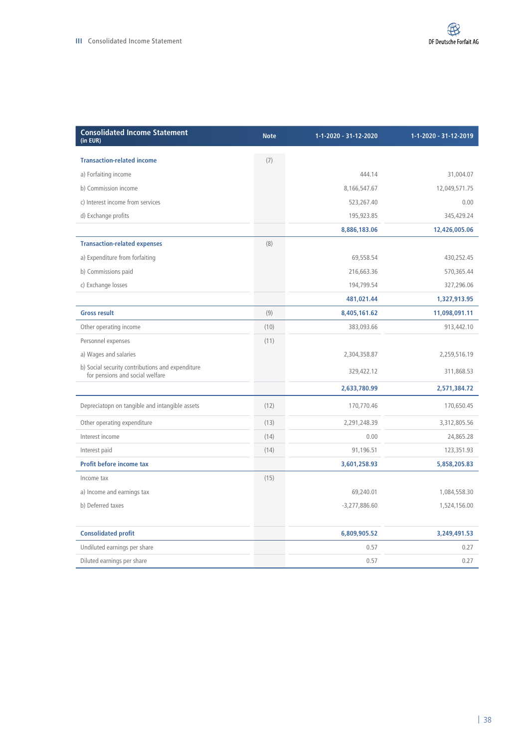| <b>Consolidated Income Statement</b><br>(in EUR)                                    | <b>Note</b> | 1-1-2020 - 31-12-2020 | 1-1-2020 - 31-12-2019 |
|-------------------------------------------------------------------------------------|-------------|-----------------------|-----------------------|
| <b>Transaction-related income</b>                                                   | (7)         |                       |                       |
| a) Forfaiting income                                                                |             | 444.14                | 31,004.07             |
| b) Commission income                                                                |             | 8,166,547.67          | 12,049,571.75         |
| c) Interest income from services                                                    |             | 523,267.40            | 0.00                  |
| d) Exchange profits                                                                 |             | 195,923.85            | 345,429.24            |
|                                                                                     |             | 8,886,183.06          | 12,426,005.06         |
| <b>Transaction-related expenses</b>                                                 | (8)         |                       |                       |
| a) Expenditure from forfaiting                                                      |             | 69,558.54             | 430,252.45            |
| b) Commissions paid                                                                 |             | 216,663.36            | 570,365.44            |
| c) Exchange losses                                                                  |             | 194,799.54            | 327,296.06            |
|                                                                                     |             | 481,021.44            | 1,327,913.95          |
| <b>Gross result</b>                                                                 | (9)         | 8,405,161.62          | 11,098,091.11         |
| Other operating income                                                              | (10)        | 383,093.66            | 913,442.10            |
| Personnel expenses                                                                  | (11)        |                       |                       |
| a) Wages and salaries                                                               |             | 2,304,358.87          | 2,259,516.19          |
| b) Social security contributions and expenditure<br>for pensions and social welfare |             | 329,422.12            | 311,868.53            |
|                                                                                     |             | 2,633,780.99          | 2,571,384.72          |
| Depreciatopn on tangible and intangible assets                                      | (12)        | 170,770.46            | 170,650.45            |
| Other operating expenditure                                                         | (13)        | 2,291,248.39          | 3,312,805.56          |
| Interest income                                                                     | (14)        | 0.00                  | 24,865.28             |
| Interest paid                                                                       | (14)        | 91,196.51             | 123,351.93            |
| Profit before income tax                                                            |             | 3,601,258.93          | 5,858,205.83          |
| Income tax                                                                          | (15)        |                       |                       |
| a) Income and earnings tax                                                          |             | 69,240.01             | 1,084,558.30          |
| b) Deferred taxes                                                                   |             | $-3,277,886.60$       | 1,524,156.00          |
| <b>Consolidated profit</b>                                                          |             | 6,809,905.52          | 3,249,491.53          |
| Undiluted earnings per share                                                        |             | 0.57                  | 0.27                  |
| Diluted earnings per share                                                          |             | 0.57                  | 0.27                  |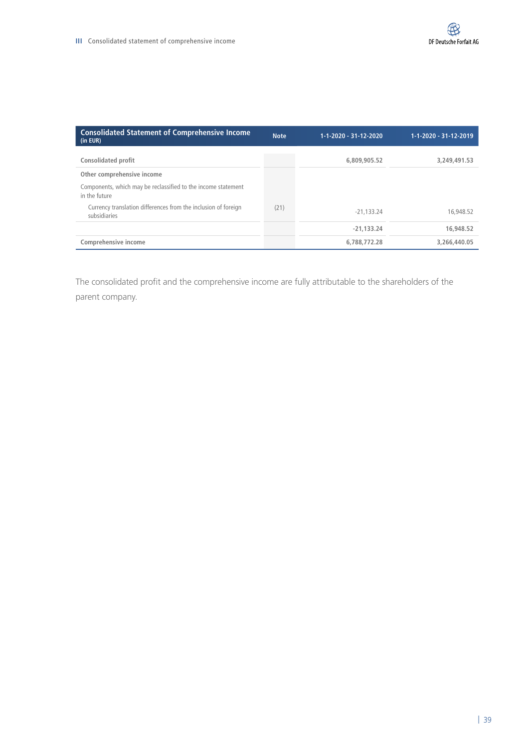| <b>Consolidated Statement of Comprehensive Income</b><br>(in EUR)              | <b>Note</b> | 1-1-2020 - 31-12-2020 | 1-1-2020 - 31-12-2019 |
|--------------------------------------------------------------------------------|-------------|-----------------------|-----------------------|
| <b>Consolidated profit</b>                                                     |             | 6,809,905.52          | 3,249,491.53          |
| Other comprehensive income                                                     |             |                       |                       |
| Components, which may be reclassified to the income statement<br>in the future |             |                       |                       |
| Currency translation differences from the inclusion of foreign<br>subsidiaries | (21)        | $-21.133.24$          | 16,948.52             |
|                                                                                |             | $-21.133.24$          | 16,948.52             |
| Comprehensive income                                                           |             | 6,788,772.28          | 3,266,440.05          |

The consolidated profit and the comprehensive income are fully attributable to the shareholders of the parent company.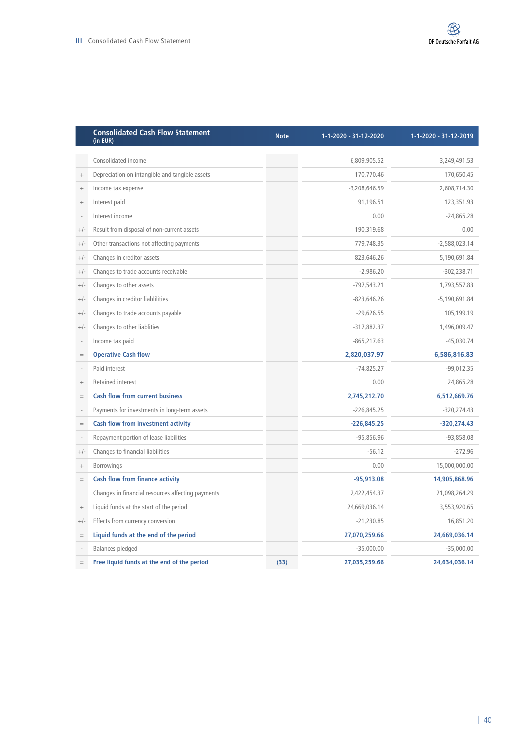|                 | <b>Consolidated Cash Flow Statement</b><br>(in EUR) | <b>Note</b> | 1-1-2020 - 31-12-2020 | 1-1-2020 - 31-12-2019 |
|-----------------|-----------------------------------------------------|-------------|-----------------------|-----------------------|
|                 | Consolidated income                                 |             | 6,809,905.52          | 3,249,491.53          |
| $^{+}$          | Depreciation on intangible and tangible assets      |             | 170,770.46            | 170,650.45            |
| $^{+}$          | Income tax expense                                  |             | $-3,208,646.59$       | 2,608,714.30          |
| $^{+}$          | Interest paid                                       |             | 91,196.51             | 123,351.93            |
|                 | Interest income                                     |             | 0.00                  | $-24,865.28$          |
| $+/-$           | Result from disposal of non-current assets          |             | 190,319.68            | 0.00                  |
| $+/-$           | Other transactions not affecting payments           |             | 779,748.35            | $-2,588,023.14$       |
| $+/-$           | Changes in creditor assets                          |             | 823,646.26            | 5,190,691.84          |
| $+/-$           | Changes to trade accounts receivable                |             | $-2,986.20$           | $-302,238.71$         |
| $+/-$           | Changes to other assets                             |             | $-797,543.21$         | 1,793,557.83          |
| $+/-$           | Changes in creditor liablilities                    |             | $-823,646.26$         | $-5,190,691.84$       |
| $+/-$           | Changes to trade accounts payable                   |             | $-29,626.55$          | 105,199.19            |
| $+/-$           | Changes to other liablities                         |             | $-317,882.37$         | 1,496,009.47          |
|                 | Income tax paid                                     |             | $-865, 217.63$        | $-45,030.74$          |
| $=$             | <b>Operative Cash flow</b>                          |             | 2,820,037.97          | 6,586,816.83          |
|                 | Paid interest                                       |             | $-74,825.27$          | $-99,012.35$          |
| $^{+}$          | <b>Retained interest</b>                            |             | 0.00                  | 24,865.28             |
| $=$             | <b>Cash flow from current business</b>              |             | 2,745,212.70          | 6,512,669.76          |
|                 | Payments for investments in long-term assets        |             | $-226,845.25$         | $-320,274.43$         |
| $=$             | <b>Cash flow from investment activity</b>           |             | $-226,845.25$         | $-320,274.43$         |
|                 | Repayment portion of lease liabilities              |             | $-95,856.96$          | $-93,858.08$          |
| $+/-$           | Changes to financial liabilities                    |             | $-56.12$              | $-272.96$             |
| $^{+}$          | Borrowings                                          |             | 0.00                  | 15,000,000.00         |
| $=$             | <b>Cash flow from finance activity</b>              |             | $-95,913.08$          | 14,905,868.96         |
|                 | Changes in financial resources affecting payments   |             | 2,422,454.37          | 21,098,264.29         |
| $\! + \!\!\!\!$ | Liquid funds at the start of the period             |             | 24,669,036.14         | 3,553,920.65          |
| $+/-$           | Effects from currency conversion                    |             | $-21,230.85$          | 16,851.20             |
| $=$             | Liquid funds at the end of the period               |             | 27,070,259.66         | 24,669,036.14         |
|                 | <b>Balances pledged</b>                             |             | $-35,000.00$          | $-35,000.00$          |
| $=$             | Free liquid funds at the end of the period          | (33)        | 27,035,259.66         | 24,634,036.14         |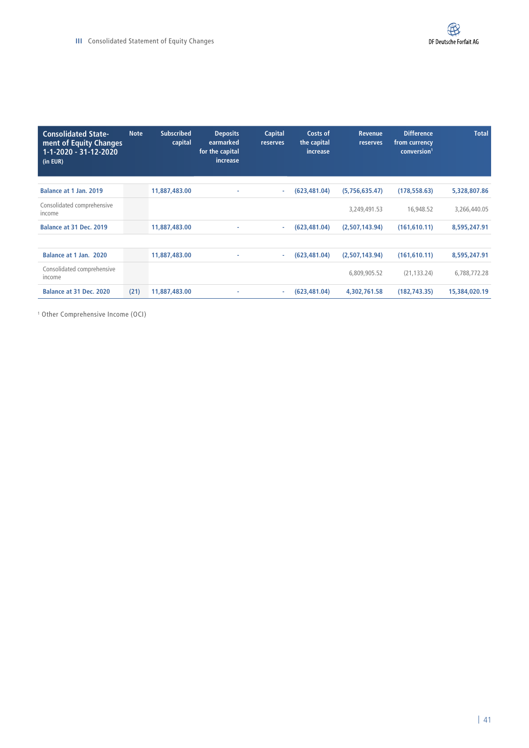| <b>Consolidated State-</b><br>ment of Equity Changes<br>1-1-2020 - 31-12-2020<br>(in EUR) | <b>Note</b> | <b>Subscribed</b><br>capital | <b>Deposits</b><br>earmarked<br>for the capital<br>increase | <b>Capital</b><br>reserves | Costs of<br>the capital<br>increase | <b>Revenue</b><br>reserves | <b>Difference</b><br>from currency<br>conversion <sup>1</sup> | <b>Total</b>  |
|-------------------------------------------------------------------------------------------|-------------|------------------------------|-------------------------------------------------------------|----------------------------|-------------------------------------|----------------------------|---------------------------------------------------------------|---------------|
| Balance at 1 Jan. 2019                                                                    |             | 11,887,483.00                | ٠                                                           | $\sim$                     | (623, 481.04)                       | (5,756,635.47)             | (178, 558.63)                                                 | 5,328,807.86  |
| Consolidated comprehensive<br>income                                                      |             |                              |                                                             |                            |                                     | 3,249,491.53               | 16,948.52                                                     | 3,266,440.05  |
| Balance at 31 Dec. 2019                                                                   |             | 11,887,483.00                | ۰                                                           | ×.                         | (623, 481.04)                       | (2,507,143.94)             | (161, 610.11)                                                 | 8,595,247.91  |
|                                                                                           |             |                              |                                                             |                            |                                     |                            |                                                               |               |
| Balance at 1 Jan. 2020                                                                    |             | 11,887,483.00                | ٠                                                           | ÷                          | (623, 481.04)                       | (2,507,143.94)             | (161, 610.11)                                                 | 8,595,247.91  |
| Consolidated comprehensive<br>income                                                      |             |                              |                                                             |                            |                                     | 6,809,905.52               | (21, 133.24)                                                  | 6,788,772.28  |
| Balance at 31 Dec. 2020                                                                   | (21)        | 11,887,483.00                | ۰                                                           | ÷                          | (623, 481.04)                       | 4,302,761.58               | (182, 743.35)                                                 | 15,384,020.19 |

1 Other Comprehensive Income (OCI)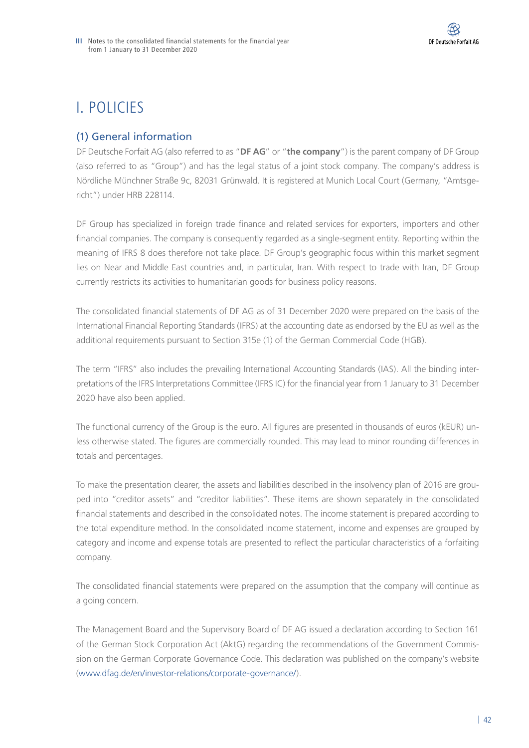# I. POLICIES

# (1) General information

DF Deutsche Forfait AG (also referred to as "**DF AG**" or "**the company**") is the parent company of DF Group (also referred to as "Group") and has the legal status of a joint stock company. The company's address is Nördliche Münchner Straße 9c, 82031 Grünwald. It is registered at Munich Local Court (Germany, "Amtsgericht") under HRB 228114.

DF Group has specialized in foreign trade finance and related services for exporters, importers and other financial companies. The company is consequently regarded as a single-segment entity. Reporting within the meaning of IFRS 8 does therefore not take place. DF Group's geographic focus within this market segment lies on Near and Middle East countries and, in particular, Iran. With respect to trade with Iran, DF Group currently restricts its activities to humanitarian goods for business policy reasons.

The consolidated financial statements of DF AG as of 31 December 2020 were prepared on the basis of the International Financial Reporting Standards (IFRS) at the accounting date as endorsed by the EU as well as the additional requirements pursuant to Section 315e (1) of the German Commercial Code (HGB).

The term "IFRS" also includes the prevailing International Accounting Standards (IAS). All the binding interpretations of the IFRS Interpretations Committee (IFRS IC) for the financial year from 1 January to 31 December 2020 have also been applied.

The functional currency of the Group is the euro. All figures are presented in thousands of euros (kEUR) unless otherwise stated. The figures are commercially rounded. This may lead to minor rounding differences in totals and percentages.

To make the presentation clearer, the assets and liabilities described in the insolvency plan of 2016 are grouped into "creditor assets" and "creditor liabilities". These items are shown separately in the consolidated financial statements and described in the consolidated notes. The income statement is prepared according to the total expenditure method. In the consolidated income statement, income and expenses are grouped by category and income and expense totals are presented to reflect the particular characteristics of a forfaiting company.

The consolidated financial statements were prepared on the assumption that the company will continue as a going concern.

The Management Board and the Supervisory Board of DF AG issued a declaration according to Section 161 of the German Stock Corporation Act (AktG) regarding the recommendations of the Government Commission on the German Corporate Governance Code. This declaration was published on the company's website ([www.dfag.de/en/investor-relations/corporate-governance/](http://www.dfag.de/en/investor-relations/corporate-governance/)).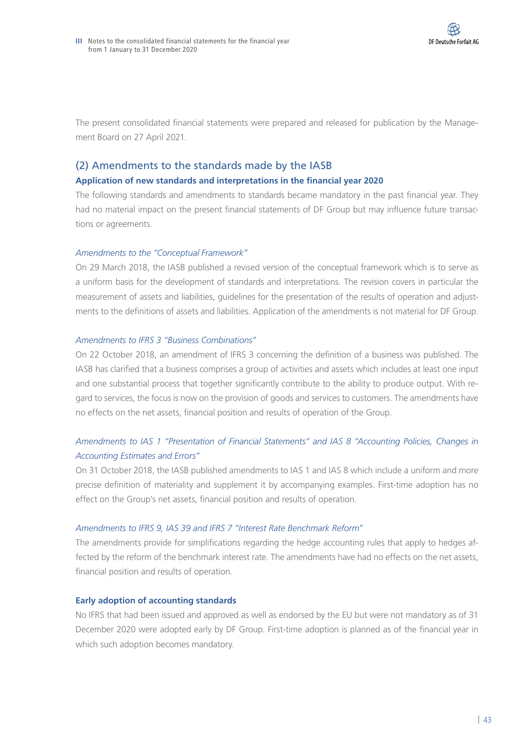The present consolidated financial statements were prepared and released for publication by the Management Board on 27 April 2021.

## (2) Amendments to the standards made by the IASB

#### **Application of new standards and interpretations in the financial year 2020**

The following standards and amendments to standards became mandatory in the past financial year. They had no material impact on the present financial statements of DF Group but may influence future transactions or agreements.

#### *Amendments to the "Conceptual Framework"*

On 29 March 2018, the IASB published a revised version of the conceptual framework which is to serve as a uniform basis for the development of standards and interpretations. The revision covers in particular the measurement of assets and liabilities, guidelines for the presentation of the results of operation and adjustments to the definitions of assets and liabilities. Application of the amendments is not material for DF Group.

#### *Amendments to IFRS 3 "Business Combinations"*

On 22 October 2018, an amendment of IFRS 3 concerning the definition of a business was published. The IASB has clarified that a business comprises a group of activities and assets which includes at least one input and one substantial process that together significantly contribute to the ability to produce output. With regard to services, the focus is now on the provision of goods and services to customers. The amendments have no effects on the net assets, financial position and results of operation of the Group.

## *Amendments to IAS 1 "Presentation of Financial Statements" and IAS 8 "Accounting Policies, Changes in Accounting Estimates and Errors"*

On 31 October 2018, the IASB published amendments to IAS 1 and IAS 8 which include a uniform and more precise definition of materiality and supplement it by accompanying examples. First-time adoption has no effect on the Group's net assets, financial position and results of operation.

## *Amendments to IFRS 9, IAS 39 and IFRS 7 "Interest Rate Benchmark Reform"*

The amendments provide for simplifications regarding the hedge accounting rules that apply to hedges affected by the reform of the benchmark interest rate. The amendments have had no effects on the net assets, financial position and results of operation.

## **Early adoption of accounting standards**

No IFRS that had been issued and approved as well as endorsed by the EU but were not mandatory as of 31 December 2020 were adopted early by DF Group. First-time adoption is planned as of the financial year in which such adoption becomes mandatory.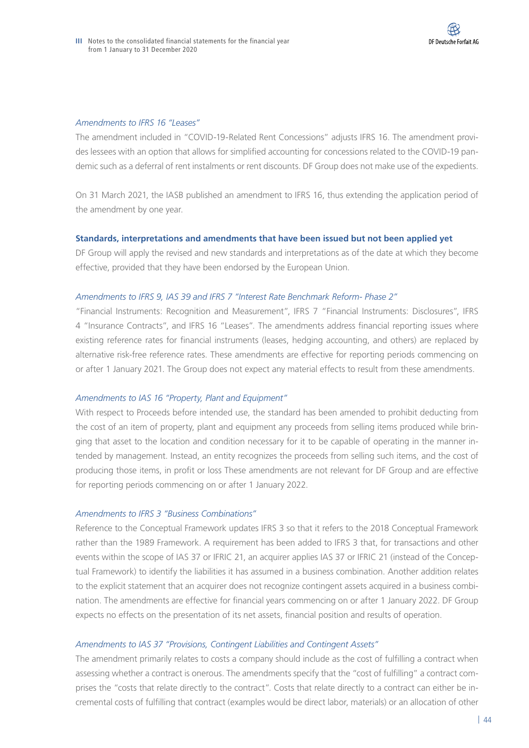#### *Amendments to IFRS 16 "Leases"*

The amendment included in "COVID-19-Related Rent Concessions" adjusts IFRS 16. The amendment provides lessees with an option that allows for simplified accounting for concessions related to the COVID-19 pandemic such as a deferral of rent instalments or rent discounts. DF Group does not make use of the expedients.

On 31 March 2021, the IASB published an amendment to IFRS 16, thus extending the application period of the amendment by one year.

#### **Standards, interpretations and amendments that have been issued but not been applied yet**

DF Group will apply the revised and new standards and interpretations as of the date at which they become effective, provided that they have been endorsed by the European Union.

#### *Amendments to IFRS 9, IAS 39 and IFRS 7 "Interest Rate Benchmark Reform- Phase 2"*

"Financial Instruments: Recognition and Measurement", IFRS 7 "Financial Instruments: Disclosures", IFRS 4 "Insurance Contracts", and IFRS 16 "Leases". The amendments address financial reporting issues where existing reference rates for financial instruments (leases, hedging accounting, and others) are replaced by alternative risk-free reference rates. These amendments are effective for reporting periods commencing on or after 1 January 2021. The Group does not expect any material effects to result from these amendments.

#### *Amendments to IAS 16 "Property, Plant and Equipment"*

With respect to Proceeds before intended use, the standard has been amended to prohibit deducting from the cost of an item of property, plant and equipment any proceeds from selling items produced while bringing that asset to the location and condition necessary for it to be capable of operating in the manner intended by management. Instead, an entity recognizes the proceeds from selling such items, and the cost of producing those items, in profit or loss These amendments are not relevant for DF Group and are effective for reporting periods commencing on or after 1 January 2022.

#### *Amendments to IFRS 3 "Business Combinations"*

Reference to the Conceptual Framework updates IFRS 3 so that it refers to the 2018 Conceptual Framework rather than the 1989 Framework. A requirement has been added to IFRS 3 that, for transactions and other events within the scope of IAS 37 or IFRIC 21, an acquirer applies IAS 37 or IFRIC 21 (instead of the Conceptual Framework) to identify the liabilities it has assumed in a business combination. Another addition relates to the explicit statement that an acquirer does not recognize contingent assets acquired in a business combination. The amendments are effective for financial years commencing on or after 1 January 2022. DF Group expects no effects on the presentation of its net assets, financial position and results of operation.

#### *Amendments to IAS 37 "Provisions, Contingent Liabilities and Contingent Assets"*

The amendment primarily relates to costs a company should include as the cost of fulfilling a contract when assessing whether a contract is onerous. The amendments specify that the "cost of fulfilling" a contract comprises the "costs that relate directly to the contract". Costs that relate directly to a contract can either be incremental costs of fulfilling that contract (examples would be direct labor, materials) or an allocation of other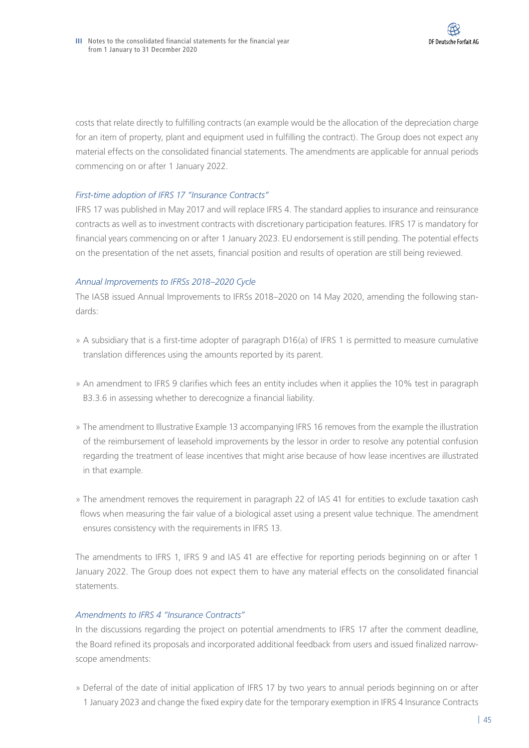costs that relate directly to fulfilling contracts (an example would be the allocation of the depreciation charge for an item of property, plant and equipment used in fulfilling the contract). The Group does not expect any material effects on the consolidated financial statements. The amendments are applicable for annual periods commencing on or after 1 January 2022.

## *First-time adoption of IFRS 17 "Insurance Contracts"*

IFRS 17 was published in May 2017 and will replace IFRS 4. The standard applies to insurance and reinsurance contracts as well as to investment contracts with discretionary participation features. IFRS 17 is mandatory for financial years commencing on or after 1 January 2023. EU endorsement is still pending. The potential effects on the presentation of the net assets, financial position and results of operation are still being reviewed.

## *Annual Improvements to IFRSs 2018–2020 Cycle*

The IASB issued Annual Improvements to IFRSs 2018–2020 on 14 May 2020, amending the following standards:

- » A subsidiary that is a first-time adopter of paragraph D16(a) of IFRS 1 is permitted to measure cumulative translation differences using the amounts reported by its parent.
- » An amendment to IFRS 9 clarifies which fees an entity includes when it applies the 10% test in paragraph B3.3.6 in assessing whether to derecognize a financial liability.
- » The amendment to Illustrative Example 13 accompanying IFRS 16 removes from the example the illustration of the reimbursement of leasehold improvements by the lessor in order to resolve any potential confusion regarding the treatment of lease incentives that might arise because of how lease incentives are illustrated in that example.
- » The amendment removes the requirement in paragraph 22 of IAS 41 for entities to exclude taxation cash flows when measuring the fair value of a biological asset using a present value technique. The amendment ensures consistency with the requirements in IFRS 13.

The amendments to IFRS 1, IFRS 9 and IAS 41 are effective for reporting periods beginning on or after 1 January 2022. The Group does not expect them to have any material effects on the consolidated financial statements.

## *Amendments to IFRS 4 "Insurance Contracts"*

In the discussions regarding the project on potential amendments to IFRS 17 after the comment deadline, the Board refined its proposals and incorporated additional feedback from users and issued finalized narrowscope amendments:

» Deferral of the date of initial application of IFRS 17 by two years to annual periods beginning on or after 1 January 2023 and change the fixed expiry date for the temporary exemption in IFRS 4 Insurance Contracts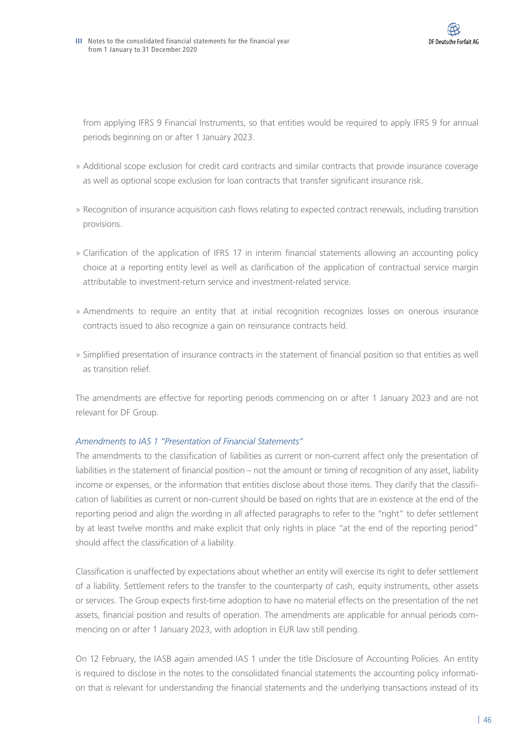

from applying IFRS 9 Financial Instruments, so that entities would be required to apply IFRS 9 for annual periods beginning on or after 1 January 2023.

- » Additional scope exclusion for credit card contracts and similar contracts that provide insurance coverage as well as optional scope exclusion for loan contracts that transfer significant insurance risk.
- » Recognition of insurance acquisition cash flows relating to expected contract renewals, including transition provisions.
- » Clarification of the application of IFRS 17 in interim financial statements allowing an accounting policy choice at a reporting entity level as well as clarification of the application of contractual service margin attributable to investment-return service and investment-related service.
- » Amendments to require an entity that at initial recognition recognizes losses on onerous insurance contracts issued to also recognize a gain on reinsurance contracts held.
- » Simplified presentation of insurance contracts in the statement of financial position so that entities as well as transition relief.

The amendments are effective for reporting periods commencing on or after 1 January 2023 and are not relevant for DF Group.

## *Amendments to IAS 1 "Presentation of Financial Statements"*

The amendments to the classification of liabilities as current or non-current affect only the presentation of liabilities in the statement of financial position – not the amount or timing of recognition of any asset, liability income or expenses, or the information that entities disclose about those items. They clarify that the classification of liabilities as current or non-current should be based on rights that are in existence at the end of the reporting period and align the wording in all affected paragraphs to refer to the "right" to defer settlement by at least twelve months and make explicit that only rights in place "at the end of the reporting period" should affect the classification of a liability.

Classification is unaffected by expectations about whether an entity will exercise its right to defer settlement of a liability. Settlement refers to the transfer to the counterparty of cash, equity instruments, other assets or services. The Group expects first-time adoption to have no material effects on the presentation of the net assets, financial position and results of operation. The amendments are applicable for annual periods commencing on or after 1 January 2023, with adoption in EUR law still pending.

On 12 February, the IASB again amended IAS 1 under the title Disclosure of Accounting Policies. An entity is required to disclose in the notes to the consolidated financial statements the accounting policy information that is relevant for understanding the financial statements and the underlying transactions instead of its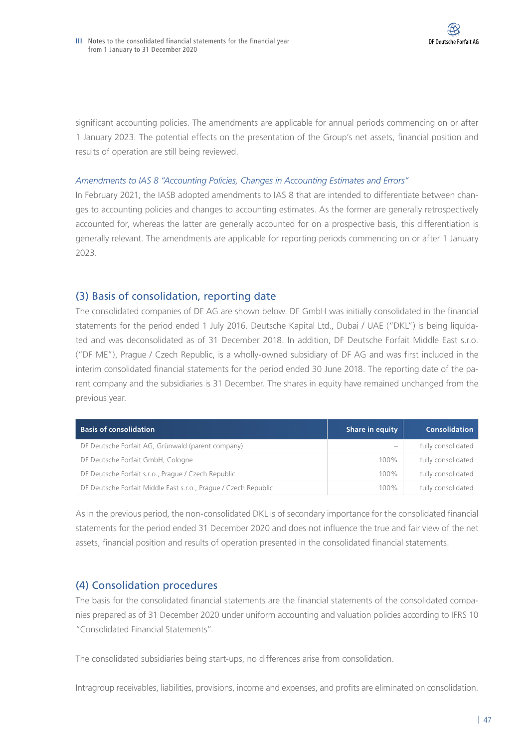significant accounting policies. The amendments are applicable for annual periods commencing on or after 1 January 2023. The potential effects on the presentation of the Group's net assets, financial position and results of operation are still being reviewed.

#### *Amendments to IAS 8 "Accounting Policies, Changes in Accounting Estimates and Errors"*

In February 2021, the IASB adopted amendments to IAS 8 that are intended to differentiate between changes to accounting policies and changes to accounting estimates. As the former are generally retrospectively accounted for, whereas the latter are generally accounted for on a prospective basis, this differentiation is generally relevant. The amendments are applicable for reporting periods commencing on or after 1 January 2023.

## (3) Basis of consolidation, reporting date

The consolidated companies of DF AG are shown below. DF GmbH was initially consolidated in the financial statements for the period ended 1 July 2016. Deutsche Kapital Ltd., Dubai / UAE ("DKL") is being liquidated and was deconsolidated as of 31 December 2018. In addition, DF Deutsche Forfait Middle East s.r.o. ("DF ME"), Prague / Czech Republic, is a wholly-owned subsidiary of DF AG and was first included in the interim consolidated financial statements for the period ended 30 June 2018. The reporting date of the parent company and the subsidiaries is 31 December. The shares in equity have remained unchanged from the previous year.

| <b>Basis of consolidation</b>                                   | Share in equity | <b>Consolidation</b> |
|-----------------------------------------------------------------|-----------------|----------------------|
| DF Deutsche Forfait AG, Grünwald (parent company)               |                 | fully consolidated   |
| DF Deutsche Forfait GmbH, Cologne                               | 100%            | fully consolidated   |
| DF Deutsche Forfait s.r.o., Prague / Czech Republic             | 100%            | fully consolidated   |
| DF Deutsche Forfait Middle East s.r.o., Prague / Czech Republic | 100%            | fully consolidated   |

As in the previous period, the non-consolidated DKL is of secondary importance for the consolidated financial statements for the period ended 31 December 2020 and does not influence the true and fair view of the net assets, financial position and results of operation presented in the consolidated financial statements.

## (4) Consolidation procedures

The basis for the consolidated financial statements are the financial statements of the consolidated companies prepared as of 31 December 2020 under uniform accounting and valuation policies according to IFRS 10 "Consolidated Financial Statements".

The consolidated subsidiaries being start-ups, no differences arise from consolidation.

Intragroup receivables, liabilities, provisions, income and expenses, and profits are eliminated on consolidation.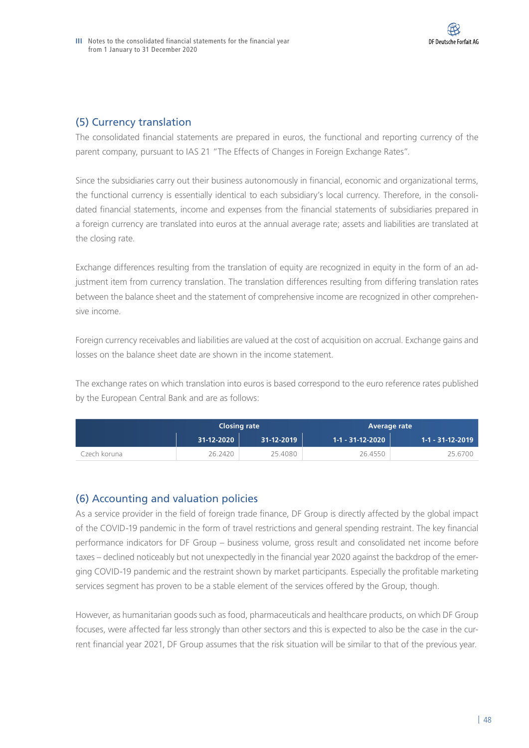## (5) Currency translation

The consolidated financial statements are prepared in euros, the functional and reporting currency of the parent company, pursuant to IAS 21 "The Effects of Changes in Foreign Exchange Rates".

Since the subsidiaries carry out their business autonomously in financial, economic and organizational terms, the functional currency is essentially identical to each subsidiary's local currency. Therefore, in the consolidated financial statements, income and expenses from the financial statements of subsidiaries prepared in a foreign currency are translated into euros at the annual average rate; assets and liabilities are translated at the closing rate.

Exchange differences resulting from the translation of equity are recognized in equity in the form of an adjustment item from currency translation. The translation differences resulting from differing translation rates between the balance sheet and the statement of comprehensive income are recognized in other comprehensive income.

Foreign currency receivables and liabilities are valued at the cost of acquisition on accrual. Exchange gains and losses on the balance sheet date are shown in the income statement.

The exchange rates on which translation into euros is based correspond to the euro reference rates published by the European Central Bank and are as follows:

|                | <b>Closing rate</b> |            |                  | <b>Average rate</b> |
|----------------|---------------------|------------|------------------|---------------------|
|                | 31-12-2020          | 31-12-2019 | 1-1 - 31-12-2020 | 1-1 - 31-12-2019    |
| Czech koruna i | 26.2420             | 25.4080    | 26.4550          | 25.6700             |

## (6) Accounting and valuation policies

As a service provider in the field of foreign trade finance, DF Group is directly affected by the global impact of the COVID-19 pandemic in the form of travel restrictions and general spending restraint. The key financial performance indicators for DF Group – business volume, gross result and consolidated net income before taxes – declined noticeably but not unexpectedly in the financial year 2020 against the backdrop of the emerging COVID-19 pandemic and the restraint shown by market participants. Especially the profitable marketing services segment has proven to be a stable element of the services offered by the Group, though.

However, as humanitarian goods such as food, pharmaceuticals and healthcare products, on which DF Group focuses, were affected far less strongly than other sectors and this is expected to also be the case in the current financial year 2021, DF Group assumes that the risk situation will be similar to that of the previous year.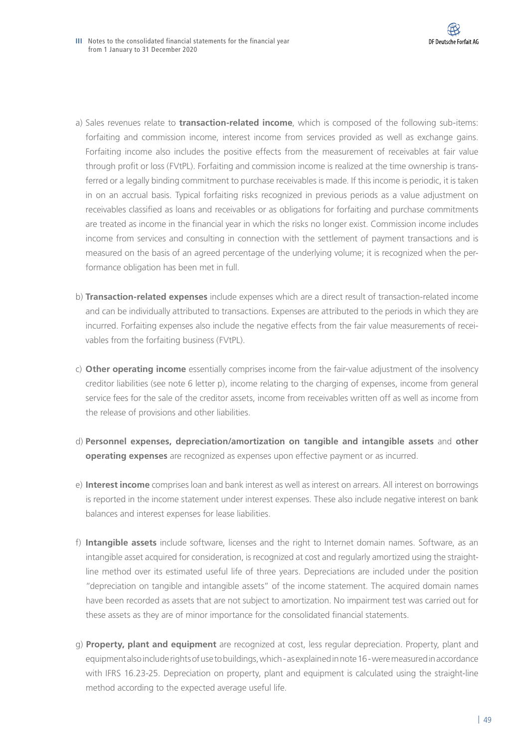- a) Sales revenues relate to **transaction-related income**, which is composed of the following sub-items: forfaiting and commission income, interest income from services provided as well as exchange gains. Forfaiting income also includes the positive effects from the measurement of receivables at fair value through profit or loss (FVtPL). Forfaiting and commission income is realized at the time ownership is transferred or a legally binding commitment to purchase receivables is made. If this income is periodic, it is taken in on an accrual basis. Typical forfaiting risks recognized in previous periods as a value adjustment on receivables classified as loans and receivables or as obligations for forfaiting and purchase commitments are treated as income in the financial year in which the risks no longer exist. Commission income includes income from services and consulting in connection with the settlement of payment transactions and is measured on the basis of an agreed percentage of the underlying volume; it is recognized when the performance obligation has been met in full.
- b) **Transaction-related expenses** include expenses which are a direct result of transaction-related income and can be individually attributed to transactions. Expenses are attributed to the periods in which they are incurred. Forfaiting expenses also include the negative effects from the fair value measurements of receivables from the forfaiting business (FVtPL).
- c) **Other operating income** essentially comprises income from the fair-value adjustment of the insolvency creditor liabilities (see note 6 letter p), income relating to the charging of expenses, income from general service fees for the sale of the creditor assets, income from receivables written off as well as income from the release of provisions and other liabilities.
- d) **Personnel expenses, depreciation/amortization on tangible and intangible assets** and **other operating expenses** are recognized as expenses upon effective payment or as incurred.
- e) **Interest income** comprises loan and bank interest as well as interest on arrears. All interest on borrowings is reported in the income statement under interest expenses. These also include negative interest on bank balances and interest expenses for lease liabilities.
- f) **Intangible assets** include software, licenses and the right to Internet domain names. Software, as an intangible asset acquired for consideration, is recognized at cost and regularly amortized using the straightline method over its estimated useful life of three years. Depreciations are included under the position "depreciation on tangible and intangible assets" of the income statement. The acquired domain names have been recorded as assets that are not subject to amortization. No impairment test was carried out for these assets as they are of minor importance for the consolidated financial statements.
- g) **Property, plant and equipment** are recognized at cost, less regular depreciation. Property, plant and equipment also include rights of use to buildings, which - as explained in note 16 - were measured in accordance with IFRS 16.23-25. Depreciation on property, plant and equipment is calculated using the straight-line method according to the expected average useful life.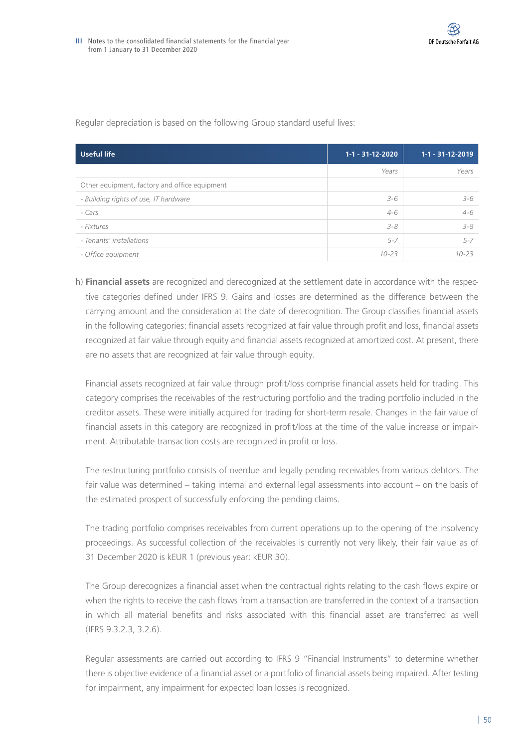| Useful life                                   | $1-1 - 31-12-2020$ | $1-1 - 31-12-2019$ |
|-----------------------------------------------|--------------------|--------------------|
|                                               | Years              | Years              |
| Other equipment, factory and office equipment |                    |                    |
| - Building rights of use, IT hardware         | $3 - 6$            | 3-6                |
| - Cars                                        | $4 - 6$            | $4 - 6$            |
| - Fixtures                                    | $3 - 8$            | $3 - 8$            |
| - Tenants' installations                      | $5 - 7$            | $5 - 7$            |
| - Office equipment                            | $10 - 23$          | $10 - 23$          |

Regular depreciation is based on the following Group standard useful lives:

h) **Financial assets** are recognized and derecognized at the settlement date in accordance with the respective categories defined under IFRS 9. Gains and losses are determined as the difference between the carrying amount and the consideration at the date of derecognition. The Group classifies financial assets in the following categories: financial assets recognized at fair value through profit and loss, financial assets recognized at fair value through equity and financial assets recognized at amortized cost. At present, there are no assets that are recognized at fair value through equity.

Financial assets recognized at fair value through profit/loss comprise financial assets held for trading. This category comprises the receivables of the restructuring portfolio and the trading portfolio included in the creditor assets. These were initially acquired for trading for short-term resale. Changes in the fair value of financial assets in this category are recognized in profit/loss at the time of the value increase or impairment. Attributable transaction costs are recognized in profit or loss.

The restructuring portfolio consists of overdue and legally pending receivables from various debtors. The fair value was determined – taking internal and external legal assessments into account – on the basis of the estimated prospect of successfully enforcing the pending claims.

The trading portfolio comprises receivables from current operations up to the opening of the insolvency proceedings. As successful collection of the receivables is currently not very likely, their fair value as of 31 December 2020 is kEUR 1 (previous year: kEUR 30).

The Group derecognizes a financial asset when the contractual rights relating to the cash flows expire or when the rights to receive the cash flows from a transaction are transferred in the context of a transaction in which all material benefits and risks associated with this financial asset are transferred as well (IFRS 9.3.2.3, 3.2.6).

Regular assessments are carried out according to IFRS 9 "Financial Instruments" to determine whether there is objective evidence of a financial asset or a portfolio of financial assets being impaired. After testing for impairment, any impairment for expected loan losses is recognized.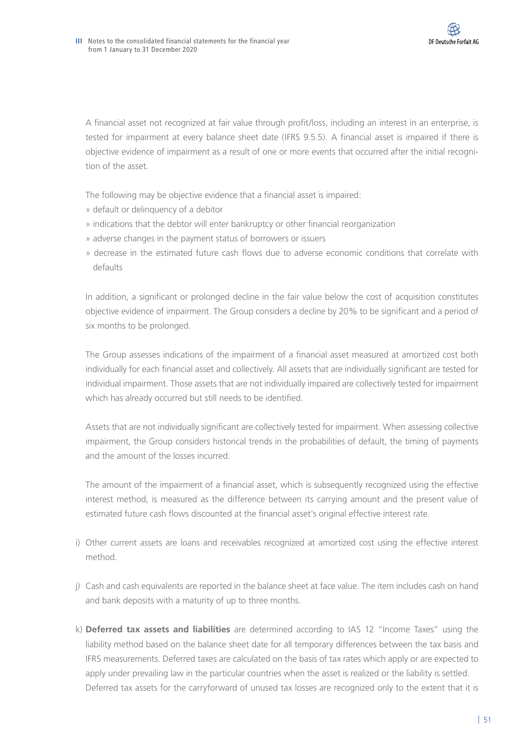A financial asset not recognized at fair value through profit/loss, including an interest in an enterprise, is tested for impairment at every balance sheet date (IFRS 9.5.5). A financial asset is impaired if there is objective evidence of impairment as a result of one or more events that occurred after the initial recognition of the asset.

The following may be objective evidence that a financial asset is impaired:

- » default or delinquency of a debitor
- » indications that the debtor will enter bankruptcy or other financial reorganization
- » adverse changes in the payment status of borrowers or issuers
- » decrease in the estimated future cash flows due to adverse economic conditions that correlate with defaults

In addition, a significant or prolonged decline in the fair value below the cost of acquisition constitutes objective evidence of impairment. The Group considers a decline by 20% to be significant and a period of six months to be prolonged.

The Group assesses indications of the impairment of a financial asset measured at amortized cost both individually for each financial asset and collectively. All assets that are individually significant are tested for individual impairment. Those assets that are not individually impaired are collectively tested for impairment which has already occurred but still needs to be identified.

Assets that are not individually significant are collectively tested for impairment. When assessing collective impairment, the Group considers historical trends in the probabilities of default, the timing of payments and the amount of the losses incurred.

The amount of the impairment of a financial asset, which is subsequently recognized using the effective interest method, is measured as the difference between its carrying amount and the present value of estimated future cash flows discounted at the financial asset's original effective interest rate.

- i) Other current assets are loans and receivables recognized at amortized cost using the effective interest method.
- j) Cash and cash equivalents are reported in the balance sheet at face value. The item includes cash on hand and bank deposits with a maturity of up to three months.
- k) **Deferred tax assets and liabilities** are determined according to IAS 12 "Income Taxes" using the liability method based on the balance sheet date for all temporary differences between the tax basis and IFRS measurements. Deferred taxes are calculated on the basis of tax rates which apply or are expected to apply under prevailing law in the particular countries when the asset is realized or the liability is settled. Deferred tax assets for the carryforward of unused tax losses are recognized only to the extent that it is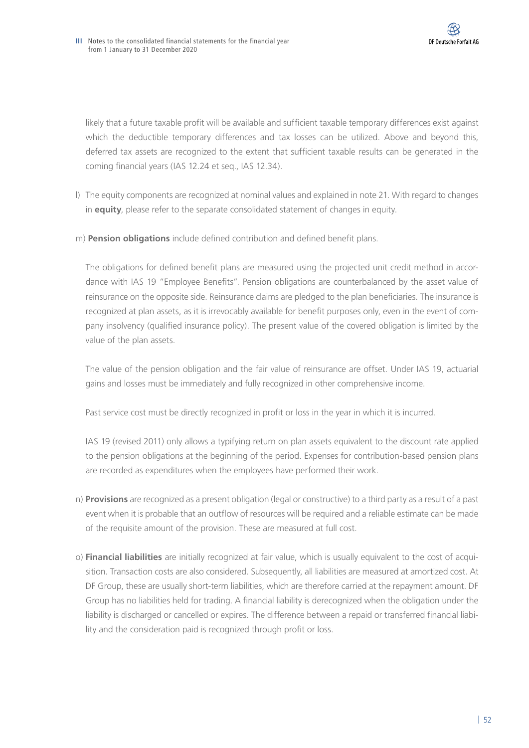likely that a future taxable profit will be available and sufficient taxable temporary differences exist against which the deductible temporary differences and tax losses can be utilized. Above and beyond this, deferred tax assets are recognized to the extent that sufficient taxable results can be generated in the coming financial years (IAS 12.24 et seq., IAS 12.34).

- l) The equity components are recognized at nominal values and explained in note 21. With regard to changes in **equity**, please refer to the separate consolidated statement of changes in equity.
- m) **Pension obligations** include defined contribution and defined benefit plans.

The obligations for defined benefit plans are measured using the projected unit credit method in accordance with IAS 19 "Employee Benefits". Pension obligations are counterbalanced by the asset value of reinsurance on the opposite side. Reinsurance claims are pledged to the plan beneficiaries. The insurance is recognized at plan assets, as it is irrevocably available for benefit purposes only, even in the event of company insolvency (qualified insurance policy). The present value of the covered obligation is limited by the value of the plan assets.

The value of the pension obligation and the fair value of reinsurance are offset. Under IAS 19, actuarial gains and losses must be immediately and fully recognized in other comprehensive income.

Past service cost must be directly recognized in profit or loss in the year in which it is incurred.

IAS 19 (revised 2011) only allows a typifying return on plan assets equivalent to the discount rate applied to the pension obligations at the beginning of the period. Expenses for contribution-based pension plans are recorded as expenditures when the employees have performed their work.

- n) **Provisions** are recognized as a present obligation (legal or constructive) to a third party as a result of a past event when it is probable that an outflow of resources will be required and a reliable estimate can be made of the requisite amount of the provision. These are measured at full cost.
- o) **Financial liabilities** are initially recognized at fair value, which is usually equivalent to the cost of acquisition. Transaction costs are also considered. Subsequently, all liabilities are measured at amortized cost. At DF Group, these are usually short-term liabilities, which are therefore carried at the repayment amount. DF Group has no liabilities held for trading. A financial liability is derecognized when the obligation under the liability is discharged or cancelled or expires. The difference between a repaid or transferred financial liability and the consideration paid is recognized through profit or loss.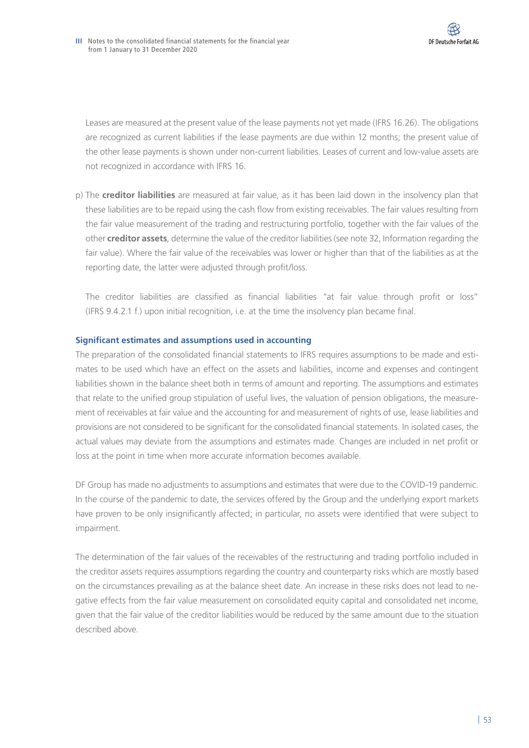Leases are measured at the present value of the lease payments not yet made (IFRS 16.26). The obligations are recognized as current liabilities if the lease payments are due within 12 months; the present value of the other lease payments is shown under non-current liabilities. Leases of current and low-value assets are not recognized in accordance with IFRS 16.

p) The **creditor liabilities** are measured at fair value, as it has been laid down in the insolvency plan that these liabilities are to be repaid using the cash flow from existing receivables. The fair values resulting from the fair value measurement of the trading and restructuring portfolio, together with the fair values of the other **creditor assets**, determine the value of the creditor liabilities (see note 32, Information regarding the fair value). Where the fair value of the receivables was lower or higher than that of the liabilities as at the reporting date, the latter were adjusted through profit/loss.

The creditor liabilities are classified as financial liabilities "at fair value through profit or loss" (IFRS 9.4.2.1 f.) upon initial recognition, i.e. at the time the insolvency plan became final.

## **Significant estimates and assumptions used in accounting**

The preparation of the consolidated financial statements to IFRS requires assumptions to be made and estimates to be used which have an effect on the assets and liabilities, income and expenses and contingent liabilities shown in the balance sheet both in terms of amount and reporting. The assumptions and estimates that relate to the unified group stipulation of useful lives, the valuation of pension obligations, the measurement of receivables at fair value and the accounting for and measurement of rights of use, lease liabilities and provisions are not considered to be significant for the consolidated financial statements. In isolated cases, the actual values may deviate from the assumptions and estimates made. Changes are included in net profit or loss at the point in time when more accurate information becomes available.

DF Group has made no adjustments to assumptions and estimates that were due to the COVID-19 pandemic. In the course of the pandemic to date, the services offered by the Group and the underlying export markets have proven to be only insignificantly affected; in particular, no assets were identified that were subject to impairment.

The determination of the fair values of the receivables of the restructuring and trading portfolio included in the creditor assets requires assumptions regarding the country and counterparty risks which are mostly based on the circumstances prevailing as at the balance sheet date. An increase in these risks does not lead to negative effects from the fair value measurement on consolidated equity capital and consolidated net income, given that the fair value of the creditor liabilities would be reduced by the same amount due to the situation described above.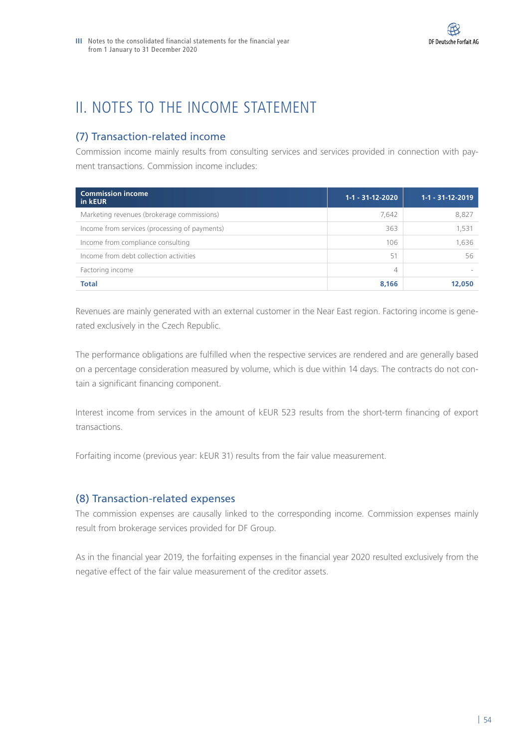# II. NOTES TO THE INCOME STATEMENT

# (7) Transaction-related income

Commission income mainly results from consulting services and services provided in connection with payment transactions. Commission income includes:

| <b>Commission income</b><br>in kEUR           | $1-1 - 31-12-2020$ | $1-1 - 31-12-2019$ |
|-----------------------------------------------|--------------------|--------------------|
| Marketing revenues (brokerage commissions)    | 7,642              | 8,827              |
| Income from services (processing of payments) | 363                | 1,531              |
| Income from compliance consulting             | 106                | 1,636              |
| Income from debt collection activities        | 51                 | 56                 |
| Factoring income                              | 4                  |                    |
| <b>Total</b>                                  | 8.166              | 12,050             |

Revenues are mainly generated with an external customer in the Near East region. Factoring income is generated exclusively in the Czech Republic.

The performance obligations are fulfilled when the respective services are rendered and are generally based on a percentage consideration measured by volume, which is due within 14 days. The contracts do not contain a significant financing component.

Interest income from services in the amount of kEUR 523 results from the short-term financing of export transactions.

Forfaiting income (previous year: kEUR 31) results from the fair value measurement.

## (8) Transaction-related expenses

The commission expenses are causally linked to the corresponding income. Commission expenses mainly result from brokerage services provided for DF Group.

As in the financial year 2019, the forfaiting expenses in the financial year 2020 resulted exclusively from the negative effect of the fair value measurement of the creditor assets.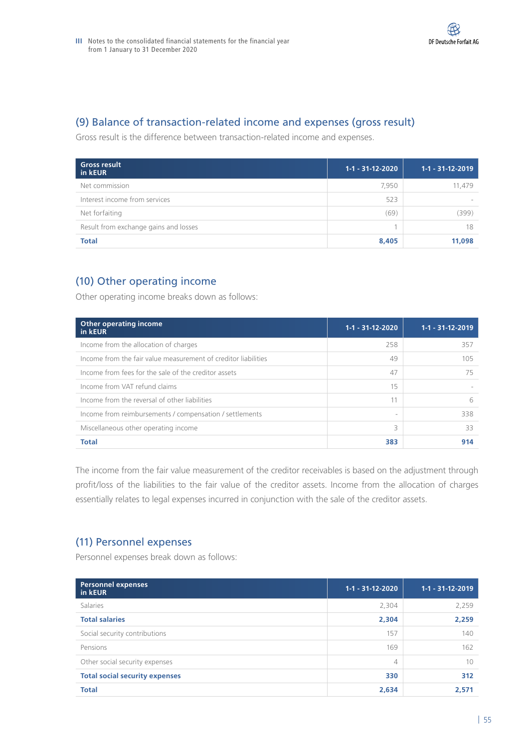

## (9) Balance of transaction-related income and expenses (gross result)

Gross result is the difference between transaction-related income and expenses.

| <b>Gross result</b><br>in kEUR        | $1 - 1 - 31 - 12 - 2020$ | $1-1 - 31-12-2019$ |
|---------------------------------------|--------------------------|--------------------|
| Net commission                        | 7,950                    | 11,479             |
| Interest income from services         | 523                      |                    |
| Net forfaiting                        | (69)                     | (399)              |
| Result from exchange gains and losses |                          | 18                 |
| <b>Total</b>                          | 8,405                    | 11,098             |

# (10) Other operating income

Other operating income breaks down as follows:

| <b>Other operating income</b><br>in kEUR                       | $1-1 - 31-12-2020$       | $1-1 - 31-12-2019$ |
|----------------------------------------------------------------|--------------------------|--------------------|
| Income from the allocation of charges                          | 258                      | 357                |
| Income from the fair value measurement of creditor liabilities | 49                       | 105                |
| Income from fees for the sale of the creditor assets           | 47                       | 75                 |
| Income from VAT refund claims                                  | 15                       |                    |
| Income from the reversal of other liabilities                  |                          | 6                  |
| Income from reimbursements / compensation / settlements        | $\overline{\phantom{a}}$ | 338                |
| Miscellaneous other operating income                           | 3                        | 33                 |
| <b>Total</b>                                                   | 383                      | 914                |

The income from the fair value measurement of the creditor receivables is based on the adjustment through profit/loss of the liabilities to the fair value of the creditor assets. Income from the allocation of charges essentially relates to legal expenses incurred in conjunction with the sale of the creditor assets.

## (11) Personnel expenses

Personnel expenses break down as follows:

| <b>Personnel expenses</b><br>in kEUR  | $1-1 - 31-12-2020$ | $1-1 - 31 - 12 - 2019$ |
|---------------------------------------|--------------------|------------------------|
| Salaries                              | 2,304              | 2,259                  |
| <b>Total salaries</b>                 | 2,304              | 2,259                  |
| Social security contributions         | 157                | 140                    |
| Pensions                              | 169                | 162                    |
| Other social security expenses        | 4                  | 10                     |
| <b>Total social security expenses</b> | 330                | 312                    |
| <b>Total</b>                          | 2,634              | 2,571                  |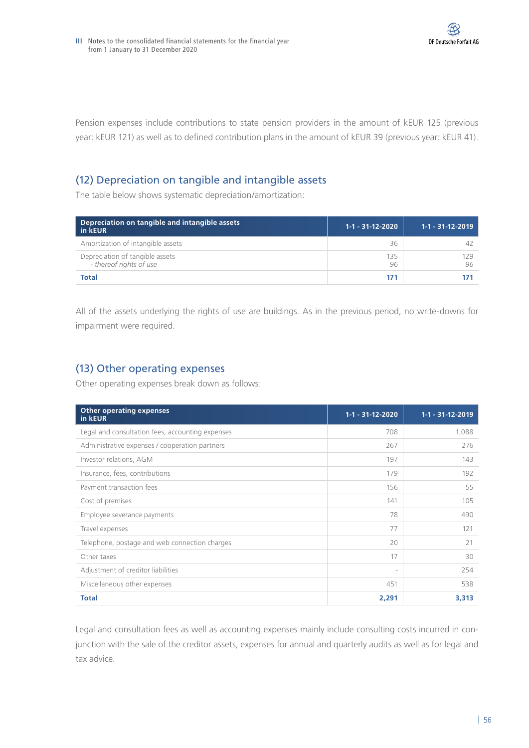Pension expenses include contributions to state pension providers in the amount of kEUR 125 (previous year: kEUR 121) as well as to defined contribution plans in the amount of kEUR 39 (previous year: kEUR 41).

# (12) Depreciation on tangible and intangible assets

The table below shows systematic depreciation/amortization:

| Depreciation on tangible and intangible assets<br>in kEUR  | $1-1 - 31-12-2020$ | $1 - 1 - 31 - 12 - 2019$ |
|------------------------------------------------------------|--------------------|--------------------------|
| Amortization of intangible assets                          | 36                 |                          |
| Depreciation of tangible assets<br>- thereof rights of use | 135<br>96          | 179                      |
| <b>Total</b>                                               | 171                |                          |

All of the assets underlying the rights of use are buildings. As in the previous period, no write-downs for impairment were required.

# (13) Other operating expenses

Other operating expenses break down as follows:

| <b>Other operating expenses</b><br>in kEUR       | $1 - 1 - 31 - 12 - 2020$ | $1-1 - 31-12-2019$ |
|--------------------------------------------------|--------------------------|--------------------|
| Legal and consultation fees, accounting expenses | 708                      | 1,088              |
| Administrative expenses / cooperation partners   | 267                      | 276                |
| Investor relations, AGM                          | 197                      | 143                |
| Insurance, fees, contributions                   | 179                      | 192                |
| Payment transaction fees                         | 156                      | 55                 |
| Cost of premises                                 | 141                      | 105                |
| Employee severance payments                      | 78                       | 490                |
| Travel expenses                                  | 77                       | 121                |
| Telephone, postage and web connection charges    | 20                       | 21                 |
| Other taxes                                      | 17                       | 30                 |
| Adjustment of creditor liabilities               | $\overline{\phantom{a}}$ | 254                |
| Miscellaneous other expenses                     | 451                      | 538                |
| <b>Total</b>                                     | 2,291                    | 3,313              |

Legal and consultation fees as well as accounting expenses mainly include consulting costs incurred in conjunction with the sale of the creditor assets, expenses for annual and quarterly audits as well as for legal and tax advice.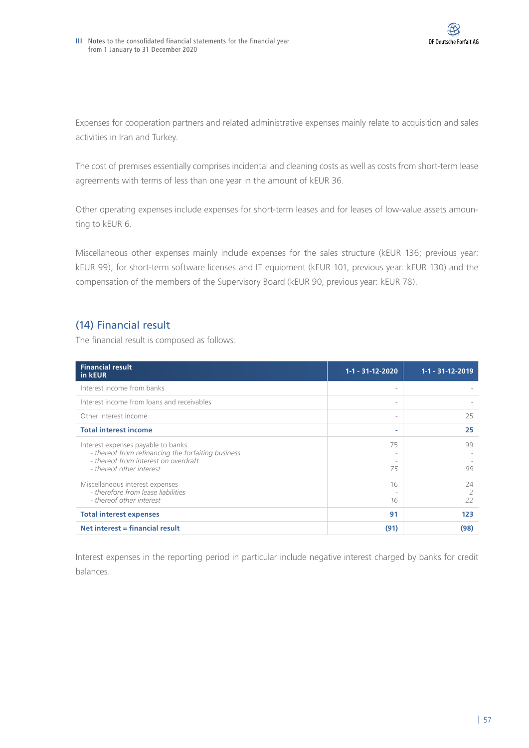Expenses for cooperation partners and related administrative expenses mainly relate to acquisition and sales activities in Iran and Turkey.

The cost of premises essentially comprises incidental and cleaning costs as well as costs from short-term lease agreements with terms of less than one year in the amount of kEUR 36.

Other operating expenses include expenses for short-term leases and for leases of low-value assets amounting to kEUR 6.

Miscellaneous other expenses mainly include expenses for the sales structure (kEUR 136; previous year: kEUR 99), for short-term software licenses and IT equipment (kEUR 101, previous year: kEUR 130) and the compensation of the members of the Supervisory Board (kEUR 90, previous year: kEUR 78).

# (14) Financial result

The financial result is composed as follows:

| <b>Financial result</b><br>in kEUR                                                                                               | 1-1 - 31-12-2020 | 1-1 - 31-12-2019 |
|----------------------------------------------------------------------------------------------------------------------------------|------------------|------------------|
| Interest income from banks                                                                                                       |                  |                  |
| Interest income from loans and receivables                                                                                       |                  |                  |
| Other interest income                                                                                                            |                  | 25               |
| <b>Total interest income</b>                                                                                                     | ۰                | 25               |
| Interest expenses payable to banks<br>- thereof from refinancing the forfaiting business<br>- thereof from interest on overdraft | 75               | 99               |
| - thereof other interest                                                                                                         | 75               | 99               |
| Miscellaneous interest expenses<br>- therefore from lease liabilities                                                            | 16               | 74               |
| - thereof other interest                                                                                                         | 16               | 22               |
| <b>Total interest expenses</b>                                                                                                   | 91               | 123              |
| Net interest = financial result                                                                                                  | (91)             | (98)             |

Interest expenses in the reporting period in particular include negative interest charged by banks for credit balances.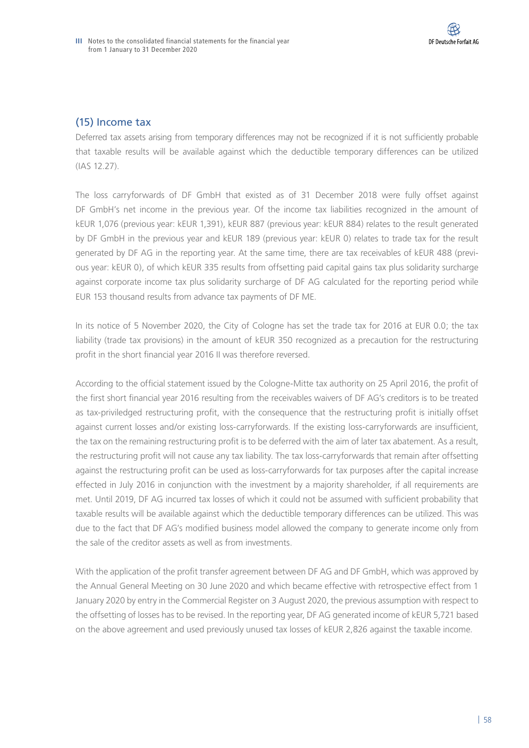## (15) Income tax

Deferred tax assets arising from temporary differences may not be recognized if it is not sufficiently probable that taxable results will be available against which the deductible temporary differences can be utilized (IAS 12.27).

The loss carryforwards of DF GmbH that existed as of 31 December 2018 were fully offset against DF GmbH's net income in the previous year. Of the income tax liabilities recognized in the amount of kEUR 1,076 (previous year: kEUR 1,391), kEUR 887 (previous year: kEUR 884) relates to the result generated by DF GmbH in the previous year and kEUR 189 (previous year: kEUR 0) relates to trade tax for the result generated by DF AG in the reporting year. At the same time, there are tax receivables of kEUR 488 (previous year: kEUR 0), of which kEUR 335 results from offsetting paid capital gains tax plus solidarity surcharge against corporate income tax plus solidarity surcharge of DF AG calculated for the reporting period while EUR 153 thousand results from advance tax payments of DF ME.

In its notice of 5 November 2020, the City of Cologne has set the trade tax for 2016 at EUR 0.0; the tax liability (trade tax provisions) in the amount of kEUR 350 recognized as a precaution for the restructuring profit in the short financial year 2016 II was therefore reversed.

According to the official statement issued by the Cologne-Mitte tax authority on 25 April 2016, the profit of the first short financial year 2016 resulting from the receivables waivers of DF AG's creditors is to be treated as tax-priviledged restructuring profit, with the consequence that the restructuring profit is initially offset against current losses and/or existing loss-carryforwards. If the existing loss-carryforwards are insufficient, the tax on the remaining restructuring profit is to be deferred with the aim of later tax abatement. As a result, the restructuring profit will not cause any tax liability. The tax loss-carryforwards that remain after offsetting against the restructuring profit can be used as loss-carryforwards for tax purposes after the capital increase effected in July 2016 in conjunction with the investment by a majority shareholder, if all requirements are met. Until 2019, DF AG incurred tax losses of which it could not be assumed with sufficient probability that taxable results will be available against which the deductible temporary differences can be utilized. This was due to the fact that DF AG's modified business model allowed the company to generate income only from the sale of the creditor assets as well as from investments.

With the application of the profit transfer agreement between DF AG and DF GmbH, which was approved by the Annual General Meeting on 30 June 2020 and which became effective with retrospective effect from 1 January 2020 by entry in the Commercial Register on 3 August 2020, the previous assumption with respect to the offsetting of losses has to be revised. In the reporting year, DF AG generated income of kEUR 5,721 based on the above agreement and used previously unused tax losses of kEUR 2,826 against the taxable income.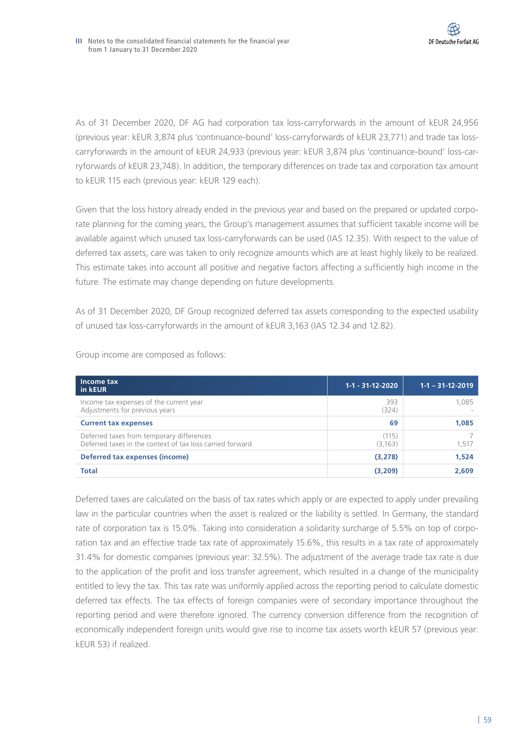As of 31 December 2020, DF AG had corporation tax loss-carryforwards in the amount of kEUR 24,956 (previous year: kEUR 3,874 plus 'continuance-bound' loss-carryforwards of kEUR 23,771) and trade tax losscarryforwards in the amount of kEUR 24,933 (previous year: kEUR 3,874 plus 'continuance-bound' loss-carryforwards of kEUR 23,748). In addition, the temporary differences on trade tax and corporation tax amount to kEUR 115 each (previous year: kEUR 129 each).

Given that the loss history already ended in the previous year and based on the prepared or updated corporate planning for the coming years, the Group's management assumes that sufficient taxable income will be available against which unused tax loss-carryforwards can be used (IAS 12.35). With respect to the value of deferred tax assets, care was taken to only recognize amounts which are at least highly likely to be realized. This estimate takes into account all positive and negative factors affecting a sufficiently high income in the future. The estimate may change depending on future developments.

As of 31 December 2020, DF Group recognized deferred tax assets corresponding to the expected usability of unused tax loss-carryforwards in the amount of kEUR 3,163 (IAS 12.34 and 12.82).

| Income tax<br>in kEUR                                                                                  | $1-1 - 31-12-2020$ | $1 - 1 - 31 - 12 - 2019$ |
|--------------------------------------------------------------------------------------------------------|--------------------|--------------------------|
| Income tax expenses of the current year<br>Adjustments for previous years                              | 393<br>(324)       | 1.085                    |
| <b>Current tax expenses</b>                                                                            | 69                 | 1,085                    |
| Deferred taxes from temporary differences<br>Deferred taxes in the context of tax loss carried forward | (115)<br>(3,163)   | 1,517                    |
| Deferred tax expenses (income)                                                                         | (3, 278)           | 1,524                    |
| <b>Total</b>                                                                                           | (3,209)            | 2.609                    |

Group income are composed as follows:

Deferred taxes are calculated on the basis of tax rates which apply or are expected to apply under prevailing law in the particular countries when the asset is realized or the liability is settled. In Germany, the standard rate of corporation tax is 15.0%. Taking into consideration a solidarity surcharge of 5.5% on top of corporation tax and an effective trade tax rate of approximately 15.6%, this results in a tax rate of approximately 31.4% for domestic companies (previous year: 32.5%). The adjustment of the average trade tax rate is due to the application of the profit and loss transfer agreement, which resulted in a change of the municipality entitled to levy the tax. This tax rate was uniformly applied across the reporting period to calculate domestic deferred tax effects. The tax effects of foreign companies were of secondary importance throughout the reporting period and were therefore ignored. The currency conversion difference from the recognition of economically independent foreign units would give rise to income tax assets worth kEUR 57 (previous year: kEUR 53) if realized.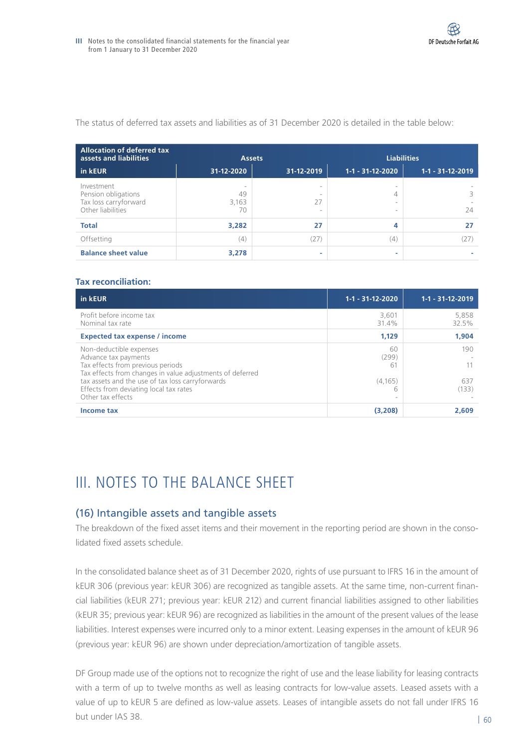The status of deferred tax assets and liabilities as of 31 December 2020 is detailed in the table below:

| <b>Allocation of deferred tax</b><br>assets and liabilities                     |                        | <b>Assets</b>     |                       | <b>Liabilities</b> |
|---------------------------------------------------------------------------------|------------------------|-------------------|-----------------------|--------------------|
| in kEUR                                                                         | 31-12-2020             | 31-12-2019        | $1-1 - 31-12-2020$    | $1-1 - 31-12-2019$ |
| Investment<br>Pension obligations<br>Tax loss carryforward<br>Other liabilities | -<br>49<br>3,163<br>70 | $\sim$<br>27<br>- | -<br>$\sim$<br>$\sim$ | 24                 |
| <b>Total</b>                                                                    | 3,282                  | 27                | 4                     | 27                 |
| Offsetting                                                                      | (4)                    | (27               | (4)                   | (27                |
| <b>Balance sheet value</b>                                                      | 3,278                  | -                 |                       |                    |

#### **Tax reconciliation:**

| in kEUR                                                                                                                                           | 1-1 - 31-12-2020        | $1 - 1 - 31 - 12 - 2019$ |
|---------------------------------------------------------------------------------------------------------------------------------------------------|-------------------------|--------------------------|
| Profit before income tax<br>Nominal tax rate                                                                                                      | 3,601<br>31.4%          | 5,858<br>32.5%           |
| <b>Expected tax expense / income</b>                                                                                                              | 1,129                   | 1,904                    |
| Non-deductible expenses<br>Advance tax payments<br>Tax effects from previous periods<br>Tax effects from changes in value adjustments of deferred | 60<br>(299)<br>-61      | 190                      |
| tax assets and the use of tax loss carryforwards<br>Effects from deviating local tax rates<br>Other tax effects                                   | (4, 165)<br>h<br>$\sim$ | 637<br>(133)             |
| <b>Income tax</b>                                                                                                                                 | (3,208)                 | 2.609                    |

# III. NOTES TO THE BALANCE SHEET

## (16) Intangible assets and tangible assets

The breakdown of the fixed asset items and their movement in the reporting period are shown in the consolidated fixed assets schedule.

In the consolidated balance sheet as of 31 December 2020, rights of use pursuant to IFRS 16 in the amount of kEUR 306 (previous year: kEUR 306) are recognized as tangible assets. At the same time, non-current financial liabilities (kEUR 271; previous year: kEUR 212) and current financial liabilities assigned to other liabilities (kEUR 35; previous year: kEUR 96) are recognized as liabilities in the amount of the present values of the lease liabilities. Interest expenses were incurred only to a minor extent. Leasing expenses in the amount of kEUR 96 (previous year: kEUR 96) are shown under depreciation/amortization of tangible assets.

DF Group made use of the options not to recognize the right of use and the lease liability for leasing contracts with a term of up to twelve months as well as leasing contracts for low-value assets. Leased assets with a value of up to kEUR 5 are defined as low-value assets. Leases of intangible assets do not fall under IFRS 16 but under IAS 38.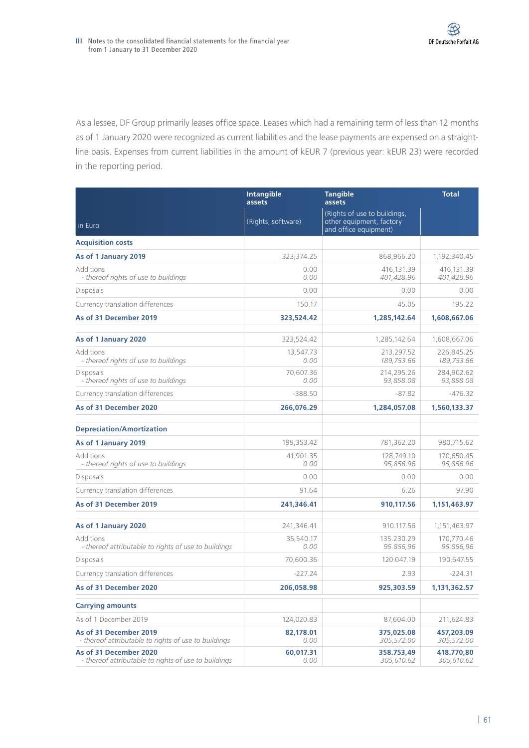As a lessee, DF Group primarily leases office space. Leases which had a remaining term of less than 12 months as of 1 January 2020 were recognized as current liabilities and the lease payments are expensed on a straightline basis. Expenses from current liabilities in the amount of kEUR 7 (previous year: kEUR 23) were recorded in the reporting period.

|                                                                                | <b>Intangible</b><br>assets | <b>Tangible</b><br>assets                                                         | <b>Total</b>             |
|--------------------------------------------------------------------------------|-----------------------------|-----------------------------------------------------------------------------------|--------------------------|
| in Euro                                                                        | (Rights, software)          | (Rights of use to buildings,<br>other equipment, factory<br>and office equipment) |                          |
| <b>Acquisition costs</b>                                                       |                             |                                                                                   |                          |
| As of 1 January 2019                                                           | 323,374.25                  | 868,966.20                                                                        | 1,192,340.45             |
| Additions<br>- thereof rights of use to buildings                              | 0.00<br>0.00                | 416,131.39<br>401,428.96                                                          | 416,131.39<br>401,428.96 |
| Disposals                                                                      | 0.00                        | 0.00                                                                              | 0.00                     |
| Currency translation differences                                               | 150.17                      | 45.05                                                                             | 195.22                   |
| As of 31 December 2019                                                         | 323,524.42                  | 1,285,142.64                                                                      | 1,608,667.06             |
| As of 1 January 2020                                                           | 323,524.42                  | 1,285,142.64                                                                      | 1,608,667.06             |
| Additions<br>- thereof rights of use to buildings                              | 13,547.73<br>0.00           | 213,297.52<br>189,753.66                                                          | 226,845.25<br>189,753.66 |
| Disposals<br>- thereof rights of use to buildings                              | 70,607.36<br>0.00           | 214,295.26<br>93,858.08                                                           | 284,902.62<br>93,858.08  |
| Currency translation differences                                               | $-388.50$                   | $-87.82$                                                                          | $-476.32$                |
| As of 31 December 2020                                                         | 266,076.29                  | 1,284,057.08                                                                      | 1,560,133.37             |
| <b>Depreciation/Amortization</b>                                               |                             |                                                                                   |                          |
| As of 1 January 2019                                                           | 199,353.42                  | 781,362.20                                                                        | 980,715.62               |
| Additions<br>- thereof rights of use to buildings                              | 41,901.35<br>0.00           | 128,749.10<br>95,856.96                                                           | 170,650.45<br>95,856.96  |
| Disposals                                                                      | 0.00                        | 0.00                                                                              | 0.00                     |
| Currency translation differences                                               | 91.64                       | 6.26                                                                              | 97.90                    |
| As of 31 December 2019                                                         | 241,346.41                  | 910,117.56                                                                        | 1,151,463.97             |
| As of 1 January 2020                                                           | 241,346.41                  | 910.117.56                                                                        | 1,151,463.97             |
| Additions<br>- thereof attributable to rights of use to buildings              | 35,540.17<br>0.00           | 135.230.29<br>95.856,96                                                           | 170,770.46<br>95.856,96  |
| Disposals                                                                      | 70,600.36                   | 120.047.19                                                                        | 190,647.55               |
| Currency translation differences                                               | $-227.24$                   | 2.93                                                                              | $-224.31$                |
| As of 31 December 2020                                                         | 206,058.98                  | 925,303.59                                                                        | 1,131,362.57             |
| <b>Carrying amounts</b>                                                        |                             |                                                                                   |                          |
| As of 1 December 2019                                                          | 124,020.83                  | 87,604.00                                                                         | 211,624.83               |
| As of 31 December 2019<br>- thereof attributable to rights of use to buildings | 82,178.01<br>0.00           | 375,025.08<br>305,572.00                                                          | 457,203.09<br>305,572.00 |
| As of 31 December 2020<br>- thereof attributable to rights of use to buildings | 60,017.31<br>0.00           | 358.753,49<br>305,610.62                                                          | 418.770,80<br>305,610.62 |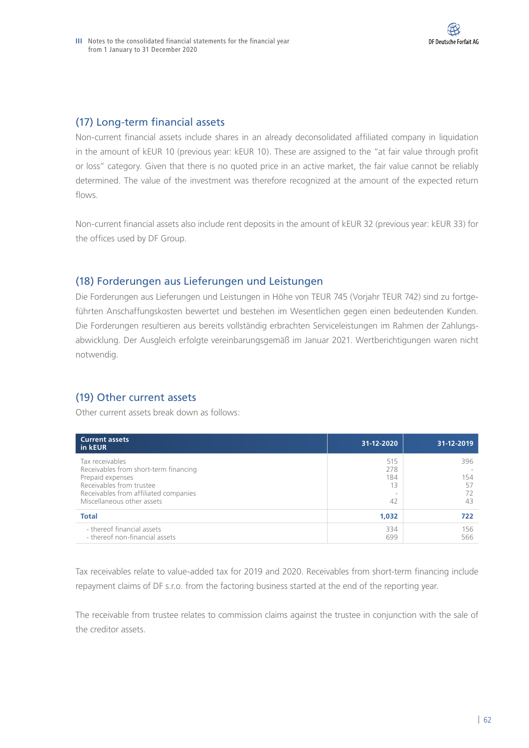## (17) Long-term financial assets

Non-current financial assets include shares in an already deconsolidated affiliated company in liquidation in the amount of kEUR 10 (previous year: kEUR 10). These are assigned to the "at fair value through profit or loss" category. Given that there is no quoted price in an active market, the fair value cannot be reliably determined. The value of the investment was therefore recognized at the amount of the expected return flows.

Non-current financial assets also include rent deposits in the amount of kEUR 32 (previous year: kEUR 33) for the offices used by DF Group.

## (18) Forderungen aus Lieferungen und Leistungen

Die Forderungen aus Lieferungen und Leistungen in Höhe von TEUR 745 (Vorjahr TEUR 742) sind zu fortgeführten Anschaffungskosten bewertet und bestehen im Wesentlichen gegen einen bedeutenden Kunden. Die Forderungen resultieren aus bereits vollständig erbrachten Serviceleistungen im Rahmen der Zahlungsabwicklung. Der Ausgleich erfolgte vereinbarungsgemäß im Januar 2021. Wertberichtigungen waren nicht notwendig.

# (19) Other current assets

Other current assets break down as follows:

| <b>Current assets</b><br>in kEUR                                                                                                                                                | 31-12-2020                    | 31-12-2019             |
|---------------------------------------------------------------------------------------------------------------------------------------------------------------------------------|-------------------------------|------------------------|
| Tax receivables<br>Receivables from short-term financing<br>Prepaid expenses<br>Receivables from trustee<br>Receivables from affiliated companies<br>Miscellaneous other assets | 515<br>278<br>184<br>13<br>42 | 396<br>154<br>57<br>43 |
| <b>Total</b>                                                                                                                                                                    | 1,032                         | 722                    |
| - thereof financial assets<br>- thereof non-financial assets                                                                                                                    | 334<br>699                    | 156<br>566             |

Tax receivables relate to value-added tax for 2019 and 2020. Receivables from short-term financing include repayment claims of DF s.r.o. from the factoring business started at the end of the reporting year.

The receivable from trustee relates to commission claims against the trustee in conjunction with the sale of the creditor assets.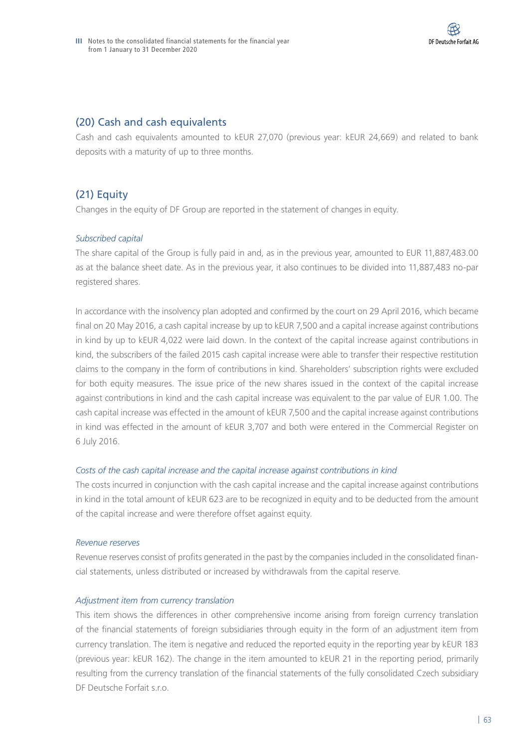## (20) Cash and cash equivalents

Cash and cash equivalents amounted to kEUR 27,070 (previous year: kEUR 24,669) and related to bank deposits with a maturity of up to three months.

# (21) Equity

Changes in the equity of DF Group are reported in the statement of changes in equity.

## *Subscribed capital*

The share capital of the Group is fully paid in and, as in the previous year, amounted to EUR 11,887,483.00 as at the balance sheet date. As in the previous year, it also continues to be divided into 11,887,483 no-par registered shares.

In accordance with the insolvency plan adopted and confirmed by the court on 29 April 2016, which became final on 20 May 2016, a cash capital increase by up to kEUR 7,500 and a capital increase against contributions in kind by up to kEUR 4,022 were laid down. In the context of the capital increase against contributions in kind, the subscribers of the failed 2015 cash capital increase were able to transfer their respective restitution claims to the company in the form of contributions in kind. Shareholders' subscription rights were excluded for both equity measures. The issue price of the new shares issued in the context of the capital increase against contributions in kind and the cash capital increase was equivalent to the par value of EUR 1.00. The cash capital increase was effected in the amount of kEUR 7,500 and the capital increase against contributions in kind was effected in the amount of kEUR 3,707 and both were entered in the Commercial Register on 6 July 2016.

## *Costs of the cash capital increase and the capital increase against contributions in kind*

The costs incurred in conjunction with the cash capital increase and the capital increase against contributions in kind in the total amount of kEUR 623 are to be recognized in equity and to be deducted from the amount of the capital increase and were therefore offset against equity.

#### *Revenue reserves*

Revenue reserves consist of profits generated in the past by the companies included in the consolidated financial statements, unless distributed or increased by withdrawals from the capital reserve.

## *Adjustment item from currency translation*

This item shows the differences in other comprehensive income arising from foreign currency translation of the financial statements of foreign subsidiaries through equity in the form of an adjustment item from currency translation. The item is negative and reduced the reported equity in the reporting year by kEUR 183 (previous year: kEUR 162). The change in the item amounted to kEUR 21 in the reporting period, primarily resulting from the currency translation of the financial statements of the fully consolidated Czech subsidiary DF Deutsche Forfait s.r.o.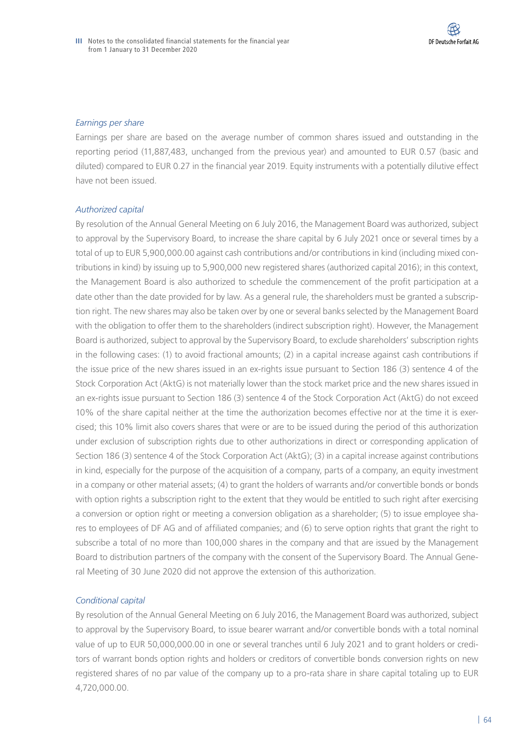#### *Earnings per share*

Earnings per share are based on the average number of common shares issued and outstanding in the reporting period (11,887,483, unchanged from the previous year) and amounted to EUR 0.57 (basic and diluted) compared to EUR 0.27 in the financial year 2019. Equity instruments with a potentially dilutive effect have not been issued.

#### *Authorized capital*

By resolution of the Annual General Meeting on 6 July 2016, the Management Board was authorized, subject to approval by the Supervisory Board, to increase the share capital by 6 July 2021 once or several times by a total of up to EUR 5,900,000.00 against cash contributions and/or contributions in kind (including mixed contributions in kind) by issuing up to 5,900,000 new registered shares (authorized capital 2016); in this context, the Management Board is also authorized to schedule the commencement of the profit participation at a date other than the date provided for by law. As a general rule, the shareholders must be granted a subscription right. The new shares may also be taken over by one or several banks selected by the Management Board with the obligation to offer them to the shareholders (indirect subscription right). However, the Management Board is authorized, subject to approval by the Supervisory Board, to exclude shareholders' subscription rights in the following cases: (1) to avoid fractional amounts; (2) in a capital increase against cash contributions if the issue price of the new shares issued in an ex-rights issue pursuant to Section 186 (3) sentence 4 of the Stock Corporation Act (AktG) is not materially lower than the stock market price and the new shares issued in an ex-rights issue pursuant to Section 186 (3) sentence 4 of the Stock Corporation Act (AktG) do not exceed 10% of the share capital neither at the time the authorization becomes effective nor at the time it is exercised; this 10% limit also covers shares that were or are to be issued during the period of this authorization under exclusion of subscription rights due to other authorizations in direct or corresponding application of Section 186 (3) sentence 4 of the Stock Corporation Act (AktG); (3) in a capital increase against contributions in kind, especially for the purpose of the acquisition of a company, parts of a company, an equity investment in a company or other material assets; (4) to grant the holders of warrants and/or convertible bonds or bonds with option rights a subscription right to the extent that they would be entitled to such right after exercising a conversion or option right or meeting a conversion obligation as a shareholder; (5) to issue employee shares to employees of DF AG and of affiliated companies; and (6) to serve option rights that grant the right to subscribe a total of no more than 100,000 shares in the company and that are issued by the Management Board to distribution partners of the company with the consent of the Supervisory Board. The Annual General Meeting of 30 June 2020 did not approve the extension of this authorization.

## *Conditional capital*

By resolution of the Annual General Meeting on 6 July 2016, the Management Board was authorized, subject to approval by the Supervisory Board, to issue bearer warrant and/or convertible bonds with a total nominal value of up to EUR 50,000,000.00 in one or several tranches until 6 July 2021 and to grant holders or creditors of warrant bonds option rights and holders or creditors of convertible bonds conversion rights on new registered shares of no par value of the company up to a pro-rata share in share capital totaling up to EUR 4,720,000.00.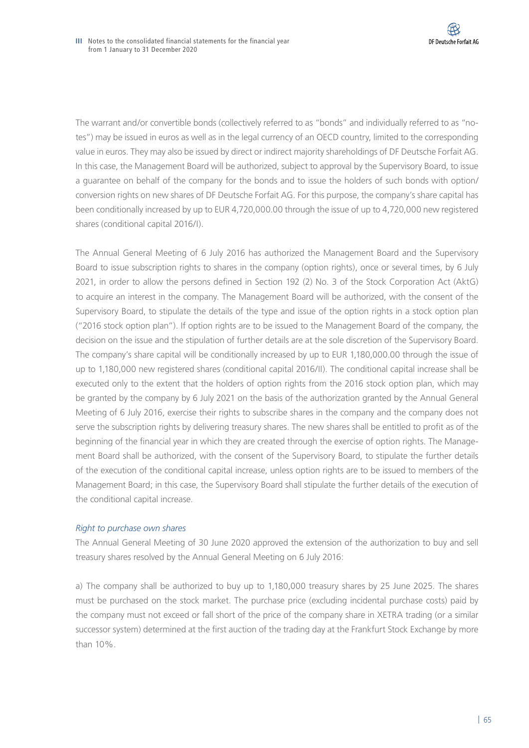The warrant and/or convertible bonds (collectively referred to as "bonds" and individually referred to as "notes") may be issued in euros as well as in the legal currency of an OECD country, limited to the corresponding value in euros. They may also be issued by direct or indirect majority shareholdings of DF Deutsche Forfait AG. In this case, the Management Board will be authorized, subject to approval by the Supervisory Board, to issue a guarantee on behalf of the company for the bonds and to issue the holders of such bonds with option/ conversion rights on new shares of DF Deutsche Forfait AG. For this purpose, the company's share capital has been conditionally increased by up to EUR 4,720,000.00 through the issue of up to 4,720,000 new registered shares (conditional capital 2016/I).

The Annual General Meeting of 6 July 2016 has authorized the Management Board and the Supervisory Board to issue subscription rights to shares in the company (option rights), once or several times, by 6 July 2021, in order to allow the persons defined in Section 192 (2) No. 3 of the Stock Corporation Act (AktG) to acquire an interest in the company. The Management Board will be authorized, with the consent of the Supervisory Board, to stipulate the details of the type and issue of the option rights in a stock option plan ("2016 stock option plan"). If option rights are to be issued to the Management Board of the company, the decision on the issue and the stipulation of further details are at the sole discretion of the Supervisory Board. The company's share capital will be conditionally increased by up to EUR 1,180,000.00 through the issue of up to 1,180,000 new registered shares (conditional capital 2016/II). The conditional capital increase shall be executed only to the extent that the holders of option rights from the 2016 stock option plan, which may be granted by the company by 6 July 2021 on the basis of the authorization granted by the Annual General Meeting of 6 July 2016, exercise their rights to subscribe shares in the company and the company does not serve the subscription rights by delivering treasury shares. The new shares shall be entitled to profit as of the beginning of the financial year in which they are created through the exercise of option rights. The Management Board shall be authorized, with the consent of the Supervisory Board, to stipulate the further details of the execution of the conditional capital increase, unless option rights are to be issued to members of the Management Board; in this case, the Supervisory Board shall stipulate the further details of the execution of the conditional capital increase.

## *Right to purchase own shares*

The Annual General Meeting of 30 June 2020 approved the extension of the authorization to buy and sell treasury shares resolved by the Annual General Meeting on 6 July 2016:

a) The company shall be authorized to buy up to 1,180,000 treasury shares by 25 June 2025. The shares must be purchased on the stock market. The purchase price (excluding incidental purchase costs) paid by the company must not exceed or fall short of the price of the company share in XETRA trading (or a similar successor system) determined at the first auction of the trading day at the Frankfurt Stock Exchange by more than 10%.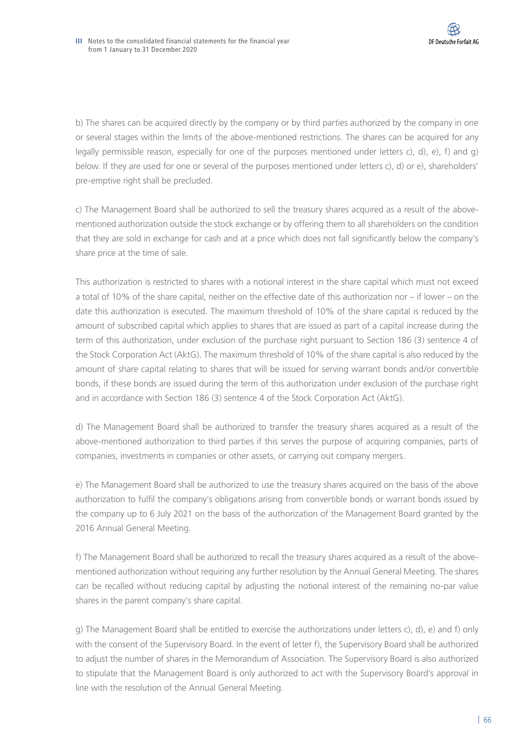b) The shares can be acquired directly by the company or by third parties authorized by the company in one or several stages within the limits of the above-mentioned restrictions. The shares can be acquired for any legally permissible reason, especially for one of the purposes mentioned under letters c), d), e), f) and g) below. If they are used for one or several of the purposes mentioned under letters c), d) or e), shareholders' pre-emptive right shall be precluded.

c) The Management Board shall be authorized to sell the treasury shares acquired as a result of the abovementioned authorization outside the stock exchange or by offering them to all shareholders on the condition that they are sold in exchange for cash and at a price which does not fall significantly below the company's share price at the time of sale.

This authorization is restricted to shares with a notional interest in the share capital which must not exceed a total of 10% of the share capital, neither on the effective date of this authorization nor – if lower – on the date this authorization is executed. The maximum threshold of 10% of the share capital is reduced by the amount of subscribed capital which applies to shares that are issued as part of a capital increase during the term of this authorization, under exclusion of the purchase right pursuant to Section 186 (3) sentence 4 of the Stock Corporation Act (AktG). The maximum threshold of 10% of the share capital is also reduced by the amount of share capital relating to shares that will be issued for serving warrant bonds and/or convertible bonds, if these bonds are issued during the term of this authorization under exclusion of the purchase right and in accordance with Section 186 (3) sentence 4 of the Stock Corporation Act (AktG).

d) The Management Board shall be authorized to transfer the treasury shares acquired as a result of the above-mentioned authorization to third parties if this serves the purpose of acquiring companies, parts of companies, investments in companies or other assets, or carrying out company mergers.

e) The Management Board shall be authorized to use the treasury shares acquired on the basis of the above authorization to fulfil the company's obligations arising from convertible bonds or warrant bonds issued by the company up to 6 July 2021 on the basis of the authorization of the Management Board granted by the 2016 Annual General Meeting.

f) The Management Board shall be authorized to recall the treasury shares acquired as a result of the abovementioned authorization without requiring any further resolution by the Annual General Meeting. The shares can be recalled without reducing capital by adjusting the notional interest of the remaining no-par value shares in the parent company's share capital.

g) The Management Board shall be entitled to exercise the authorizations under letters c), d), e) and f) only with the consent of the Supervisory Board. In the event of letter f), the Supervisory Board shall be authorized to adjust the number of shares in the Memorandum of Association. The Supervisory Board is also authorized to stipulate that the Management Board is only authorized to act with the Supervisory Board's approval in line with the resolution of the Annual General Meeting.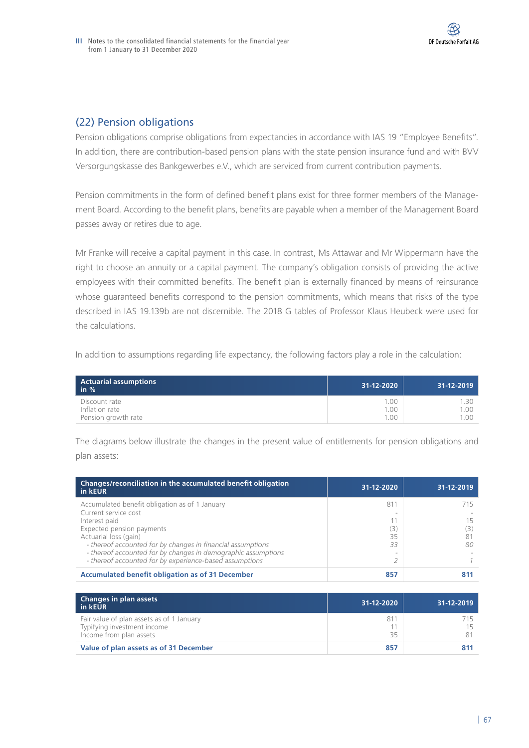## (22) Pension obligations

Pension obligations comprise obligations from expectancies in accordance with IAS 19 "Employee Benefits". In addition, there are contribution-based pension plans with the state pension insurance fund and with BVV Versorgungskasse des Bankgewerbes e.V., which are serviced from current contribution payments.

Pension commitments in the form of defined benefit plans exist for three former members of the Management Board. According to the benefit plans, benefits are payable when a member of the Management Board passes away or retires due to age.

Mr Franke will receive a capital payment in this case. In contrast, Ms Attawar and Mr Wippermann have the right to choose an annuity or a capital payment. The company's obligation consists of providing the active employees with their committed benefits. The benefit plan is externally financed by means of reinsurance whose guaranteed benefits correspond to the pension commitments, which means that risks of the type described in IAS 19.139b are not discernible. The 2018 G tables of Professor Klaus Heubeck were used for the calculations.

In addition to assumptions regarding life expectancy, the following factors play a role in the calculation:

| <b>Actuarial assumptions</b><br>in $%$ | 31-12-2020 | 31-12-2019 |
|----------------------------------------|------------|------------|
| Discount rate                          | 1.00       | ' 30       |
| Inflation rate                         | 1.00       | 1.00       |
| Pension growth rate                    | 100        | 1.00       |

The diagrams below illustrate the changes in the present value of entitlements for pension obligations and plan assets:

| Changes/reconciliation in the accumulated benefit obligation<br>in kEUR                                                                                                                                                                                                                                                                  | 31-12-2020           | 31-12-2019 |
|------------------------------------------------------------------------------------------------------------------------------------------------------------------------------------------------------------------------------------------------------------------------------------------------------------------------------------------|----------------------|------------|
| Accumulated benefit obligation as of 1 January<br>Current service cost<br>Interest paid<br>Expected pension payments<br>Actuarial loss (gain)<br>- thereof accounted for by changes in financial assumptions<br>- thereof accounted for by changes in demographic assumptions<br>- thereof accounted for by experience-based assumptions | 811<br>3<br>35<br>33 | 80         |
| <b>Accumulated benefit obligation as of 31 December</b>                                                                                                                                                                                                                                                                                  | 857                  | 811        |

| <b>Changes in plan assets</b><br>in kEUR                                                            | 31-12-2020 | 31-12-2019     |
|-----------------------------------------------------------------------------------------------------|------------|----------------|
| Fair value of plan assets as of 1 January<br>Typifying investment income<br>Income from plan assets | 81'<br>35  | 1 <sub>5</sub> |
| Value of plan assets as of 31 December                                                              | 857        | 811            |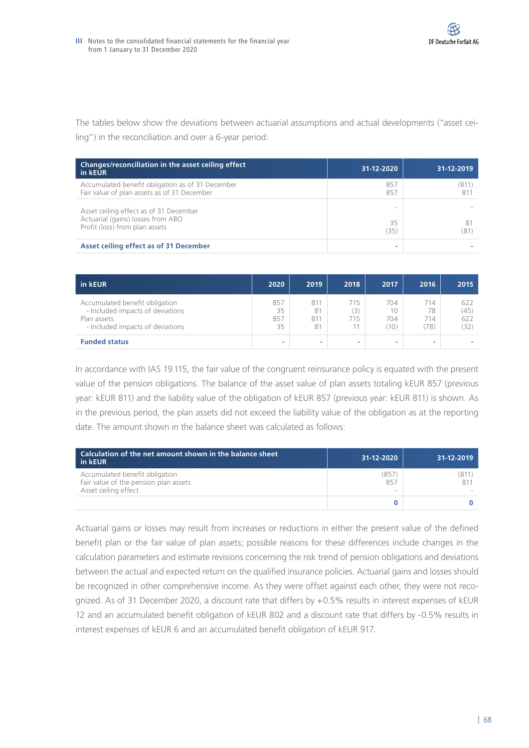The tables below show the deviations between actuarial assumptions and actual developments ("asset ceiling") in the reconciliation and over a 6-year period:

| Changes/reconciliation in the asset ceiling effect<br>in kEUR                                                 | 31-12-2020 | 31-12-2019   |
|---------------------------------------------------------------------------------------------------------------|------------|--------------|
| Accumulated benefit obligation as of 31 December<br>Fair value of plan assets as of 31 December               | 857<br>857 | (811)<br>811 |
| Asset ceiling effect as of 31 December<br>Actuarial (gains) losses from ABO<br>Profit (loss) from plan assets | 35<br>(35) | 81<br>(81    |
| Asset ceiling effect as of 31 December                                                                        |            |              |

| in kEUR                                                                                                               | 2020                   | 2019                   | 2018              | 2017                     | 2016                     | 2015                       |
|-----------------------------------------------------------------------------------------------------------------------|------------------------|------------------------|-------------------|--------------------------|--------------------------|----------------------------|
| Accumulated benefit obligation<br>- Included impacts of deviations<br>Plan assets<br>- Included impacts of deviations | 857<br>35<br>857<br>35 | 811<br>81<br>811<br>81 | 715<br>(3)<br>715 | 704<br>10<br>704<br>(10) | 714<br>78<br>714<br>(78) | 622<br>(45)<br>622<br>(32) |
| <b>Funded status</b>                                                                                                  | ۰                      | -                      |                   |                          |                          |                            |

In accordance with IAS 19.115, the fair value of the congruent reinsurance policy is equated with the present value of the pension obligations. The balance of the asset value of plan assets totaling kEUR 857 (previous year: kEUR 811) and the liability value of the obligation of kEUR 857 (previous year: kEUR 811) is shown. As in the previous period, the plan assets did not exceed the liability value of the obligation as at the reporting date. The amount shown in the balance sheet was calculated as follows:

| Calculation of the net amount shown in the balance sheet<br>in kEUR                             | 31-12-2020   | 31-12-2019 |
|-------------------------------------------------------------------------------------------------|--------------|------------|
| Accumulated benefit obligation<br>Fair value of the pension plan assets<br>Asset ceiling effect | (857)<br>857 | (811       |
|                                                                                                 |              |            |

Actuarial gains or losses may result from increases or reductions in either the present value of the defined benefit plan or the fair value of plan assets; possible reasons for these differences include changes in the calculation parameters and estimate revisions concerning the risk trend of pension obligations and deviations between the actual and expected return on the qualified insurance policies. Actuarial gains and losses should be recognized in other comprehensive income. As they were offset against each other, they were not recognized. As of 31 December 2020, a discount rate that differs by +0.5% results in interest expenses of kEUR 12 and an accumulated benefit obligation of kEUR 802 and a discount rate that differs by -0.5% results in interest expenses of kEUR 6 and an accumulated benefit obligation of kEUR 917.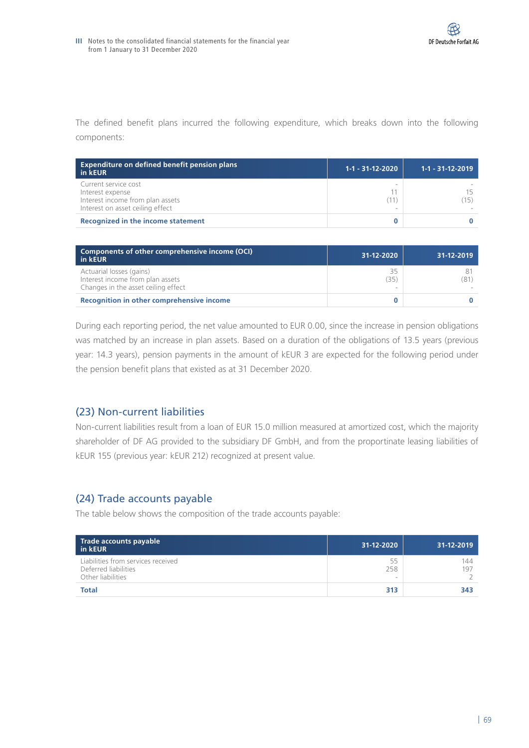The defined benefit plans incurred the following expenditure, which breaks down into the following components:

| <b>Expenditure on defined benefit pension plans</b><br>in kEUR                                                   | $1 - 1 - 31 - 12 - 2020$ | 1-1 - 31-12-2019  |
|------------------------------------------------------------------------------------------------------------------|--------------------------|-------------------|
| Current service cost<br>Interest expense<br>Interest income from plan assets<br>Interest on asset ceiling effect |                          | $15$ <sup>'</sup> |
| Recognized in the income statement                                                                               |                          |                   |

| Components of other comprehensive income (OCI)<br>in kEUR                                           | 31-12-2020 | 31-12-2019 |
|-----------------------------------------------------------------------------------------------------|------------|------------|
| Actuarial losses (gains)<br>Interest income from plan assets<br>Changes in the asset ceiling effect | 35<br>(35  | (81)       |
| Recognition in other comprehensive income                                                           |            |            |

During each reporting period, the net value amounted to EUR 0.00, since the increase in pension obligations was matched by an increase in plan assets. Based on a duration of the obligations of 13.5 years (previous year: 14.3 years), pension payments in the amount of kEUR 3 are expected for the following period under the pension benefit plans that existed as at 31 December 2020.

## (23) Non-current liabilities

Non-current liabilities result from a loan of EUR 15.0 million measured at amortized cost, which the majority shareholder of DF AG provided to the subsidiary DF GmbH, and from the proportinate leasing liabilities of kEUR 155 (previous year: kEUR 212) recognized at present value.

## (24) Trade accounts payable

The table below shows the composition of the trade accounts payable:

| Trade accounts payable<br>in kEUR                                               | 31-12-2020     | 31-12-2019 |
|---------------------------------------------------------------------------------|----------------|------------|
| Liabilities from services received<br>Deferred liabilities<br>Other liabilities | 55<br>258<br>- | 144<br>197 |
| <b>Total</b>                                                                    | 313            | 343        |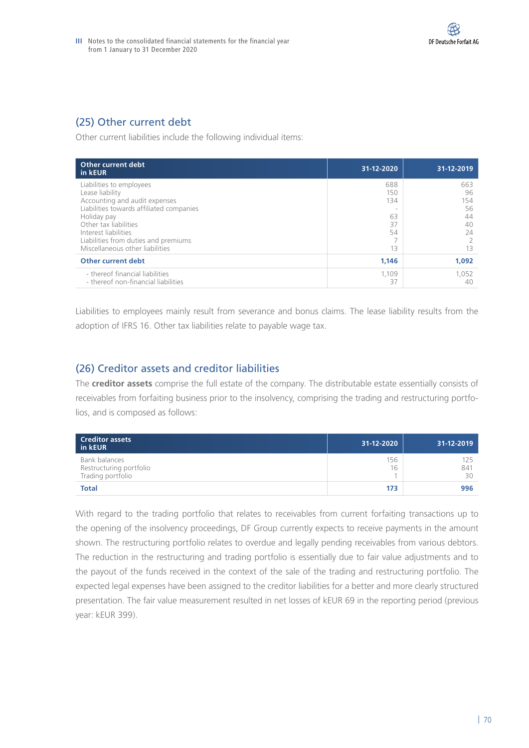# (25) Other current debt

Other current liabilities include the following individual items:

| Other current debt<br>in kEUR                                                                                                                                                                                                                                       | 31-12-2020                                | 31-12-2019                                     |
|---------------------------------------------------------------------------------------------------------------------------------------------------------------------------------------------------------------------------------------------------------------------|-------------------------------------------|------------------------------------------------|
| Liabilities to employees<br>Lease liability<br>Accounting and audit expenses<br>Liabilities towards affiliated companies<br>Holiday pay<br>Other tax liabilities<br>Interest liabilities<br>Liabilities from duties and premiums<br>Miscellaneous other liabilities | 688<br>150<br>134<br>63<br>37<br>54<br>13 | 663<br>96<br>154<br>56<br>44<br>40<br>24<br>13 |
| Other current debt                                                                                                                                                                                                                                                  | 1,146                                     | 1.092                                          |
| - thereof financial liabilities<br>- thereof non-financial liabilities                                                                                                                                                                                              | 1.109<br>37                               | 1.052<br>40                                    |

Liabilities to employees mainly result from severance and bonus claims. The lease liability results from the adoption of IFRS 16. Other tax liabilities relate to payable wage tax.

## (26) Creditor assets and creditor liabilities

The **creditor assets** comprise the full estate of the company. The distributable estate essentially consists of receivables from forfaiting business prior to the insolvency, comprising the trading and restructuring portfolios, and is composed as follows:

| <b>Creditor assets</b><br>in kEUR                             | 31-12-2020 | 31-12-2019       |
|---------------------------------------------------------------|------------|------------------|
| Bank balances<br>Restructuring portfolio<br>Trading portfolio | 156<br>16  | 125<br>841<br>30 |
| <b>Total</b>                                                  | 173        | 996              |

With regard to the trading portfolio that relates to receivables from current forfaiting transactions up to the opening of the insolvency proceedings, DF Group currently expects to receive payments in the amount shown. The restructuring portfolio relates to overdue and legally pending receivables from various debtors. The reduction in the restructuring and trading portfolio is essentially due to fair value adjustments and to the payout of the funds received in the context of the sale of the trading and restructuring portfolio. The expected legal expenses have been assigned to the creditor liabilities for a better and more clearly structured presentation. The fair value measurement resulted in net losses of kEUR 69 in the reporting period (previous year: kEUR 399).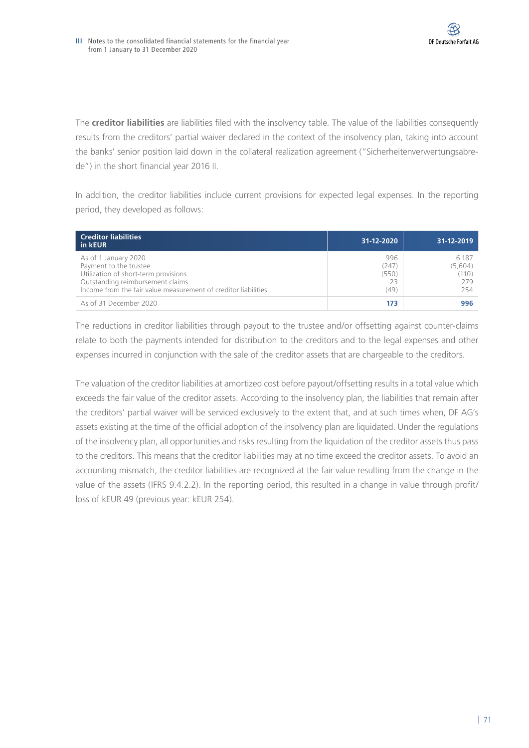The **creditor liabilities** are liabilities filed with the insolvency table. The value of the liabilities consequently results from the creditors' partial waiver declared in the context of the insolvency plan, taking into account the banks' senior position laid down in the collateral realization agreement ("Sicherheitenverwertungsabrede") in the short financial year 2016 II.

In addition, the creditor liabilities include current provisions for expected legal expenses. In the reporting period, they developed as follows:

| <b>Creditor liabilities</b><br>in kEUR                                                                                                                                                       | 31-12-2020                          | 31-12-2019                              |
|----------------------------------------------------------------------------------------------------------------------------------------------------------------------------------------------|-------------------------------------|-----------------------------------------|
| As of 1 January 2020<br>Payment to the trustee<br>Utilization of short-term provisions<br>Outstanding reimbursement claims<br>Income from the fair value measurement of creditor liabilities | 996<br>(247)<br>(550)<br>23<br>(49) | 6.187<br>(5,604)<br>(110)<br>279<br>254 |
| As of 31 December 2020                                                                                                                                                                       | 173                                 | 996                                     |

The reductions in creditor liabilities through payout to the trustee and/or offsetting against counter-claims relate to both the payments intended for distribution to the creditors and to the legal expenses and other expenses incurred in conjunction with the sale of the creditor assets that are chargeable to the creditors.

The valuation of the creditor liabilities at amortized cost before payout/offsetting results in a total value which exceeds the fair value of the creditor assets. According to the insolvency plan, the liabilities that remain after the creditors' partial waiver will be serviced exclusively to the extent that, and at such times when, DF AG's assets existing at the time of the official adoption of the insolvency plan are liquidated. Under the regulations of the insolvency plan, all opportunities and risks resulting from the liquidation of the creditor assets thus pass to the creditors. This means that the creditor liabilities may at no time exceed the creditor assets. To avoid an accounting mismatch, the creditor liabilities are recognized at the fair value resulting from the change in the value of the assets (IFRS 9.4.2.2). In the reporting period, this resulted in a change in value through profit/ loss of kEUR 49 (previous year: kEUR 254).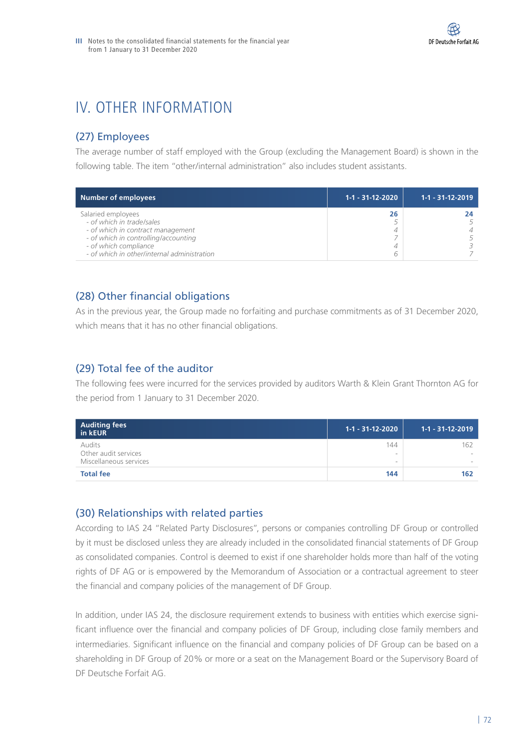# IV. OTHER INFORMATION

# (27) Employees

The average number of staff employed with the Group (excluding the Management Board) is shown in the following table. The item "other/internal administration" also includes student assistants.

| <b>Number of employees</b>                  | $1-1 - 31-12-2020$ | $1 - 1 - 31 - 12 - 2019$ |
|---------------------------------------------|--------------------|--------------------------|
| Salaried employees                          | 26                 |                          |
| - of which in trade/sales                   |                    |                          |
| - of which in contract management           |                    |                          |
| - of which in controlling/accounting        |                    |                          |
| - of which compliance                       |                    |                          |
| - of which in other/internal administration |                    |                          |

# (28) Other financial obligations

As in the previous year, the Group made no forfaiting and purchase commitments as of 31 December 2020, which means that it has no other financial obligations.

# (29) Total fee of the auditor

The following fees were incurred for the services provided by auditors Warth & Klein Grant Thornton AG for the period from 1 January to 31 December 2020.

| Auditing fees<br>in kEUR                                 | $1-1 - 31-12-2020$ | 1-1 - 31-12-2019 |
|----------------------------------------------------------|--------------------|------------------|
| Audits<br>Other audit services<br>Miscellaneous services | 144<br>$\sim$      | 162<br>$\,$      |
| <b>Total fee</b>                                         | 144                | 162              |

# (30) Relationships with related parties

According to IAS 24 "Related Party Disclosures", persons or companies controlling DF Group or controlled by it must be disclosed unless they are already included in the consolidated financial statements of DF Group as consolidated companies. Control is deemed to exist if one shareholder holds more than half of the voting rights of DF AG or is empowered by the Memorandum of Association or a contractual agreement to steer the financial and company policies of the management of DF Group.

In addition, under IAS 24, the disclosure requirement extends to business with entities which exercise significant influence over the financial and company policies of DF Group, including close family members and intermediaries. Significant influence on the financial and company policies of DF Group can be based on a shareholding in DF Group of 20% or more or a seat on the Management Board or the Supervisory Board of DF Deutsche Forfait AG.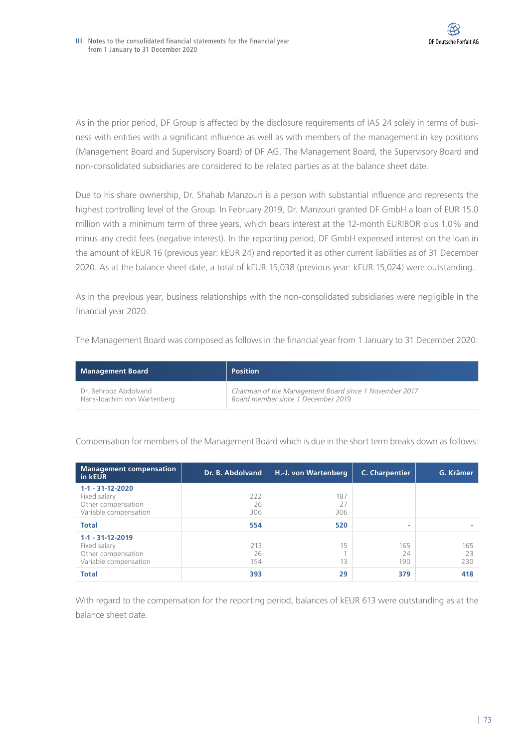As in the prior period, DF Group is affected by the disclosure requirements of IAS 24 solely in terms of business with entities with a significant influence as well as with members of the management in key positions (Management Board and Supervisory Board) of DF AG. The Management Board, the Supervisory Board and non-consolidated subsidiaries are considered to be related parties as at the balance sheet date.

Due to his share ownership, Dr. Shahab Manzouri is a person with substantial influence and represents the highest controlling level of the Group. In February 2019, Dr. Manzouri granted DF GmbH a loan of EUR 15.0 million with a minimum term of three years, which bears interest at the 12-month EURIBOR plus 1.0% and minus any credit fees (negative interest). In the reporting period, DF GmbH expensed interest on the loan in the amount of kEUR 16 (previous year: kEUR 24) and reported it as other current liabilities as of 31 December 2020. As at the balance sheet date, a total of kEUR 15,038 (previous year: kEUR 15,024) were outstanding.

As in the previous year, business relationships with the non-consolidated subsidiaries were negligible in the financial year 2020.

The Management Board was composed as follows in the financial year from 1 January to 31 December 2020:

| Management Board            | <b>Position</b>                                        |
|-----------------------------|--------------------------------------------------------|
| Dr. Behrooz Abdolvand       | Chairman of the Management Board since 1 November 2017 |
| Hans-Joachim von Wartenberg | Board member since 1 December 2019                     |

Compensation for members of the Management Board which is due in the short term breaks down as follows:

| <b>Management compensation</b><br>in kEUR                                               | Dr. B. Abdolvand | H.-J. von Wartenberg | <b>C. Charpentier</b> | G. Krämer        |
|-----------------------------------------------------------------------------------------|------------------|----------------------|-----------------------|------------------|
| $1 - 1 - 31 - 12 - 2020$<br>Fixed salary<br>Other compensation<br>Variable compensation | 222<br>26<br>306 | 187<br>27<br>306     |                       |                  |
| <b>Total</b>                                                                            | 554              | 520                  | ۰                     |                  |
| $1-1 - 31-12-2019$<br>Fixed salary<br>Other compensation<br>Variable compensation       | 213<br>26<br>154 | 15<br>13             | 165<br>24<br>190      | 165<br>23<br>230 |
| <b>Total</b>                                                                            | 393              | 29                   | 379                   | 418              |

With regard to the compensation for the reporting period, balances of kEUR 613 were outstanding as at the balance sheet date.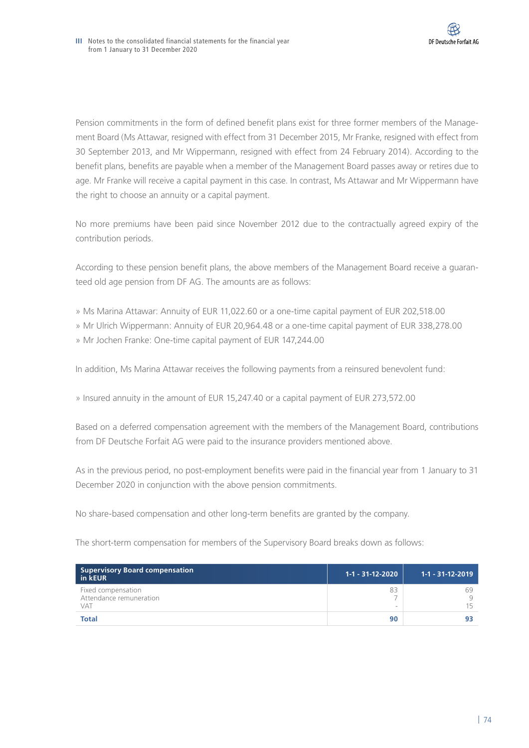Pension commitments in the form of defined benefit plans exist for three former members of the Management Board (Ms Attawar, resigned with effect from 31 December 2015, Mr Franke, resigned with effect from 30 September 2013, and Mr Wippermann, resigned with effect from 24 February 2014). According to the benefit plans, benefits are payable when a member of the Management Board passes away or retires due to age. Mr Franke will receive a capital payment in this case. In contrast, Ms Attawar and Mr Wippermann have the right to choose an annuity or a capital payment.

No more premiums have been paid since November 2012 due to the contractually agreed expiry of the contribution periods.

According to these pension benefit plans, the above members of the Management Board receive a guaranteed old age pension from DF AG. The amounts are as follows:

- » Ms Marina Attawar: Annuity of EUR 11,022.60 or a one-time capital payment of EUR 202,518.00
- » Mr Ulrich Wippermann: Annuity of EUR 20,964.48 or a one-time capital payment of EUR 338,278.00
- » Mr Jochen Franke: One-time capital payment of EUR 147,244.00

In addition, Ms Marina Attawar receives the following payments from a reinsured benevolent fund:

» Insured annuity in the amount of EUR 15,247.40 or a capital payment of EUR 273,572.00

Based on a deferred compensation agreement with the members of the Management Board, contributions from DF Deutsche Forfait AG were paid to the insurance providers mentioned above.

As in the previous period, no post-employment benefits were paid in the financial year from 1 January to 31 December 2020 in conjunction with the above pension commitments.

No share-based compensation and other long-term benefits are granted by the company.

The short-term compensation for members of the Supervisory Board breaks down as follows:

| <b>Supervisory Board compensation</b><br>in kEUR            | 1-1 - 31-12-2020               | $1 - 1 - 31 - 12 - 2019$ |
|-------------------------------------------------------------|--------------------------------|--------------------------|
| Fixed compensation<br>Attendance remuneration<br><b>VAT</b> | 83<br>$\overline{\phantom{a}}$ | 69<br>15                 |
| <b>Total</b>                                                | 90                             |                          |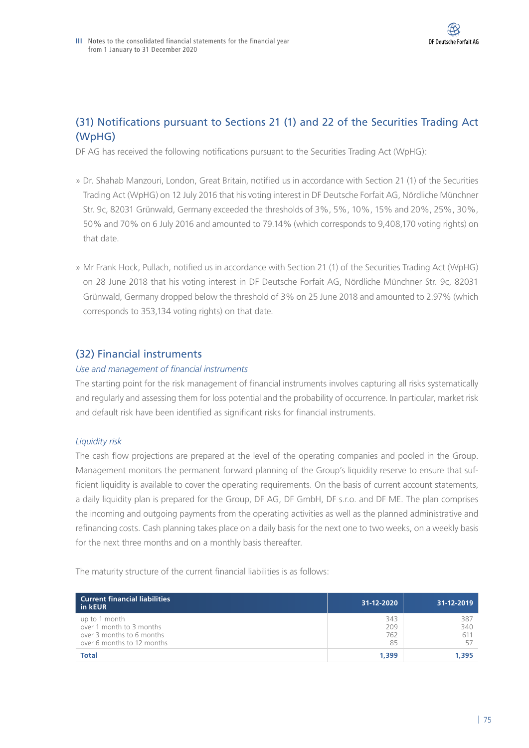# (31) Notifications pursuant to Sections 21 (1) and 22 of the Securities Trading Act (WpHG)

DF AG has received the following notifications pursuant to the Securities Trading Act (WpHG):

- » Dr. Shahab Manzouri, London, Great Britain, notified us in accordance with Section 21 (1) of the Securities Trading Act (WpHG) on 12 July 2016 that his voting interest in DF Deutsche Forfait AG, Nördliche Münchner Str. 9c, 82031 Grünwald, Germany exceeded the thresholds of 3%, 5%, 10%, 15% and 20%, 25%, 30%, 50% and 70% on 6 July 2016 and amounted to 79.14% (which corresponds to 9,408,170 voting rights) on that date.
- » Mr Frank Hock, Pullach, notified us in accordance with Section 21 (1) of the Securities Trading Act (WpHG) on 28 June 2018 that his voting interest in DF Deutsche Forfait AG, Nördliche Münchner Str. 9c, 82031 Grünwald, Germany dropped below the threshold of 3% on 25 June 2018 and amounted to 2.97% (which corresponds to 353,134 voting rights) on that date.

# (32) Financial instruments

## *Use and management of financial instruments*

The starting point for the risk management of financial instruments involves capturing all risks systematically and regularly and assessing them for loss potential and the probability of occurrence. In particular, market risk and default risk have been identified as significant risks for financial instruments.

## *Liquidity risk*

The cash flow projections are prepared at the level of the operating companies and pooled in the Group. Management monitors the permanent forward planning of the Group's liquidity reserve to ensure that sufficient liquidity is available to cover the operating requirements. On the basis of current account statements, a daily liquidity plan is prepared for the Group, DF AG, DF GmbH, DF s.r.o. and DF ME. The plan comprises the incoming and outgoing payments from the operating activities as well as the planned administrative and refinancing costs. Cash planning takes place on a daily basis for the next one to two weeks, on a weekly basis for the next three months and on a monthly basis thereafter.

The maturity structure of the current financial liabilities is as follows:

| <b>Current financial liabilities</b><br>in kEUR                                                      | 31-12-2020              | 31-12-2019        |
|------------------------------------------------------------------------------------------------------|-------------------------|-------------------|
| up to 1 month<br>over 1 month to 3 months<br>over 3 months to 6 months<br>over 6 months to 12 months | 343<br>209<br>762<br>85 | 387<br>340<br>611 |
| <b>Total</b>                                                                                         | 1,399                   | 1.395             |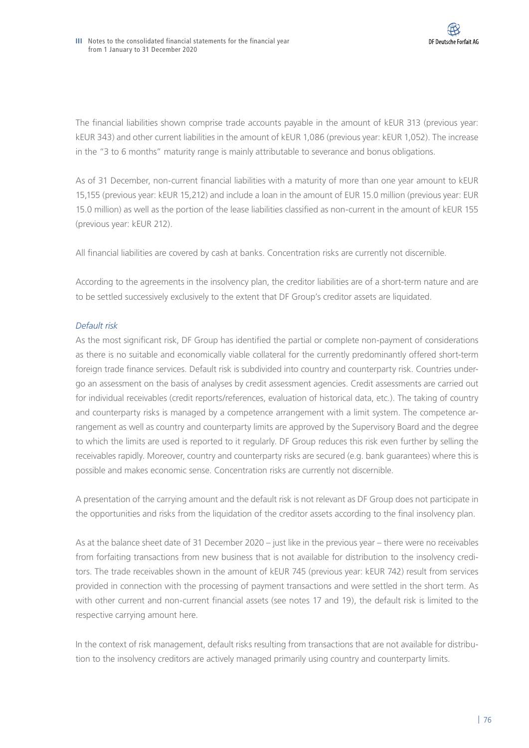The financial liabilities shown comprise trade accounts payable in the amount of kEUR 313 (previous year: kEUR 343) and other current liabilities in the amount of kEUR 1,086 (previous year: kEUR 1,052). The increase in the "3 to 6 months" maturity range is mainly attributable to severance and bonus obligations.

As of 31 December, non-current financial liabilities with a maturity of more than one year amount to kEUR 15,155 (previous year: kEUR 15,212) and include a loan in the amount of EUR 15.0 million (previous year: EUR 15.0 million) as well as the portion of the lease liabilities classified as non-current in the amount of kEUR 155 (previous year: kEUR 212).

All financial liabilities are covered by cash at banks. Concentration risks are currently not discernible.

According to the agreements in the insolvency plan, the creditor liabilities are of a short-term nature and are to be settled successively exclusively to the extent that DF Group's creditor assets are liquidated.

## *Default risk*

As the most significant risk, DF Group has identified the partial or complete non-payment of considerations as there is no suitable and economically viable collateral for the currently predominantly offered short-term foreign trade finance services. Default risk is subdivided into country and counterparty risk. Countries undergo an assessment on the basis of analyses by credit assessment agencies. Credit assessments are carried out for individual receivables (credit reports/references, evaluation of historical data, etc.). The taking of country and counterparty risks is managed by a competence arrangement with a limit system. The competence arrangement as well as country and counterparty limits are approved by the Supervisory Board and the degree to which the limits are used is reported to it regularly. DF Group reduces this risk even further by selling the receivables rapidly. Moreover, country and counterparty risks are secured (e.g. bank guarantees) where this is possible and makes economic sense. Concentration risks are currently not discernible.

A presentation of the carrying amount and the default risk is not relevant as DF Group does not participate in the opportunities and risks from the liquidation of the creditor assets according to the final insolvency plan.

As at the balance sheet date of 31 December 2020 – just like in the previous year – there were no receivables from forfaiting transactions from new business that is not available for distribution to the insolvency creditors. The trade receivables shown in the amount of kEUR 745 (previous year: kEUR 742) result from services provided in connection with the processing of payment transactions and were settled in the short term. As with other current and non-current financial assets (see notes 17 and 19), the default risk is limited to the respective carrying amount here.

In the context of risk management, default risks resulting from transactions that are not available for distribution to the insolvency creditors are actively managed primarily using country and counterparty limits.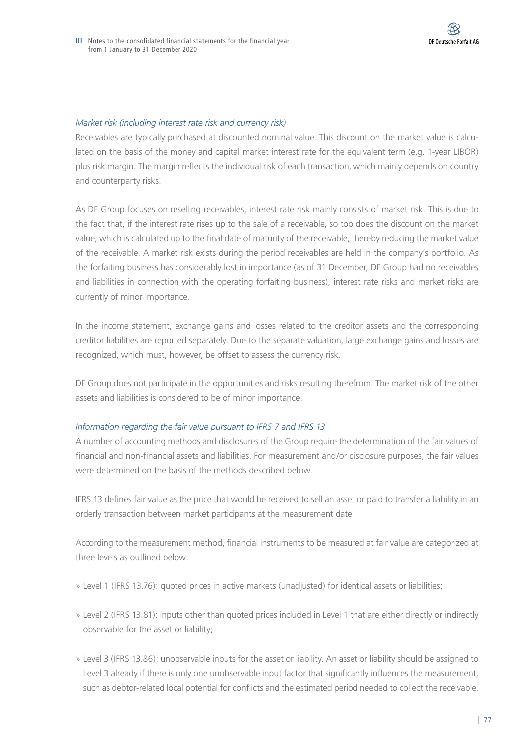### *Market risk (including interest rate risk and currency risk)*

Receivables are typically purchased at discounted nominal value. This discount on the market value is calculated on the basis of the money and capital market interest rate for the equivalent term (e.g. 1-year LIBOR) plus risk margin. The margin reflects the individual risk of each transaction, which mainly depends on country and counterparty risks.

As DF Group focuses on reselling receivables, interest rate risk mainly consists of market risk. This is due to the fact that, if the interest rate rises up to the sale of a receivable, so too does the discount on the market value, which is calculated up to the final date of maturity of the receivable, thereby reducing the market value of the receivable. A market risk exists during the period receivables are held in the company's portfolio. As the forfaiting business has considerably lost in importance (as of 31 December, DF Group had no receivables and liabilities in connection with the operating forfaiting business), interest rate risks and market risks are currently of minor importance.

In the income statement, exchange gains and losses related to the creditor assets and the corresponding creditor liabilities are reported separately. Due to the separate valuation, large exchange gains and losses are recognized, which must, however, be offset to assess the currency risk.

DF Group does not participate in the opportunities and risks resulting therefrom. The market risk of the other assets and liabilities is considered to be of minor importance.

### *Information regarding the fair value pursuant to IFRS 7 and IFRS 13*

A number of accounting methods and disclosures of the Group require the determination of the fair values of financial and non-financial assets and liabilities. For measurement and/or disclosure purposes, the fair values were determined on the basis of the methods described below.

IFRS 13 defines fair value as the price that would be received to sell an asset or paid to transfer a liability in an orderly transaction between market participants at the measurement date.

According to the measurement method, financial instruments to be measured at fair value are categorized at three levels as outlined below:

- » Level 1 (IFRS 13.76): quoted prices in active markets (unadjusted) for identical assets or liabilities;
- » Level 2 (IFRS 13.81): inputs other than quoted prices included in Level 1 that are either directly or indirectly observable for the asset or liability;
- » Level 3 (IFRS 13.86): unobservable inputs for the asset or liability. An asset or liability should be assigned to Level 3 already if there is only one unobservable input factor that significantly influences the measurement, such as debtor-related local potential for conflicts and the estimated period needed to collect the receivable.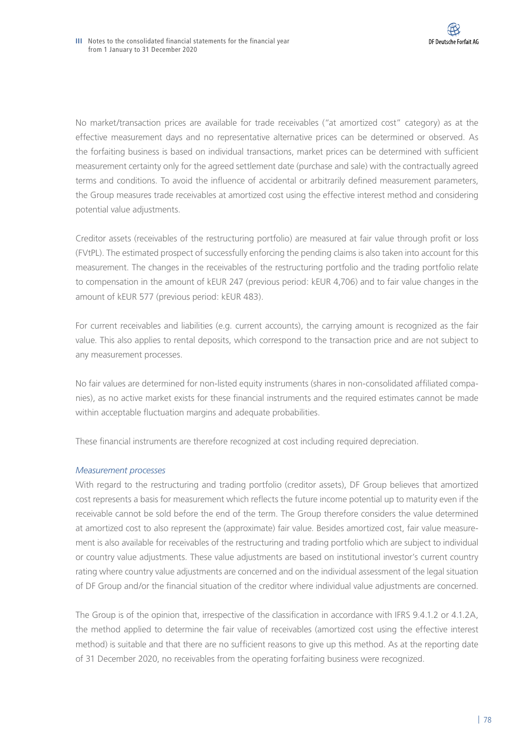No market/transaction prices are available for trade receivables ("at amortized cost" category) as at the effective measurement days and no representative alternative prices can be determined or observed. As the forfaiting business is based on individual transactions, market prices can be determined with sufficient measurement certainty only for the agreed settlement date (purchase and sale) with the contractually agreed terms and conditions. To avoid the influence of accidental or arbitrarily defined measurement parameters, the Group measures trade receivables at amortized cost using the effective interest method and considering potential value adjustments.

Creditor assets (receivables of the restructuring portfolio) are measured at fair value through profit or loss (FVtPL). The estimated prospect of successfully enforcing the pending claims is also taken into account for this measurement. The changes in the receivables of the restructuring portfolio and the trading portfolio relate to compensation in the amount of kEUR 247 (previous period: kEUR 4,706) and to fair value changes in the amount of kEUR 577 (previous period: kEUR 483).

For current receivables and liabilities (e.g. current accounts), the carrying amount is recognized as the fair value. This also applies to rental deposits, which correspond to the transaction price and are not subject to any measurement processes.

No fair values are determined for non-listed equity instruments (shares in non-consolidated affiliated companies), as no active market exists for these financial instruments and the required estimates cannot be made within acceptable fluctuation margins and adequate probabilities.

These financial instruments are therefore recognized at cost including required depreciation.

## *Measurement processes*

With regard to the restructuring and trading portfolio (creditor assets), DF Group believes that amortized cost represents a basis for measurement which reflects the future income potential up to maturity even if the receivable cannot be sold before the end of the term. The Group therefore considers the value determined at amortized cost to also represent the (approximate) fair value. Besides amortized cost, fair value measurement is also available for receivables of the restructuring and trading portfolio which are subject to individual or country value adjustments. These value adjustments are based on institutional investor's current country rating where country value adjustments are concerned and on the individual assessment of the legal situation of DF Group and/or the financial situation of the creditor where individual value adjustments are concerned.

The Group is of the opinion that, irrespective of the classification in accordance with IFRS 9.4.1.2 or 4.1.2A, the method applied to determine the fair value of receivables (amortized cost using the effective interest method) is suitable and that there are no sufficient reasons to give up this method. As at the reporting date of 31 December 2020, no receivables from the operating forfaiting business were recognized.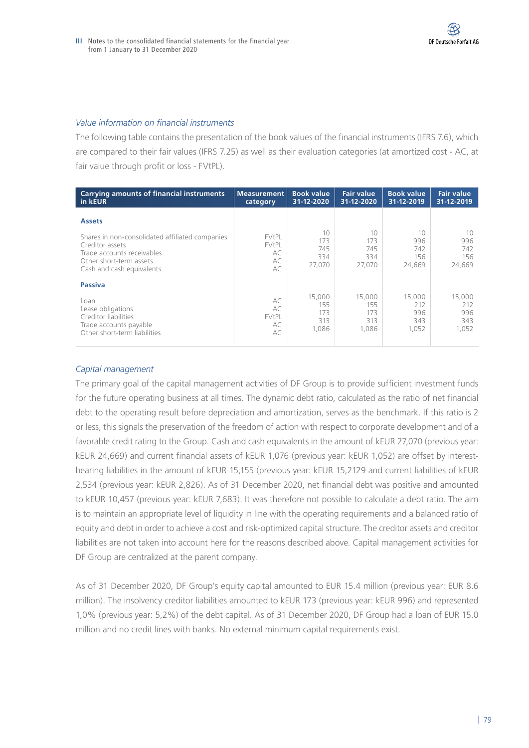### *Value information on financial instruments*

The following table contains the presentation of the book values of the financial instruments (IFRS 7.6), which are compared to their fair values (IFRS 7.25) as well as their evaluation categories (at amortized cost - AC, at fair value through profit or loss - FVtPL).

| <b>Carrying amounts of financial instruments</b><br>in kEUR                                                                                                               | <b>Measurement</b><br>category                  | <b>Book value</b><br>31-12-2020   | <b>Fair value</b><br>31-12-2020   | <b>Book value</b><br>31-12-2019   | <b>Fair value</b><br>31-12-2019   |
|---------------------------------------------------------------------------------------------------------------------------------------------------------------------------|-------------------------------------------------|-----------------------------------|-----------------------------------|-----------------------------------|-----------------------------------|
| <b>Assets</b><br>Shares in non-consolidated affiliated companies<br>Creditor assets<br>Trade accounts receivables<br>Other short-term assets<br>Cash and cash equivalents | <b>FVtPL</b><br><b>FVtPL</b><br>AC<br>AC<br>AC. | 10<br>173<br>745<br>334<br>27,070 | 10<br>173<br>745<br>334<br>27,070 | 10<br>996<br>742<br>156<br>24.669 | 10<br>996<br>742<br>156<br>24,669 |
| <b>Passiva</b><br>Loan<br>Lease obligations<br>Creditor liabilities<br>Trade accounts payable                                                                             | AC<br>AC<br>FVtPL<br>AC                         | 15,000<br>155<br>173<br>313       | 15,000<br>155<br>173<br>313       | 15,000<br>212<br>996<br>343       | 15,000<br>212<br>996<br>343       |
| Other short-term liabilities                                                                                                                                              | AC                                              | 1,086                             | 1.086                             | 1,052                             | 1,052                             |

### *Capital management*

The primary goal of the capital management activities of DF Group is to provide sufficient investment funds for the future operating business at all times. The dynamic debt ratio, calculated as the ratio of net financial debt to the operating result before depreciation and amortization, serves as the benchmark. If this ratio is 2 or less, this signals the preservation of the freedom of action with respect to corporate development and of a favorable credit rating to the Group. Cash and cash equivalents in the amount of kEUR 27,070 (previous year: kEUR 24,669) and current financial assets of kEUR 1,076 (previous year: kEUR 1,052) are offset by interestbearing liabilities in the amount of kEUR 15,155 (previous year: kEUR 15,2129 and current liabilities of kEUR 2,534 (previous year: kEUR 2,826). As of 31 December 2020, net financial debt was positive and amounted to kEUR 10,457 (previous year: kEUR 7,683). It was therefore not possible to calculate a debt ratio. The aim is to maintain an appropriate level of liquidity in line with the operating requirements and a balanced ratio of equity and debt in order to achieve a cost and risk-optimized capital structure. The creditor assets and creditor liabilities are not taken into account here for the reasons described above. Capital management activities for DF Group are centralized at the parent company.

As of 31 December 2020, DF Group's equity capital amounted to EUR 15.4 million (previous year: EUR 8.6 million). The insolvency creditor liabilities amounted to kEUR 173 (previous year: kEUR 996) and represented 1,0% (previous year: 5,2%) of the debt capital. As of 31 December 2020, DF Group had a loan of EUR 15.0 million and no credit lines with banks. No external minimum capital requirements exist.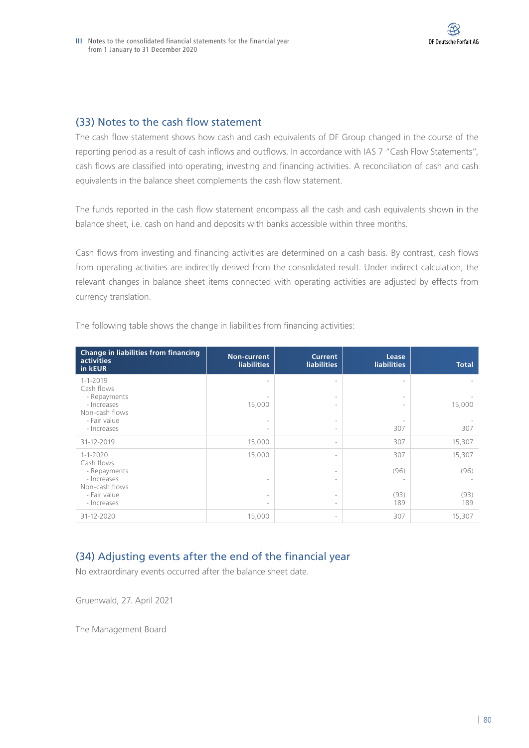# (33) Notes to the cash flow statement

The cash flow statement shows how cash and cash equivalents of DF Group changed in the course of the reporting period as a result of cash inflows and outflows. In accordance with IAS 7 "Cash Flow Statements", cash flows are classified into operating, investing and financing activities. A reconciliation of cash and cash equivalents in the balance sheet complements the cash flow statement.

The funds reported in the cash flow statement encompass all the cash and cash equivalents shown in the balance sheet, i.e. cash on hand and deposits with banks accessible within three months.

Cash flows from investing and financing activities are determined on a cash basis. By contrast, cash flows from operating activities are indirectly derived from the consolidated result. Under indirect calculation, the relevant changes in balance sheet items connected with operating activities are adjusted by effects from currency translation.

| Change in liabilities from financing<br><b>activities</b><br>in kEUR                                         | Non-current<br><b>liabilities</b> | <b>Current</b><br><b>liabilities</b>                                                                                                     | Lease<br><b>liabilities</b> | <b>Total</b>                  |
|--------------------------------------------------------------------------------------------------------------|-----------------------------------|------------------------------------------------------------------------------------------------------------------------------------------|-----------------------------|-------------------------------|
| $1 - 1 - 2019$<br>Cash flows<br>- Repayments<br>- Increases<br>Non-cash flows<br>- Fair value<br>- Increases | 15,000                            | $\overline{\phantom{0}}$<br>$\overline{\phantom{a}}$<br>$\overline{\phantom{a}}$<br>$\overline{\phantom{a}}$<br>$\overline{\phantom{a}}$ | 307                         | 15,000<br>307                 |
| 31-12-2019                                                                                                   | 15,000                            | $\overline{\phantom{a}}$                                                                                                                 | 307                         | 15,307                        |
| $1 - 1 - 2020$<br>Cash flows<br>- Repayments<br>- Increases<br>Non-cash flows<br>- Fair value<br>- Increases | 15,000                            | $\overline{\phantom{a}}$<br>$\overline{\phantom{a}}$<br>$\overline{\phantom{a}}$<br>$\overline{\phantom{a}}$<br>$\overline{\phantom{a}}$ | 307<br>(96)<br>(93)<br>189  | 15,307<br>(96)<br>(93)<br>189 |
| 31-12-2020                                                                                                   | 15,000                            | $\overline{\phantom{a}}$                                                                                                                 | 307                         | 15,307                        |

The following table shows the change in liabilities from financing activities:

# (34) Adjusting events after the end of the financial year

No extraordinary events occurred after the balance sheet date.

Gruenwald, 27. April 2021

The Management Board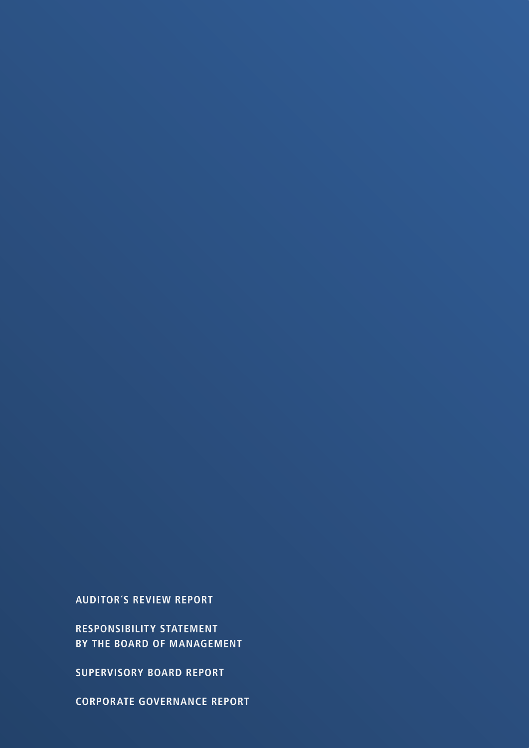**CORPORATE GOVERNANCE REPORT**

**SUPERVISORY BOARD REPORT**

**RESPONSIBILITY STATEMENT BY THE BOARD OF MANAGEMENT**

**AUDITOR´S REVIEW REPORT**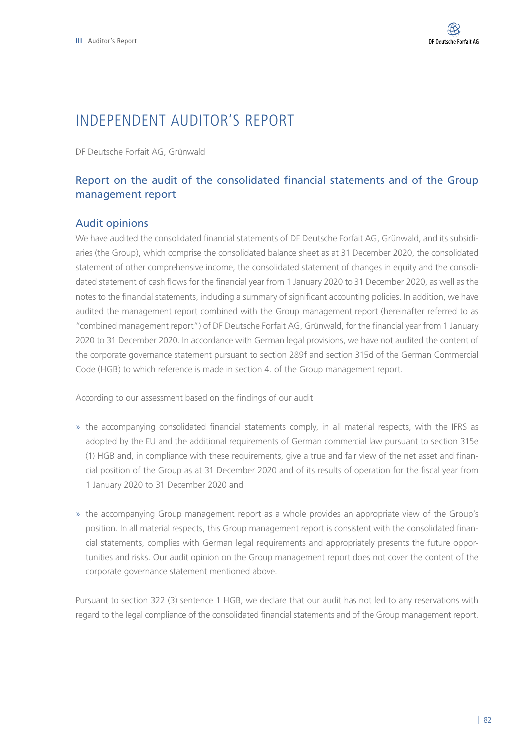# INDEPENDENT AUDITOR'S REPORT

DF Deutsche Forfait AG, Grünwald

# Report on the audit of the consolidated financial statements and of the Group management report

## Audit opinions

We have audited the consolidated financial statements of DF Deutsche Forfait AG, Grünwald, and its subsidiaries (the Group), which comprise the consolidated balance sheet as at 31 December 2020, the consolidated statement of other comprehensive income, the consolidated statement of changes in equity and the consolidated statement of cash flows for the financial year from 1 January 2020 to 31 December 2020, as well as the notes to the financial statements, including a summary of significant accounting policies. In addition, we have audited the management report combined with the Group management report (hereinafter referred to as "combined management report") of DF Deutsche Forfait AG, Grünwald, for the financial year from 1 January 2020 to 31 December 2020. In accordance with German legal provisions, we have not audited the content of the corporate governance statement pursuant to section 289f and section 315d of the German Commercial Code (HGB) to which reference is made in section 4. of the Group management report.

According to our assessment based on the findings of our audit

- » the accompanying consolidated financial statements comply, in all material respects, with the IFRS as adopted by the EU and the additional requirements of German commercial law pursuant to section 315e (1) HGB and, in compliance with these requirements, give a true and fair view of the net asset and financial position of the Group as at 31 December 2020 and of its results of operation for the fiscal year from 1 January 2020 to 31 December 2020 and
- » the accompanying Group management report as a whole provides an appropriate view of the Group's position. In all material respects, this Group management report is consistent with the consolidated financial statements, complies with German legal requirements and appropriately presents the future opportunities and risks. Our audit opinion on the Group management report does not cover the content of the corporate governance statement mentioned above.

Pursuant to section 322 (3) sentence 1 HGB, we declare that our audit has not led to any reservations with regard to the legal compliance of the consolidated financial statements and of the Group management report.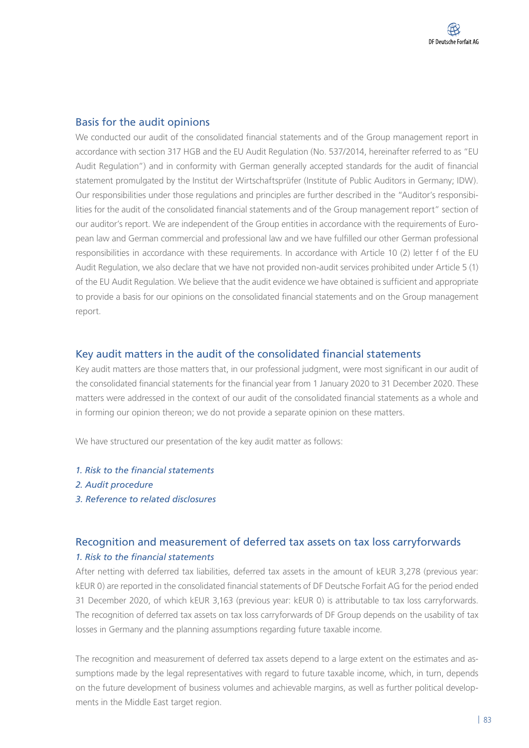## Basis for the audit opinions

We conducted our audit of the consolidated financial statements and of the Group management report in accordance with section 317 HGB and the EU Audit Regulation (No. 537/2014, hereinafter referred to as "EU Audit Regulation") and in conformity with German generally accepted standards for the audit of financial statement promulgated by the Institut der Wirtschaftsprüfer (Institute of Public Auditors in Germany; IDW). Our responsibilities under those regulations and principles are further described in the "Auditor's responsibilities for the audit of the consolidated financial statements and of the Group management report" section of our auditor's report. We are independent of the Group entities in accordance with the requirements of European law and German commercial and professional law and we have fulfilled our other German professional responsibilities in accordance with these requirements. In accordance with Article 10 (2) letter f of the EU Audit Regulation, we also declare that we have not provided non-audit services prohibited under Article 5 (1) of the EU Audit Regulation. We believe that the audit evidence we have obtained is sufficient and appropriate to provide a basis for our opinions on the consolidated financial statements and on the Group management report.

# Key audit matters in the audit of the consolidated financial statements

Key audit matters are those matters that, in our professional judgment, were most significant in our audit of the consolidated financial statements for the financial year from 1 January 2020 to 31 December 2020. These matters were addressed in the context of our audit of the consolidated financial statements as a whole and in forming our opinion thereon; we do not provide a separate opinion on these matters.

We have structured our presentation of the key audit matter as follows:

- *1. Risk to the financial statements*
- *2. Audit procedure*
- *3. Reference to related disclosures*

# Recognition and measurement of deferred tax assets on tax loss carryforwards *1. Risk to the financial statements*

After netting with deferred tax liabilities, deferred tax assets in the amount of kEUR 3,278 (previous year: kEUR 0) are reported in the consolidated financial statements of DF Deutsche Forfait AG for the period ended 31 December 2020, of which kEUR 3,163 (previous year: kEUR 0) is attributable to tax loss carryforwards. The recognition of deferred tax assets on tax loss carryforwards of DF Group depends on the usability of tax losses in Germany and the planning assumptions regarding future taxable income.

The recognition and measurement of deferred tax assets depend to a large extent on the estimates and assumptions made by the legal representatives with regard to future taxable income, which, in turn, depends on the future development of business volumes and achievable margins, as well as further political developments in the Middle East target region.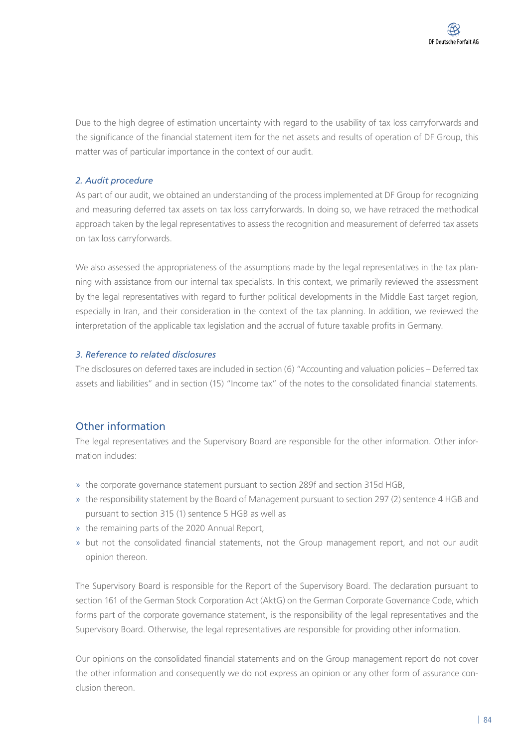Due to the high degree of estimation uncertainty with regard to the usability of tax loss carryforwards and the significance of the financial statement item for the net assets and results of operation of DF Group, this matter was of particular importance in the context of our audit.

## *2. Audit procedure*

As part of our audit, we obtained an understanding of the process implemented at DF Group for recognizing and measuring deferred tax assets on tax loss carryforwards. In doing so, we have retraced the methodical approach taken by the legal representatives to assess the recognition and measurement of deferred tax assets on tax loss carryforwards.

We also assessed the appropriateness of the assumptions made by the legal representatives in the tax planning with assistance from our internal tax specialists. In this context, we primarily reviewed the assessment by the legal representatives with regard to further political developments in the Middle East target region, especially in Iran, and their consideration in the context of the tax planning. In addition, we reviewed the interpretation of the applicable tax legislation and the accrual of future taxable profits in Germany.

## *3. Reference to related disclosures*

The disclosures on deferred taxes are included in section (6) "Accounting and valuation policies – Deferred tax assets and liabilities" and in section (15) "Income tax" of the notes to the consolidated financial statements.

# Other information

The legal representatives and the Supervisory Board are responsible for the other information. Other information includes:

- » the corporate governance statement pursuant to section 289f and section 315d HGB,
- » the responsibility statement by the Board of Management pursuant to section 297 (2) sentence 4 HGB and pursuant to section 315 (1) sentence 5 HGB as well as
- » the remaining parts of the 2020 Annual Report,
- » but not the consolidated financial statements, not the Group management report, and not our audit opinion thereon.

The Supervisory Board is responsible for the Report of the Supervisory Board. The declaration pursuant to section 161 of the German Stock Corporation Act (AktG) on the German Corporate Governance Code, which forms part of the corporate governance statement, is the responsibility of the legal representatives and the Supervisory Board. Otherwise, the legal representatives are responsible for providing other information.

Our opinions on the consolidated financial statements and on the Group management report do not cover the other information and consequently we do not express an opinion or any other form of assurance conclusion thereon.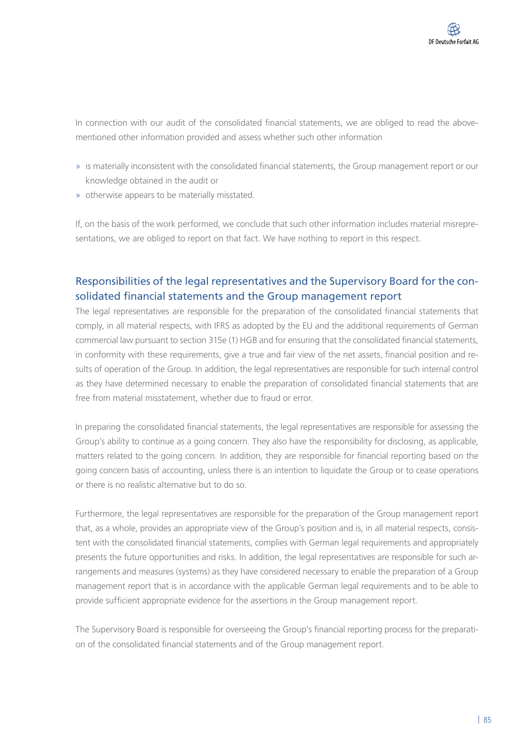In connection with our audit of the consolidated financial statements, we are obliged to read the abovementioned other information provided and assess whether such other information

- » is materially inconsistent with the consolidated financial statements, the Group management report or our knowledge obtained in the audit or
- » otherwise appears to be materially misstated.

If, on the basis of the work performed, we conclude that such other information includes material misrepresentations, we are obliged to report on that fact. We have nothing to report in this respect.

# Responsibilities of the legal representatives and the Supervisory Board for the consolidated financial statements and the Group management report

The legal representatives are responsible for the preparation of the consolidated financial statements that comply, in all material respects, with IFRS as adopted by the EU and the additional requirements of German commercial law pursuant to section 315e (1) HGB and for ensuring that the consolidated financial statements, in conformity with these requirements, give a true and fair view of the net assets, financial position and results of operation of the Group. In addition, the legal representatives are responsible for such internal control as they have determined necessary to enable the preparation of consolidated financial statements that are free from material misstatement, whether due to fraud or error.

In preparing the consolidated financial statements, the legal representatives are responsible for assessing the Group's ability to continue as a going concern. They also have the responsibility for disclosing, as applicable, matters related to the going concern. In addition, they are responsible for financial reporting based on the going concern basis of accounting, unless there is an intention to liquidate the Group or to cease operations or there is no realistic alternative but to do so.

Furthermore, the legal representatives are responsible for the preparation of the Group management report that, as a whole, provides an appropriate view of the Group's position and is, in all material respects, consistent with the consolidated financial statements, complies with German legal requirements and appropriately presents the future opportunities and risks. In addition, the legal representatives are responsible for such arrangements and measures (systems) as they have considered necessary to enable the preparation of a Group management report that is in accordance with the applicable German legal requirements and to be able to provide sufficient appropriate evidence for the assertions in the Group management report.

The Supervisory Board is responsible for overseeing the Group's financial reporting process for the preparation of the consolidated financial statements and of the Group management report.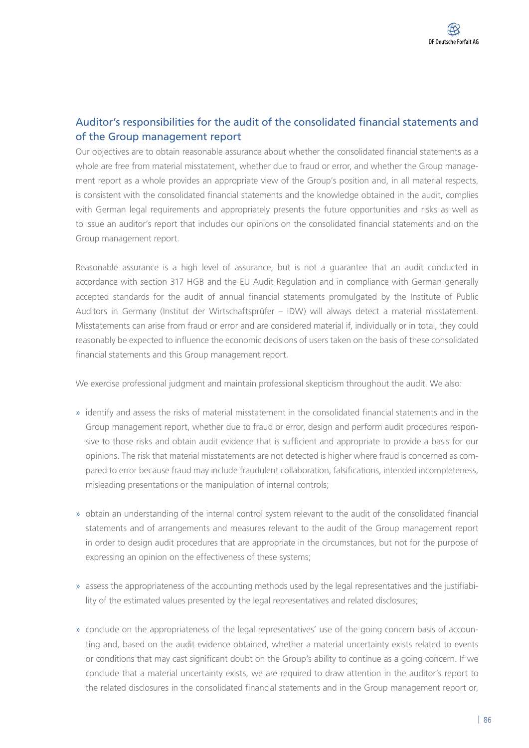# Auditor's responsibilities for the audit of the consolidated financial statements and of the Group management report

Our objectives are to obtain reasonable assurance about whether the consolidated financial statements as a whole are free from material misstatement, whether due to fraud or error, and whether the Group management report as a whole provides an appropriate view of the Group's position and, in all material respects, is consistent with the consolidated financial statements and the knowledge obtained in the audit, complies with German legal requirements and appropriately presents the future opportunities and risks as well as to issue an auditor's report that includes our opinions on the consolidated financial statements and on the Group management report.

Reasonable assurance is a high level of assurance, but is not a guarantee that an audit conducted in accordance with section 317 HGB and the EU Audit Regulation and in compliance with German generally accepted standards for the audit of annual financial statements promulgated by the Institute of Public Auditors in Germany (Institut der Wirtschaftsprüfer – IDW) will always detect a material misstatement. Misstatements can arise from fraud or error and are considered material if, individually or in total, they could reasonably be expected to influence the economic decisions of users taken on the basis of these consolidated financial statements and this Group management report.

We exercise professional judgment and maintain professional skepticism throughout the audit. We also:

- » identify and assess the risks of material misstatement in the consolidated financial statements and in the Group management report, whether due to fraud or error, design and perform audit procedures responsive to those risks and obtain audit evidence that is sufficient and appropriate to provide a basis for our opinions. The risk that material misstatements are not detected is higher where fraud is concerned as compared to error because fraud may include fraudulent collaboration, falsifications, intended incompleteness, misleading presentations or the manipulation of internal controls;
- » obtain an understanding of the internal control system relevant to the audit of the consolidated financial statements and of arrangements and measures relevant to the audit of the Group management report in order to design audit procedures that are appropriate in the circumstances, but not for the purpose of expressing an opinion on the effectiveness of these systems;
- » assess the appropriateness of the accounting methods used by the legal representatives and the justifiability of the estimated values presented by the legal representatives and related disclosures;
- » conclude on the appropriateness of the legal representatives' use of the going concern basis of accounting and, based on the audit evidence obtained, whether a material uncertainty exists related to events or conditions that may cast significant doubt on the Group's ability to continue as a going concern. If we conclude that a material uncertainty exists, we are required to draw attention in the auditor's report to the related disclosures in the consolidated financial statements and in the Group management report or,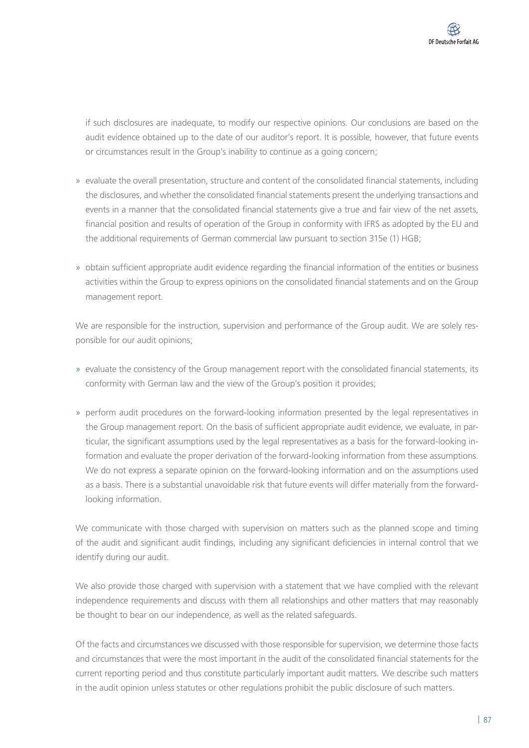if such disclosures are inadequate, to modify our respective opinions. Our conclusions are based on the audit evidence obtained up to the date of our auditor's report. It is possible, however, that future events or circumstances result in the Group's inability to continue as a going concern;

- » evaluate the overall presentation, structure and content of the consolidated financial statements, including the disclosures, and whether the consolidated financial statements present the underlying transactions and events in a manner that the consolidated financial statements give a true and fair view of the net assets, financial position and results of operation of the Group in conformity with IFRS as adopted by the EU and the additional requirements of German commercial law pursuant to section 315e (1) HGB;
- » obtain sufficient appropriate audit evidence regarding the financial information of the entities or business activities within the Group to express opinions on the consolidated financial statements and on the Group management report.

We are responsible for the instruction, supervision and performance of the Group audit. We are solely responsible for our audit opinions;

- » evaluate the consistency of the Group management report with the consolidated financial statements, its conformity with German law and the view of the Group's position it provides;
- » perform audit procedures on the forward-looking information presented by the legal representatives in the Group management report. On the basis of sufficient appropriate audit evidence, we evaluate, in particular, the significant assumptions used by the legal representatives as a basis for the forward-looking information and evaluate the proper derivation of the forward-looking information from these assumptions. We do not express a separate opinion on the forward-looking information and on the assumptions used as a basis. There is a substantial unavoidable risk that future events will differ materially from the forwardlooking information.

We communicate with those charged with supervision on matters such as the planned scope and timing of the audit and significant audit findings, including any significant deficiencies in internal control that we identify during our audit.

We also provide those charged with supervision with a statement that we have complied with the relevant independence requirements and discuss with them all relationships and other matters that may reasonably be thought to bear on our independence, as well as the related safeguards.

Of the facts and circumstances we discussed with those responsible for supervision, we determine those facts and circumstances that were the most important in the audit of the consolidated financial statements for the current reporting period and thus constitute particularly important audit matters. We describe such matters in the audit opinion unless statutes or other regulations prohibit the public disclosure of such matters.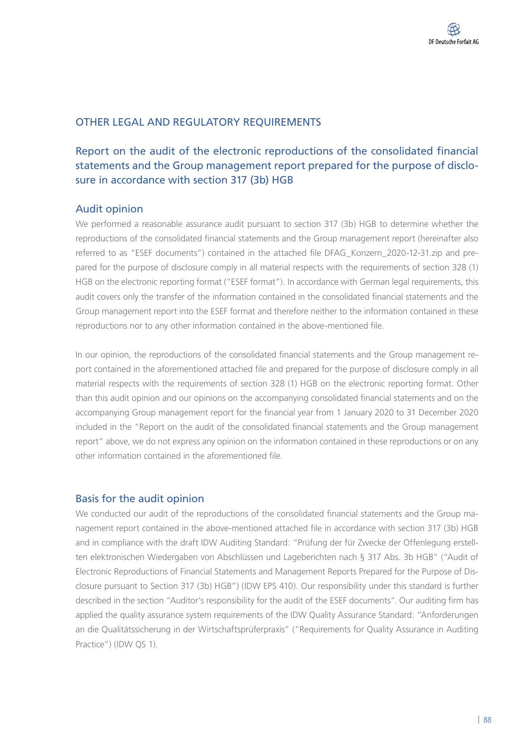## OTHER LEGAL AND REGULATORY REQUIREMENTS

# Report on the audit of the electronic reproductions of the consolidated financial statements and the Group management report prepared for the purpose of disclosure in accordance with section 317 (3b) HGB

## Audit opinion

We performed a reasonable assurance audit pursuant to section 317 (3b) HGB to determine whether the reproductions of the consolidated financial statements and the Group management report (hereinafter also referred to as "ESEF documents") contained in the attached file DFAG\_Konzern\_2020-12-31.zip and prepared for the purpose of disclosure comply in all material respects with the requirements of section 328 (1) HGB on the electronic reporting format ("ESEF format"). In accordance with German legal requirements, this audit covers only the transfer of the information contained in the consolidated financial statements and the Group management report into the ESEF format and therefore neither to the information contained in these reproductions nor to any other information contained in the above-mentioned file.

In our opinion, the reproductions of the consolidated financial statements and the Group management report contained in the aforementioned attached file and prepared for the purpose of disclosure comply in all material respects with the requirements of section 328 (1) HGB on the electronic reporting format. Other than this audit opinion and our opinions on the accompanying consolidated financial statements and on the accompanying Group management report for the financial year from 1 January 2020 to 31 December 2020 included in the "Report on the audit of the consolidated financial statements and the Group management report" above, we do not express any opinion on the information contained in these reproductions or on any other information contained in the aforementioned file.

## Basis for the audit opinion

We conducted our audit of the reproductions of the consolidated financial statements and the Group management report contained in the above-mentioned attached file in accordance with section 317 (3b) HGB and in compliance with the draft IDW Auditing Standard: "Prüfung der für Zwecke der Offenlegung erstellten elektronischen Wiedergaben von Abschlüssen und Lageberichten nach § 317 Abs. 3b HGB" ("Audit of Electronic Reproductions of Financial Statements and Management Reports Prepared for the Purpose of Disclosure pursuant to Section 317 (3b) HGB") (IDW EPS 410). Our responsibility under this standard is further described in the section "Auditor's responsibility for the audit of the ESEF documents". Our auditing firm has applied the quality assurance system requirements of the IDW Quality Assurance Standard: "Anforderungen an die Qualitätssicherung in der Wirtschaftsprüferpraxis" ("Requirements for Quality Assurance in Auditing Practice") (IDW QS 1).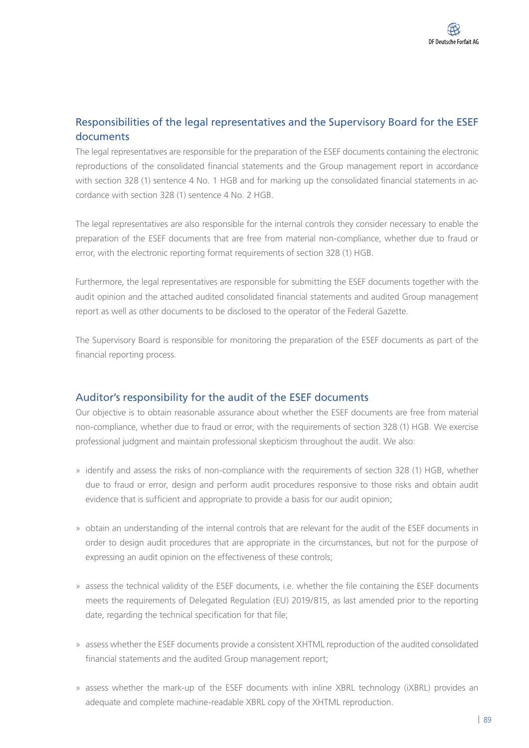# Responsibilities of the legal representatives and the Supervisory Board for the ESEF documents

The legal representatives are responsible for the preparation of the ESEF documents containing the electronic reproductions of the consolidated financial statements and the Group management report in accordance with section 328 (1) sentence 4 No. 1 HGB and for marking up the consolidated financial statements in accordance with section 328 (1) sentence 4 No. 2 HGB.

The legal representatives are also responsible for the internal controls they consider necessary to enable the preparation of the ESEF documents that are free from material non-compliance, whether due to fraud or error, with the electronic reporting format requirements of section 328 (1) HGB.

Furthermore, the legal representatives are responsible for submitting the ESEF documents together with the audit opinion and the attached audited consolidated financial statements and audited Group management report as well as other documents to be disclosed to the operator of the Federal Gazette.

The Supervisory Board is responsible for monitoring the preparation of the ESEF documents as part of the financial reporting process.

# Auditor's responsibility for the audit of the ESEF documents

Our objective is to obtain reasonable assurance about whether the ESEF documents are free from material non-compliance, whether due to fraud or error, with the requirements of section 328 (1) HGB. We exercise professional judgment and maintain professional skepticism throughout the audit. We also:

- » identify and assess the risks of non-compliance with the requirements of section 328 (1) HGB, whether due to fraud or error, design and perform audit procedures responsive to those risks and obtain audit evidence that is sufficient and appropriate to provide a basis for our audit opinion;
- » obtain an understanding of the internal controls that are relevant for the audit of the ESEF documents in order to design audit procedures that are appropriate in the circumstances, but not for the purpose of expressing an audit opinion on the effectiveness of these controls;
- » assess the technical validity of the ESEF documents, i.e. whether the file containing the ESEF documents meets the requirements of Delegated Regulation (EU) 2019/815, as last amended prior to the reporting date, regarding the technical specification for that file;
- » assess whether the ESEF documents provide a consistent XHTML reproduction of the audited consolidated financial statements and the audited Group management report;
- » assess whether the mark-up of the ESEF documents with inline XBRL technology (iXBRL) provides an adequate and complete machine-readable XBRL copy of the XHTML reproduction.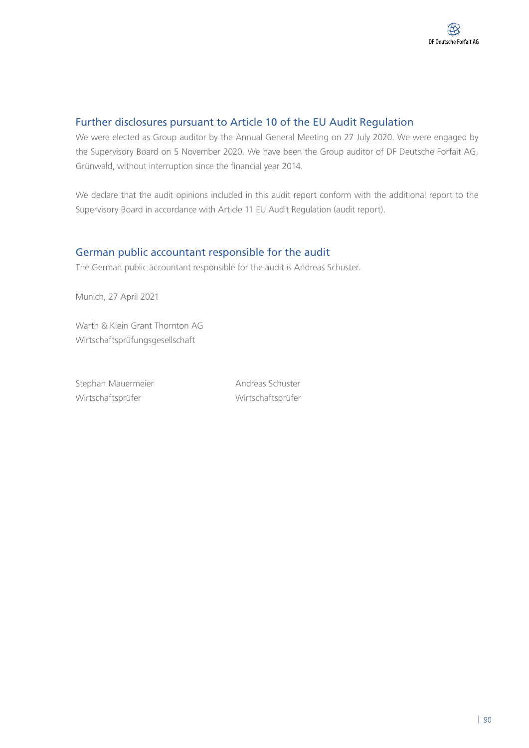# Further disclosures pursuant to Article 10 of the EU Audit Regulation

We were elected as Group auditor by the Annual General Meeting on 27 July 2020. We were engaged by the Supervisory Board on 5 November 2020. We have been the Group auditor of DF Deutsche Forfait AG, Grünwald, without interruption since the financial year 2014.

We declare that the audit opinions included in this audit report conform with the additional report to the Supervisory Board in accordance with Article 11 EU Audit Regulation (audit report).

# German public accountant responsible for the audit

The German public accountant responsible for the audit is Andreas Schuster.

Munich, 27 April 2021

Warth & Klein Grant Thornton AG Wirtschaftsprüfungsgesellschaft

Stephan Mauermeier **Andreas Schuster** Wirtschaftsprüfer Wirtschaftsprüfer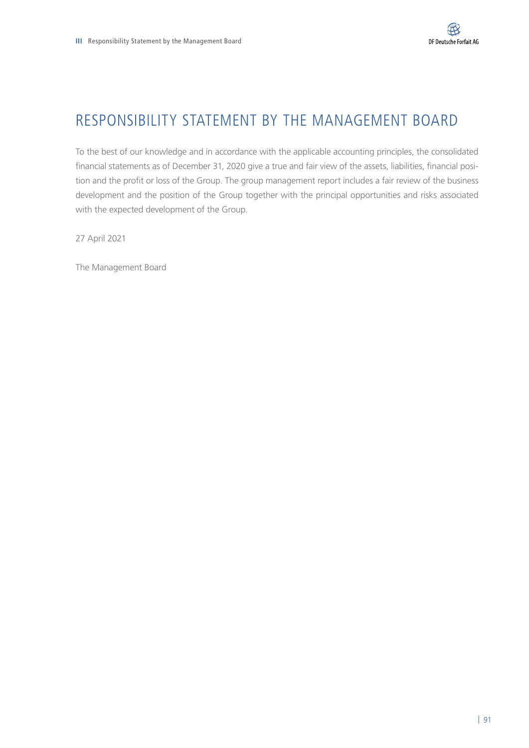# RESPONSIBILITY STATEMENT BY THE MANAGEMENT BOARD

To the best of our knowledge and in accordance with the applicable accounting principles, the consolidated financial statements as of December 31, 2020 give a true and fair view of the assets, liabilities, financial position and the profit or loss of the Group. The group management report includes a fair review of the business development and the position of the Group together with the principal opportunities and risks associated with the expected development of the Group.

27 April 2021

The Management Board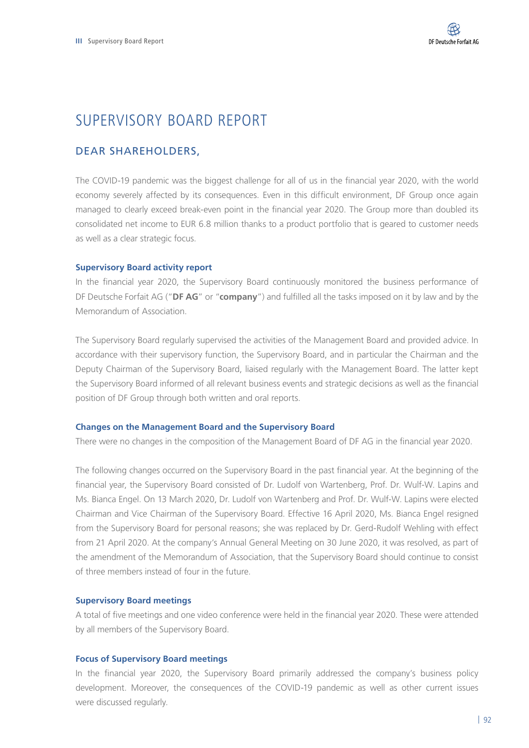# SUPERVISORY BOARD REPORT

## DEAR SHAREHOLDERS,

The COVID-19 pandemic was the biggest challenge for all of us in the financial year 2020, with the world economy severely affected by its consequences. Even in this difficult environment, DF Group once again managed to clearly exceed break-even point in the financial year 2020. The Group more than doubled its consolidated net income to EUR 6.8 million thanks to a product portfolio that is geared to customer needs as well as a clear strategic focus.

## **Supervisory Board activity report**

In the financial year 2020, the Supervisory Board continuously monitored the business performance of DF Deutsche Forfait AG ("**DF AG**" or "**company**") and fulfilled all the tasks imposed on it by law and by the Memorandum of Association.

The Supervisory Board regularly supervised the activities of the Management Board and provided advice. In accordance with their supervisory function, the Supervisory Board, and in particular the Chairman and the Deputy Chairman of the Supervisory Board, liaised regularly with the Management Board. The latter kept the Supervisory Board informed of all relevant business events and strategic decisions as well as the financial position of DF Group through both written and oral reports.

### **Changes on the Management Board and the Supervisory Board**

There were no changes in the composition of the Management Board of DF AG in the financial year 2020.

The following changes occurred on the Supervisory Board in the past financial year. At the beginning of the financial year, the Supervisory Board consisted of Dr. Ludolf von Wartenberg, Prof. Dr. Wulf-W. Lapins and Ms. Bianca Engel. On 13 March 2020, Dr. Ludolf von Wartenberg and Prof. Dr. Wulf-W. Lapins were elected Chairman and Vice Chairman of the Supervisory Board. Effective 16 April 2020, Ms. Bianca Engel resigned from the Supervisory Board for personal reasons; she was replaced by Dr. Gerd-Rudolf Wehling with effect from 21 April 2020. At the company's Annual General Meeting on 30 June 2020, it was resolved, as part of the amendment of the Memorandum of Association, that the Supervisory Board should continue to consist of three members instead of four in the future.

### **Supervisory Board meetings**

A total of five meetings and one video conference were held in the financial year 2020. These were attended by all members of the Supervisory Board.

## **Focus of Supervisory Board meetings**

In the financial year 2020, the Supervisory Board primarily addressed the company's business policy development. Moreover, the consequences of the COVID-19 pandemic as well as other current issues were discussed regularly.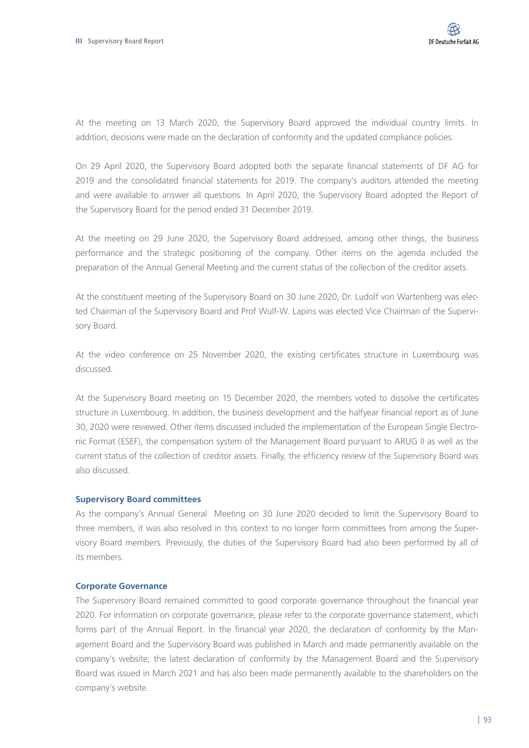At the meeting on 13 March 2020, the Supervisory Board approved the individual country limits. In addition, decisions were made on the declaration of conformity and the updated compliance policies.

On 29 April 2020, the Supervisory Board adopted both the separate financial statements of DF AG for 2019 and the consolidated financial statements for 2019. The company's auditors attended the meeting and were available to answer all questions. In April 2020, the Supervisory Board adopted the Report of the Supervisory Board for the period ended 31 December 2019.

At the meeting on 29 June 2020, the Supervisory Board addressed, among other things, the business performance and the strategic positioning of the company. Other items on the agenda included the preparation of the Annual General Meeting and the current status of the collection of the creditor assets.

At the constituent meeting of the Supervisory Board on 30 June 2020, Dr. Ludolf von Wartenberg was elected Chairman of the Supervisory Board and Prof Wulf-W. Lapins was elected Vice Chairman of the Supervisory Board.

At the video conference on 25 November 2020, the existing certificates structure in Luxembourg was discussed.

At the Supervisory Board meeting on 15 December 2020, the members voted to dissolve the certificates structure in Luxembourg. In addition, the business development and the halfyear financial report as of June 30, 2020 were reviewed. Other items discussed included the implementation of the European Single Electronic Format (ESEF), the compensation system of the Management Board pursuant to ARUG II as well as the current status of the collection of creditor assets. Finally, the efficiency review of the Supervisory Board was also discussed.

### **Supervisory Board committees**

As the company's Annual General Meeting on 30 June 2020 decided to limit the Supervisory Board to three members, it was also resolved in this context to no longer form committees from among the Supervisory Board members. Previously, the duties of the Supervisory Board had also been performed by all of its members.

### **Corporate Governance**

The Supervisory Board remained committed to good corporate governance throughout the financial year 2020. For information on corporate governance, please refer to the corporate governance statement, which forms part of the Annual Report. In the financial year 2020, the declaration of conformity by the Management Board and the Supervisory Board was published in March and made permanently available on the company's website; the latest declaration of conformity by the Management Board and the Supervisory Board was issued in March 2021 and has also been made permanently available to the shareholders on the company's website.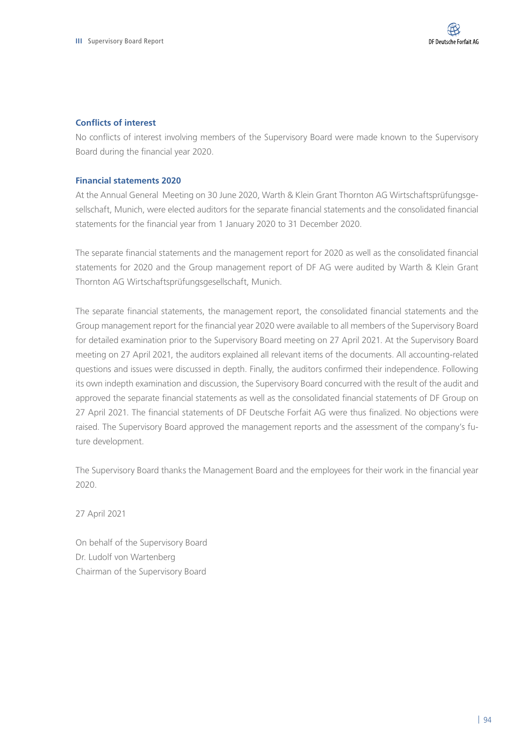### **Conflicts of interest**

No conflicts of interest involving members of the Supervisory Board were made known to the Supervisory Board during the financial year 2020.

## **Financial statements 2020**

At the Annual General Meeting on 30 June 2020, Warth & Klein Grant Thornton AG Wirtschaftsprüfungsgesellschaft, Munich, were elected auditors for the separate financial statements and the consolidated financial statements for the financial year from 1 January 2020 to 31 December 2020.

The separate financial statements and the management report for 2020 as well as the consolidated financial statements for 2020 and the Group management report of DF AG were audited by Warth & Klein Grant Thornton AG Wirtschaftsprüfungsgesellschaft, Munich.

The separate financial statements, the management report, the consolidated financial statements and the Group management report for the financial year 2020 were available to all members of the Supervisory Board for detailed examination prior to the Supervisory Board meeting on 27 April 2021. At the Supervisory Board meeting on 27 April 2021, the auditors explained all relevant items of the documents. All accounting-related questions and issues were discussed in depth. Finally, the auditors confirmed their independence. Following its own indepth examination and discussion, the Supervisory Board concurred with the result of the audit and approved the separate financial statements as well as the consolidated financial statements of DF Group on 27 April 2021. The financial statements of DF Deutsche Forfait AG were thus finalized. No objections were raised. The Supervisory Board approved the management reports and the assessment of the company's future development.

The Supervisory Board thanks the Management Board and the employees for their work in the financial year 2020.

27 April 2021

On behalf of the Supervisory Board Dr. Ludolf von Wartenberg Chairman of the Supervisory Board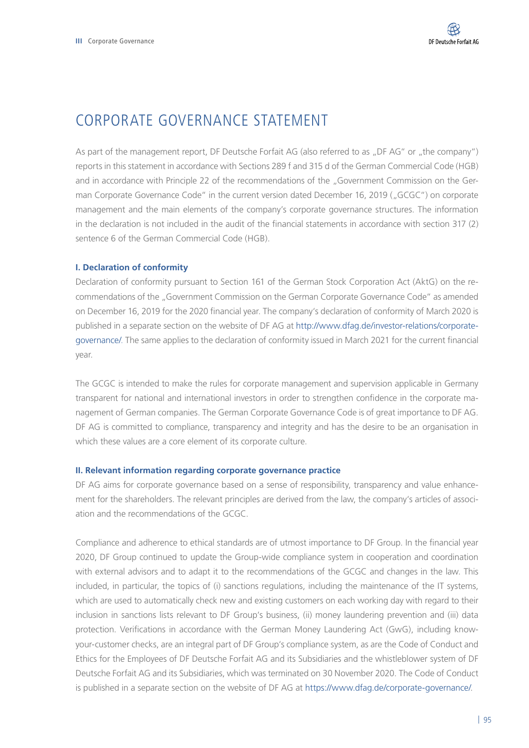# CORPORATE GOVERNANCE STATEMENT

As part of the management report, DF Deutsche Forfait AG (also referred to as "DF AG" or "the company") reports in this statement in accordance with Sections 289 f and 315 d of the German Commercial Code (HGB) and in accordance with Principle 22 of the recommendations of the "Government Commission on the German Corporate Governance Code" in the current version dated December 16, 2019 ("GCGC") on corporate management and the main elements of the company's corporate governance structures. The information in the declaration is not included in the audit of the financial statements in accordance with section 317 (2) sentence 6 of the German Commercial Code (HGB).

## **I. Declaration of conformity**

Declaration of conformity pursuant to Section 161 of the German Stock Corporation Act (AktG) on the recommendations of the "Government Commission on the German Corporate Governance Code" as amended on December 16, 2019 for the 2020 financial year. The company's declaration of conformity of March 2020 is published in a separate section on the website of DF AG at [http://www.dfag.de/investor-relations/corporate](http://www.dfag.de/investor-relations/corporate-governance/)[governance/](http://www.dfag.de/investor-relations/corporate-governance/). The same applies to the declaration of conformity issued in March 2021 for the current financial year.

The GCGC is intended to make the rules for corporate management and supervision applicable in Germany transparent for national and international investors in order to strengthen confidence in the corporate management of German companies. The German Corporate Governance Code is of great importance to DF AG. DF AG is committed to compliance, transparency and integrity and has the desire to be an organisation in which these values are a core element of its corporate culture.

#### **II. Relevant information regarding corporate governance practice**

DF AG aims for corporate governance based on a sense of responsibility, transparency and value enhancement for the shareholders. The relevant principles are derived from the law, the company's articles of association and the recommendations of the GCGC.

Compliance and adherence to ethical standards are of utmost importance to DF Group. In the financial year 2020, DF Group continued to update the Group-wide compliance system in cooperation and coordination with external advisors and to adapt it to the recommendations of the GCGC and changes in the law. This included, in particular, the topics of (i) sanctions regulations, including the maintenance of the IT systems, which are used to automatically check new and existing customers on each working day with regard to their inclusion in sanctions lists relevant to DF Group's business, (ii) money laundering prevention and (iii) data protection. Verifications in accordance with the German Money Laundering Act (GwG), including knowyour-customer checks, are an integral part of DF Group's compliance system, as are the Code of Conduct and Ethics for the Employees of DF Deutsche Forfait AG and its Subsidiaries and the whistleblower system of DF Deutsche Forfait AG and its Subsidiaries, which was terminated on 30 November 2020. The Code of Conduct is published in a separate section on the website of DF AG at <https://www.dfag.de/corporate-governance/>.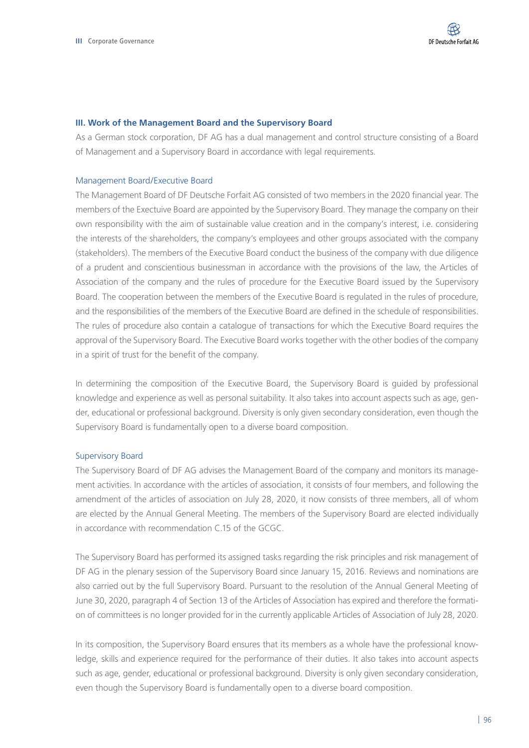#### **III. Work of the Management Board and the Supervisory Board**

As a German stock corporation, DF AG has a dual management and control structure consisting of a Board of Management and a Supervisory Board in accordance with legal requirements.

#### Management Board/Executive Board

The Management Board of DF Deutsche Forfait AG consisted of two members in the 2020 financial year. The members of the Exectuive Board are appointed by the Supervisory Board. They manage the company on their own responsibility with the aim of sustainable value creation and in the company's interest, i.e. considering the interests of the shareholders, the company's employees and other groups associated with the company (stakeholders). The members of the Executive Board conduct the business of the company with due diligence of a prudent and conscientious businessman in accordance with the provisions of the law, the Articles of Association of the company and the rules of procedure for the Executive Board issued by the Supervisory Board. The cooperation between the members of the Executive Board is regulated in the rules of procedure, and the responsibilities of the members of the Executive Board are defined in the schedule of responsibilities. The rules of procedure also contain a catalogue of transactions for which the Executive Board requires the approval of the Supervisory Board. The Executive Board works together with the other bodies of the company in a spirit of trust for the benefit of the company.

In determining the composition of the Executive Board, the Supervisory Board is guided by professional knowledge and experience as well as personal suitability. It also takes into account aspects such as age, gender, educational or professional background. Diversity is only given secondary consideration, even though the Supervisory Board is fundamentally open to a diverse board composition.

#### Supervisory Board

The Supervisory Board of DF AG advises the Management Board of the company and monitors its management activities. In accordance with the articles of association, it consists of four members, and following the amendment of the articles of association on July 28, 2020, it now consists of three members, all of whom are elected by the Annual General Meeting. The members of the Supervisory Board are elected individually in accordance with recommendation C.15 of the GCGC.

The Supervisory Board has performed its assigned tasks regarding the risk principles and risk management of DF AG in the plenary session of the Supervisory Board since January 15, 2016. Reviews and nominations are also carried out by the full Supervisory Board. Pursuant to the resolution of the Annual General Meeting of June 30, 2020, paragraph 4 of Section 13 of the Articles of Association has expired and therefore the formation of committees is no longer provided for in the currently applicable Articles of Association of July 28, 2020.

In its composition, the Supervisory Board ensures that its members as a whole have the professional knowledge, skills and experience required for the performance of their duties. It also takes into account aspects such as age, gender, educational or professional background. Diversity is only given secondary consideration, even though the Supervisory Board is fundamentally open to a diverse board composition.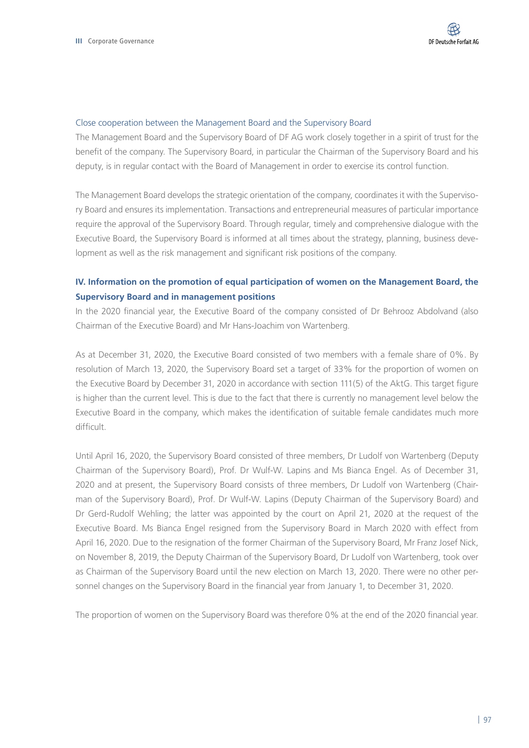### Close cooperation between the Management Board and the Supervisory Board

The Management Board and the Supervisory Board of DF AG work closely together in a spirit of trust for the benefit of the company. The Supervisory Board, in particular the Chairman of the Supervisory Board and his deputy, is in regular contact with the Board of Management in order to exercise its control function.

The Management Board develops the strategic orientation of the company, coordinates it with the Supervisory Board and ensures its implementation. Transactions and entrepreneurial measures of particular importance require the approval of the Supervisory Board. Through regular, timely and comprehensive dialogue with the Executive Board, the Supervisory Board is informed at all times about the strategy, planning, business development as well as the risk management and significant risk positions of the company.

## **IV. Information on the promotion of equal participation of women on the Management Board, the Supervisory Board and in management positions**

In the 2020 financial year, the Executive Board of the company consisted of Dr Behrooz Abdolvand (also Chairman of the Executive Board) and Mr Hans-Joachim von Wartenberg.

As at December 31, 2020, the Executive Board consisted of two members with a female share of 0%. By resolution of March 13, 2020, the Supervisory Board set a target of 33% for the proportion of women on the Executive Board by December 31, 2020 in accordance with section 111(5) of the AktG. This target figure is higher than the current level. This is due to the fact that there is currently no management level below the Executive Board in the company, which makes the identification of suitable female candidates much more difficult.

Until April 16, 2020, the Supervisory Board consisted of three members, Dr Ludolf von Wartenberg (Deputy Chairman of the Supervisory Board), Prof. Dr Wulf-W. Lapins and Ms Bianca Engel. As of December 31, 2020 and at present, the Supervisory Board consists of three members, Dr Ludolf von Wartenberg (Chairman of the Supervisory Board), Prof. Dr Wulf-W. Lapins (Deputy Chairman of the Supervisory Board) and Dr Gerd-Rudolf Wehling; the latter was appointed by the court on April 21, 2020 at the request of the Executive Board. Ms Bianca Engel resigned from the Supervisory Board in March 2020 with effect from April 16, 2020. Due to the resignation of the former Chairman of the Supervisory Board, Mr Franz Josef Nick, on November 8, 2019, the Deputy Chairman of the Supervisory Board, Dr Ludolf von Wartenberg, took over as Chairman of the Supervisory Board until the new election on March 13, 2020. There were no other personnel changes on the Supervisory Board in the financial year from January 1, to December 31, 2020.

The proportion of women on the Supervisory Board was therefore 0% at the end of the 2020 financial year.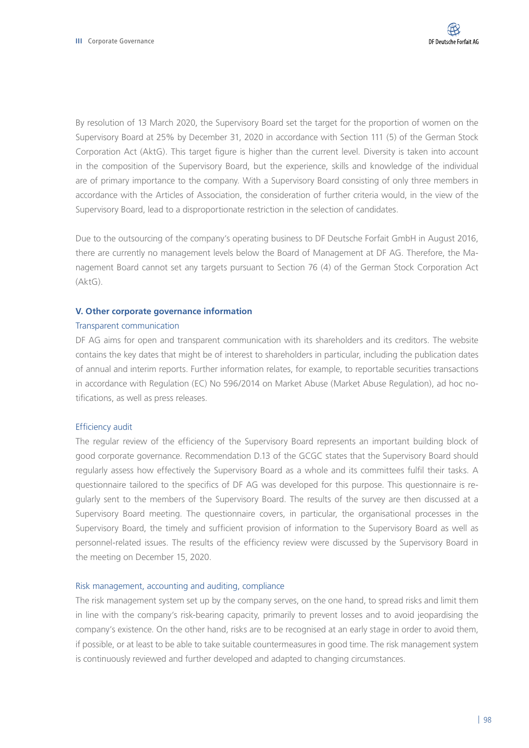By resolution of 13 March 2020, the Supervisory Board set the target for the proportion of women on the Supervisory Board at 25% by December 31, 2020 in accordance with Section 111 (5) of the German Stock Corporation Act (AktG). This target figure is higher than the current level. Diversity is taken into account in the composition of the Supervisory Board, but the experience, skills and knowledge of the individual are of primary importance to the company. With a Supervisory Board consisting of only three members in accordance with the Articles of Association, the consideration of further criteria would, in the view of the Supervisory Board, lead to a disproportionate restriction in the selection of candidates.

Due to the outsourcing of the company's operating business to DF Deutsche Forfait GmbH in August 2016, there are currently no management levels below the Board of Management at DF AG. Therefore, the Management Board cannot set any targets pursuant to Section 76 (4) of the German Stock Corporation Act (AktG).

### **V. Other corporate governance information**

### Transparent communication

DF AG aims for open and transparent communication with its shareholders and its creditors. The website contains the key dates that might be of interest to shareholders in particular, including the publication dates of annual and interim reports. Further information relates, for example, to reportable securities transactions in accordance with Regulation (EC) No 596/2014 on Market Abuse (Market Abuse Regulation), ad hoc notifications, as well as press releases.

## Efficiency audit

The regular review of the efficiency of the Supervisory Board represents an important building block of good corporate governance. Recommendation D.13 of the GCGC states that the Supervisory Board should regularly assess how effectively the Supervisory Board as a whole and its committees fulfil their tasks. A questionnaire tailored to the specifics of DF AG was developed for this purpose. This questionnaire is regularly sent to the members of the Supervisory Board. The results of the survey are then discussed at a Supervisory Board meeting. The questionnaire covers, in particular, the organisational processes in the Supervisory Board, the timely and sufficient provision of information to the Supervisory Board as well as personnel-related issues. The results of the efficiency review were discussed by the Supervisory Board in the meeting on December 15, 2020.

## Risk management, accounting and auditing, compliance

The risk management system set up by the company serves, on the one hand, to spread risks and limit them in line with the company's risk-bearing capacity, primarily to prevent losses and to avoid jeopardising the company's existence. On the other hand, risks are to be recognised at an early stage in order to avoid them, if possible, or at least to be able to take suitable countermeasures in good time. The risk management system is continuously reviewed and further developed and adapted to changing circumstances.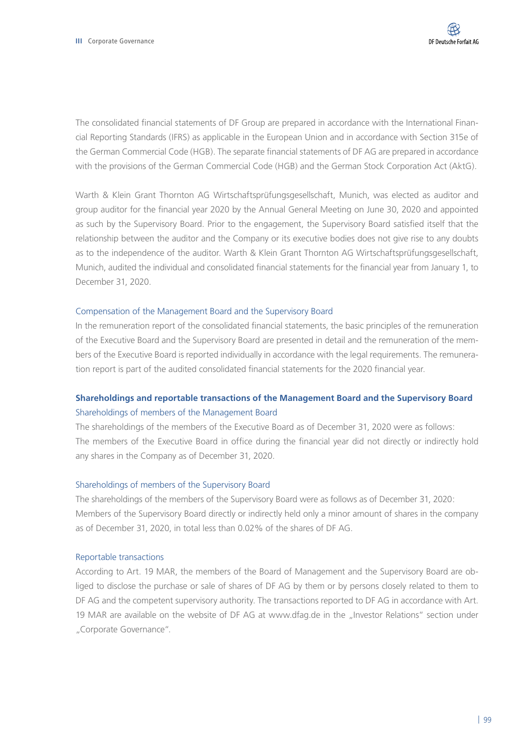The consolidated financial statements of DF Group are prepared in accordance with the International Financial Reporting Standards (IFRS) as applicable in the European Union and in accordance with Section 315e of the German Commercial Code (HGB). The separate financial statements of DF AG are prepared in accordance with the provisions of the German Commercial Code (HGB) and the German Stock Corporation Act (AktG).

Warth & Klein Grant Thornton AG Wirtschaftsprüfungsgesellschaft, Munich, was elected as auditor and group auditor for the financial year 2020 by the Annual General Meeting on June 30, 2020 and appointed as such by the Supervisory Board. Prior to the engagement, the Supervisory Board satisfied itself that the relationship between the auditor and the Company or its executive bodies does not give rise to any doubts as to the independence of the auditor. Warth & Klein Grant Thornton AG Wirtschaftsprüfungsgesellschaft, Munich, audited the individual and consolidated financial statements for the financial year from January 1, to December 31, 2020.

### Compensation of the Management Board and the Supervisory Board

In the remuneration report of the consolidated financial statements, the basic principles of the remuneration of the Executive Board and the Supervisory Board are presented in detail and the remuneration of the members of the Executive Board is reported individually in accordance with the legal requirements. The remuneration report is part of the audited consolidated financial statements for the 2020 financial year.

# **Shareholdings and reportable transactions of the Management Board and the Supervisory Board** Shareholdings of members of the Management Board

The shareholdings of the members of the Executive Board as of December 31, 2020 were as follows: The members of the Executive Board in office during the financial year did not directly or indirectly hold any shares in the Company as of December 31, 2020.

### Shareholdings of members of the Supervisory Board

The shareholdings of the members of the Supervisory Board were as follows as of December 31, 2020: Members of the Supervisory Board directly or indirectly held only a minor amount of shares in the company as of December 31, 2020, in total less than 0.02% of the shares of DF AG.

### Reportable transactions

According to Art. 19 MAR, the members of the Board of Management and the Supervisory Board are obliged to disclose the purchase or sale of shares of DF AG by them or by persons closely related to them to DF AG and the competent supervisory authority. The transactions reported to DF AG in accordance with Art. 19 MAR are available on the website of DF AG at www.dfag.de in the "Investor Relations" section under "Corporate Governance".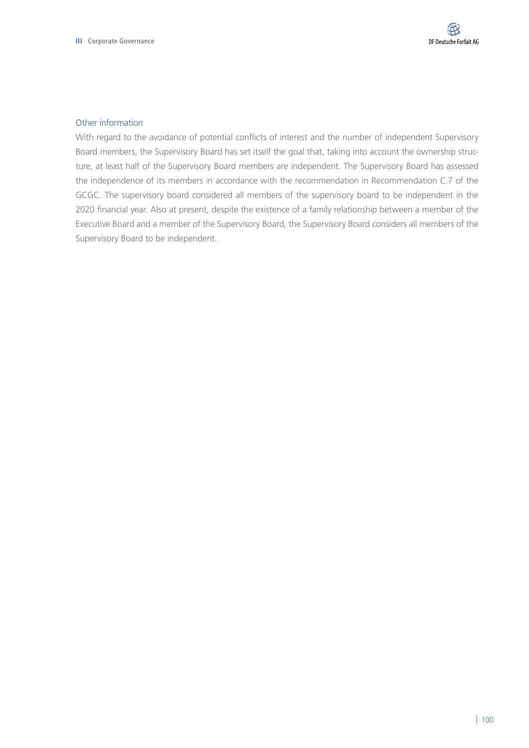### Other information

With regard to the avoidance of potential conflicts of interest and the number of independent Supervisory Board members, the Supervisory Board has set itself the goal that, taking into account the ownership structure, at least half of the Supervisory Board members are independent. The Supervisory Board has assessed the independence of its members in accordance with the recommendation in Recommendation C.7 of the GCGC. The supervisory board considered all members of the supervisory board to be independent in the 2020 financial year. Also at present, despite the existence of a family relationship between a member of the Executive Board and a member of the Supervisory Board, the Supervisory Board considers all members of the Supervisory Board to be independent.